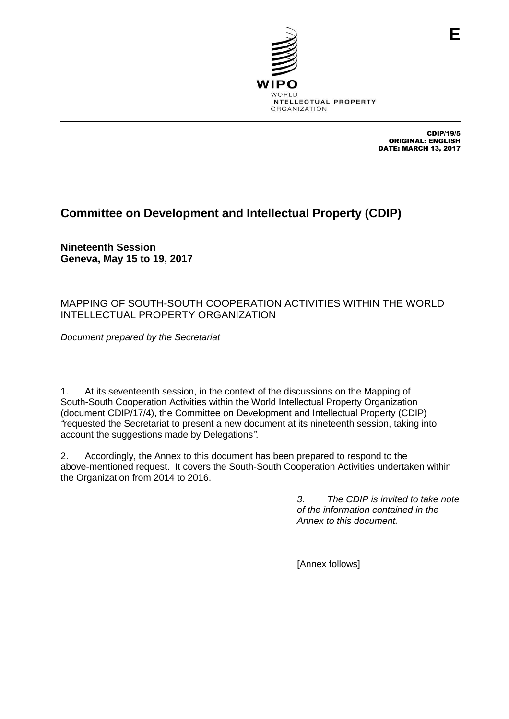

CDIP/19/5 ORIGINAL: ENGLISH DATE: MARCH 13, 2017

**E**

# **Committee on Development and Intellectual Property (CDIP)**

**Nineteenth Session Geneva, May 15 to 19, 2017**

### MAPPING OF SOUTH-SOUTH COOPERATION ACTIVITIES WITHIN THE WORLD INTELLECTUAL PROPERTY ORGANIZATION

*Document prepared by the Secretariat*

1. At its seventeenth session, in the context of the discussions on the Mapping of South-South Cooperation Activities within the World Intellectual Property Organization (document CDIP/17/4), the Committee on Development and Intellectual Property (CDIP) *"*requested the Secretariat to present a new document at its nineteenth session, taking into account the suggestions made by Delegations*".*

2. Accordingly, the Annex to this document has been prepared to respond to the above-mentioned request. It covers the South-South Cooperation Activities undertaken within the Organization from 2014 to 2016.

> *3. The CDIP is invited to take note of the information contained in the Annex to this document.*

[Annex follows]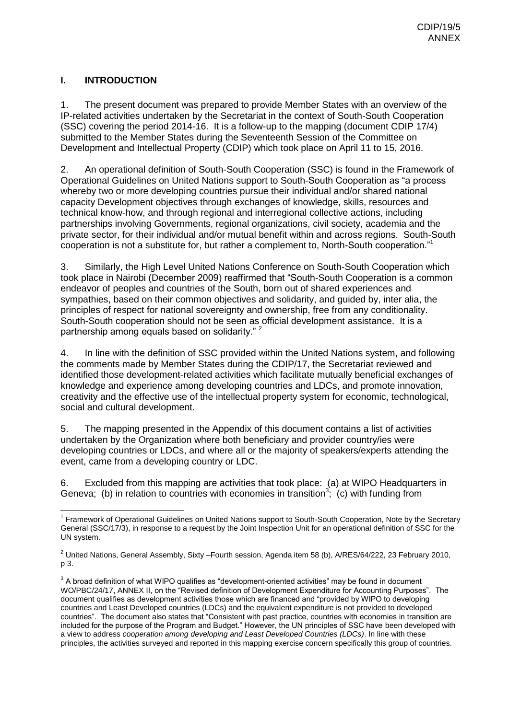### **I. INTRODUCTION**

1. The present document was prepared to provide Member States with an overview of the IP-related activities undertaken by the Secretariat in the context of South-South Cooperation (SSC) covering the period 2014-16. It is a follow-up to the mapping (document CDIP 17/4) submitted to the Member States during the Seventeenth Session of the Committee on Development and Intellectual Property (CDIP) which took place on April 11 to 15, 2016.

2. An operational definition of South-South Cooperation (SSC) is found in the Framework of Operational Guidelines on United Nations support to South-South Cooperation as "a process whereby two or more developing countries pursue their individual and/or shared national capacity Development objectives through exchanges of knowledge, skills, resources and technical know-how, and through regional and interregional collective actions, including partnerships involving Governments, regional organizations, civil society, academia and the private sector, for their individual and/or mutual benefit within and across regions. South-South cooperation is not a substitute for, but rather a complement to, North-South cooperation."<sup>1</sup>

3. Similarly, the High Level United Nations Conference on South-South Cooperation which took place in Nairobi (December 2009) reaffirmed that "South-South Cooperation is a common endeavor of peoples and countries of the South, born out of shared experiences and sympathies, based on their common objectives and solidarity, and guided by, inter alia, the principles of respect for national sovereignty and ownership, free from any conditionality. South-South cooperation should not be seen as official development assistance. It is a partnership among equals based on solidarity."<sup>2</sup>

4. In line with the definition of SSC provided within the United Nations system, and following the comments made by Member States during the CDIP/17, the Secretariat reviewed and identified those development-related activities which facilitate mutually beneficial exchanges of knowledge and experience among developing countries and LDCs, and promote innovation, creativity and the effective use of the intellectual property system for economic, technological, social and cultural development.

5. The mapping presented in the Appendix of this document contains a list of activities undertaken by the Organization where both beneficiary and provider country/ies were developing countries or LDCs, and where all or the majority of speakers/experts attending the event, came from a developing country or LDC.

6. Excluded from this mapping are activities that took place: (a) at WIPO Headquarters in Geneva; (b) in relation to countries with economies in transition<sup>3</sup>; (c) with funding from

 1 Framework of Operational Guidelines on United Nations support to South-South Cooperation, Note by the Secretary General (SSC/17/3), in response to a request by the Joint Inspection Unit for an operational definition of SSC for the UN system.

<sup>&</sup>lt;sup>2</sup> United Nations, General Assembly, Sixty –Fourth session, Agenda item 58 (b), A/RES/64/222, 23 February 2010, p 3.

 $3$  A broad definition of what WIPO qualifies as "development-oriented activities" may be found in document WO/PBC/24/17, ANNEX II, on the "Revised definition of Development Expenditure for Accounting Purposes". The document qualifies as development activities those which are financed and "provided by WIPO to developing countries and Least Developed countries (LDCs) and the equivalent expenditure is not provided to developed countries". The document also states that "Consistent with past practice, countries with economies in transition are included for the purpose of the Program and Budget." However, the UN principles of SSC have been developed with a view to address *cooperation among developing and Least Developed Countries (LDCs)*. In line with these principles, the activities surveyed and reported in this mapping exercise concern specifically this group of countries.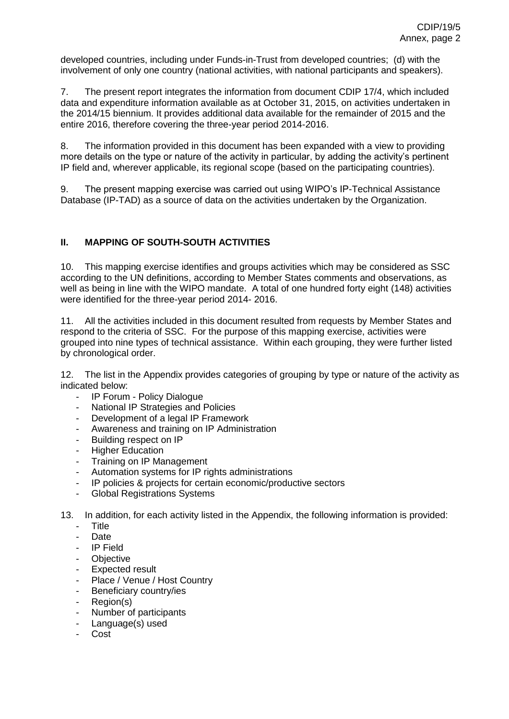developed countries, including under Funds-in-Trust from developed countries; (d) with the involvement of only one country (national activities, with national participants and speakers).

7. The present report integrates the information from document CDIP 17/4, which included data and expenditure information available as at October 31, 2015, on activities undertaken in the 2014/15 biennium. It provides additional data available for the remainder of 2015 and the entire 2016, therefore covering the three-year period 2014-2016.

8. The information provided in this document has been expanded with a view to providing more details on the type or nature of the activity in particular, by adding the activity's pertinent IP field and, wherever applicable, its regional scope (based on the participating countries).

9. The present mapping exercise was carried out using WIPO's IP-Technical Assistance Database (IP-TAD) as a source of data on the activities undertaken by the Organization.

#### **II. MAPPING OF SOUTH-SOUTH ACTIVITIES**

10. This mapping exercise identifies and groups activities which may be considered as SSC according to the UN definitions, according to Member States comments and observations, as well as being in line with the WIPO mandate. A total of one hundred forty eight (148) activities were identified for the three-year period 2014- 2016.

11. All the activities included in this document resulted from requests by Member States and respond to the criteria of SSC. For the purpose of this mapping exercise, activities were grouped into nine types of technical assistance. Within each grouping, they were further listed by chronological order.

12. The list in the Appendix provides categories of grouping by type or nature of the activity as indicated below:

- IP Forum Policy Dialogue
- National IP Strategies and Policies
- Development of a legal IP Framework
- Awareness and training on IP Administration
- Building respect on IP
- **Higher Education**
- Training on IP Management
- Automation systems for IP rights administrations
- IP policies & projects for certain economic/productive sectors
- Global Registrations Systems
- 13. In addition, for each activity listed in the Appendix, the following information is provided:
	- Title
	- Date
	- IP Field
	- Objective
	- Expected result
	- Place / Venue / Host Country
	- Beneficiary country/ies
	- Region(s)
	- Number of participants
	- Language(s) used
	- Cost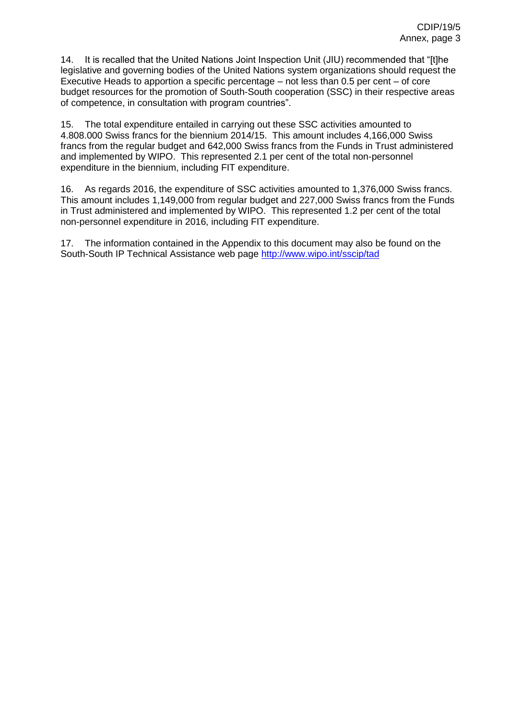14. It is recalled that the United Nations Joint Inspection Unit (JIU) recommended that "[t]he legislative and governing bodies of the United Nations system organizations should request the Executive Heads to apportion a specific percentage – not less than 0.5 per cent – of core budget resources for the promotion of South-South cooperation (SSC) in their respective areas of competence, in consultation with program countries".

15. The total expenditure entailed in carrying out these SSC activities amounted to 4.808.000 Swiss francs for the biennium 2014/15. This amount includes 4,166,000 Swiss francs from the regular budget and 642,000 Swiss francs from the Funds in Trust administered and implemented by WIPO. This represented 2.1 per cent of the total non-personnel expenditure in the biennium, including FIT expenditure.

16. As regards 2016, the expenditure of SSC activities amounted to 1,376,000 Swiss francs. This amount includes 1,149,000 from regular budget and 227,000 Swiss francs from the Funds in Trust administered and implemented by WIPO. This represented 1.2 per cent of the total non-personnel expenditure in 2016, including FIT expenditure.

17. The information contained in the Appendix to this document may also be found on the South-South IP Technical Assistance web page<http://www.wipo.int/sscip/tad>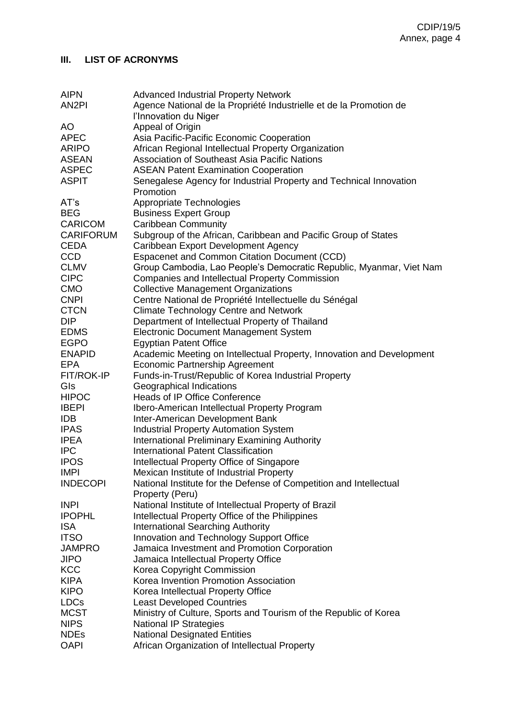#### **III. LIST OF ACRONYMS**

| <b>AIPN</b><br>AN <sub>2</sub> PI | <b>Advanced Industrial Property Network</b><br>Agence National de la Propriété Industrielle et de la Promotion de |
|-----------------------------------|-------------------------------------------------------------------------------------------------------------------|
|                                   | l'Innovation du Niger                                                                                             |
| AO                                | Appeal of Origin                                                                                                  |
| <b>APEC</b>                       | Asia Pacific-Pacific Economic Cooperation                                                                         |
| <b>ARIPO</b>                      | African Regional Intellectual Property Organization                                                               |
| <b>ASEAN</b>                      | Association of Southeast Asia Pacific Nations                                                                     |
| <b>ASPEC</b>                      | <b>ASEAN Patent Examination Cooperation</b>                                                                       |
| <b>ASPIT</b>                      | Senegalese Agency for Industrial Property and Technical Innovation                                                |
|                                   | Promotion                                                                                                         |
| AT's                              | Appropriate Technologies                                                                                          |
| <b>BEG</b>                        | <b>Business Expert Group</b>                                                                                      |
| <b>CARICOM</b>                    | <b>Caribbean Community</b>                                                                                        |
| <b>CARIFORUM</b>                  | Subgroup of the African, Caribbean and Pacific Group of States                                                    |
| <b>CEDA</b>                       | Caribbean Export Development Agency                                                                               |
| <b>CCD</b>                        | <b>Espacenet and Common Citation Document (CCD)</b>                                                               |
| <b>CLMV</b>                       | Group Cambodia, Lao People's Democratic Republic, Myanmar, Viet Nam                                               |
| <b>CIPC</b>                       | Companies and Intellectual Property Commission                                                                    |
| <b>CMO</b>                        | <b>Collective Management Organizations</b>                                                                        |
| <b>CNPI</b>                       | Centre National de Propriété Intellectuelle du Sénégal                                                            |
| <b>CTCN</b>                       | <b>Climate Technology Centre and Network</b>                                                                      |
| <b>DIP</b>                        | Department of Intellectual Property of Thailand                                                                   |
| <b>EDMS</b>                       | <b>Electronic Document Management System</b>                                                                      |
| <b>EGPO</b>                       | <b>Egyptian Patent Office</b>                                                                                     |
| <b>ENAPID</b>                     | Academic Meeting on Intellectual Property, Innovation and Development                                             |
| EPA                               | <b>Economic Partnership Agreement</b>                                                                             |
| FIT/ROK-IP                        | Funds-in-Trust/Republic of Korea Industrial Property                                                              |
| GIs                               | Geographical Indications                                                                                          |
| <b>HIPOC</b>                      | Heads of IP Office Conference                                                                                     |
| <b>IBEPI</b>                      | Ibero-American Intellectual Property Program                                                                      |
| <b>IDB</b>                        | Inter-American Development Bank                                                                                   |
| <b>IPAS</b>                       | <b>Industrial Property Automation System</b>                                                                      |
| <b>IPEA</b>                       | International Preliminary Examining Authority                                                                     |
| <b>IPC</b>                        | International Patent Classification                                                                               |
| <b>IPOS</b>                       | Intellectual Property Office of Singapore                                                                         |
| <b>IMPI</b>                       | Mexican Institute of Industrial Property                                                                          |
| <b>INDECOPI</b>                   | National Institute for the Defense of Competition and Intellectual                                                |
|                                   | Property (Peru)                                                                                                   |
| <b>INPI</b>                       | National Institute of Intellectual Property of Brazil                                                             |
| <b>IPOPHL</b>                     | Intellectual Property Office of the Philippines                                                                   |
| <b>ISA</b>                        | <b>International Searching Authority</b>                                                                          |
| <b>ITSO</b>                       | Innovation and Technology Support Office                                                                          |
| <b>JAMPRO</b>                     | Jamaica Investment and Promotion Corporation                                                                      |
| <b>JIPO</b>                       | Jamaica Intellectual Property Office                                                                              |
| <b>KCC</b>                        | Korea Copyright Commission                                                                                        |
| <b>KIPA</b>                       | Korea Invention Promotion Association                                                                             |
| <b>KIPO</b>                       | Korea Intellectual Property Office                                                                                |
| <b>LDCs</b>                       | <b>Least Developed Countries</b>                                                                                  |
| <b>MCST</b>                       | Ministry of Culture, Sports and Tourism of the Republic of Korea                                                  |
| <b>NIPS</b><br><b>NDEs</b>        | <b>National IP Strategies</b>                                                                                     |
| <b>OAPI</b>                       | <b>National Designated Entities</b><br>African Organization of Intellectual Property                              |
|                                   |                                                                                                                   |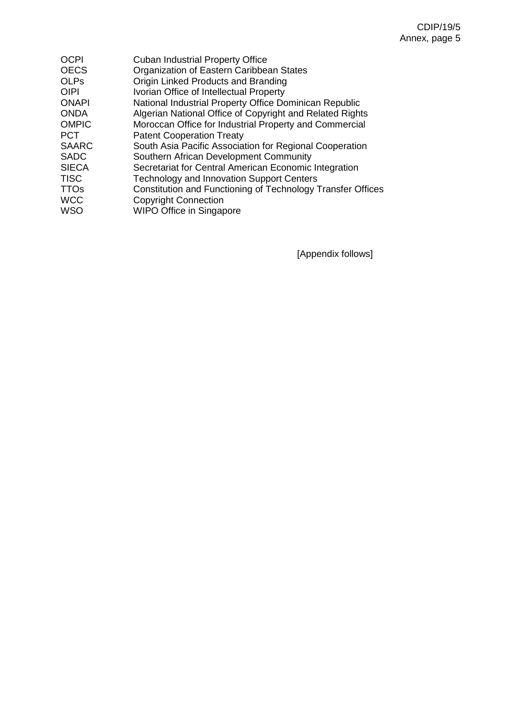| <b>OCPI</b>  | <b>Cuban Industrial Property Office</b>                     |
|--------------|-------------------------------------------------------------|
| <b>OECS</b>  | Organization of Eastern Caribbean States                    |
| <b>OLPs</b>  | Origin Linked Products and Branding                         |
| <b>OIPI</b>  | Ivorian Office of Intellectual Property                     |
| <b>ONAPI</b> | National Industrial Property Office Dominican Republic      |
| <b>ONDA</b>  | Algerian National Office of Copyright and Related Rights    |
| <b>OMPIC</b> | Moroccan Office for Industrial Property and Commercial      |
| <b>PCT</b>   | <b>Patent Cooperation Treaty</b>                            |
| <b>SAARC</b> | South Asia Pacific Association for Regional Cooperation     |
| <b>SADC</b>  | Southern African Development Community                      |
| <b>SIECA</b> | Secretariat for Central American Economic Integration       |
| <b>TISC</b>  | <b>Technology and Innovation Support Centers</b>            |
| <b>TTOs</b>  | Constitution and Functioning of Technology Transfer Offices |
| <b>WCC</b>   | <b>Copyright Connection</b>                                 |
| <b>WSO</b>   | <b>WIPO Office in Singapore</b>                             |
|              |                                                             |

[Appendix follows]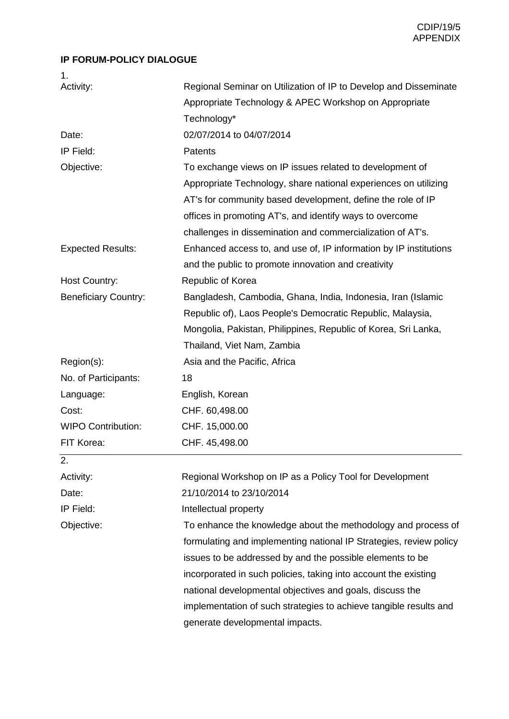#### **IP FORUM-POLICY DIALOGUE**

| 1.                          |                                                                    |
|-----------------------------|--------------------------------------------------------------------|
| Activity:                   | Regional Seminar on Utilization of IP to Develop and Disseminate   |
|                             | Appropriate Technology & APEC Workshop on Appropriate              |
|                             | Technology*                                                        |
| Date:                       | 02/07/2014 to 04/07/2014                                           |
| IP Field:                   | Patents                                                            |
| Objective:                  | To exchange views on IP issues related to development of           |
|                             | Appropriate Technology, share national experiences on utilizing    |
|                             | AT's for community based development, define the role of IP        |
|                             | offices in promoting AT's, and identify ways to overcome           |
|                             | challenges in dissemination and commercialization of AT's.         |
| <b>Expected Results:</b>    | Enhanced access to, and use of, IP information by IP institutions  |
|                             | and the public to promote innovation and creativity                |
| <b>Host Country:</b>        | Republic of Korea                                                  |
| <b>Beneficiary Country:</b> | Bangladesh, Cambodia, Ghana, India, Indonesia, Iran (Islamic       |
|                             | Republic of), Laos People's Democratic Republic, Malaysia,         |
|                             | Mongolia, Pakistan, Philippines, Republic of Korea, Sri Lanka,     |
|                             | Thailand, Viet Nam, Zambia                                         |
| Region(s):                  | Asia and the Pacific, Africa                                       |
| No. of Participants:        | 18                                                                 |
| Language:                   | English, Korean                                                    |
| Cost:                       | CHF. 60,498.00                                                     |
| <b>WIPO Contribution:</b>   | CHF. 15,000.00                                                     |
| FIT Korea:                  | CHF. 45,498.00                                                     |
| 2.                          |                                                                    |
| Activity:                   | Regional Workshop on IP as a Policy Tool for Development           |
| Date:                       | 21/10/2014 to 23/10/2014                                           |
| IP Field:                   | Intellectual property                                              |
| Objective:                  | To enhance the knowledge about the methodology and process of      |
|                             | formulating and implementing national IP Strategies, review policy |
|                             | issues to be addressed by and the possible elements to be          |
|                             | incorporated in such policies, taking into account the existing    |
|                             | national developmental objectives and goals, discuss the           |
|                             | implementation of such strategies to achieve tangible results and  |
|                             | generate developmental impacts.                                    |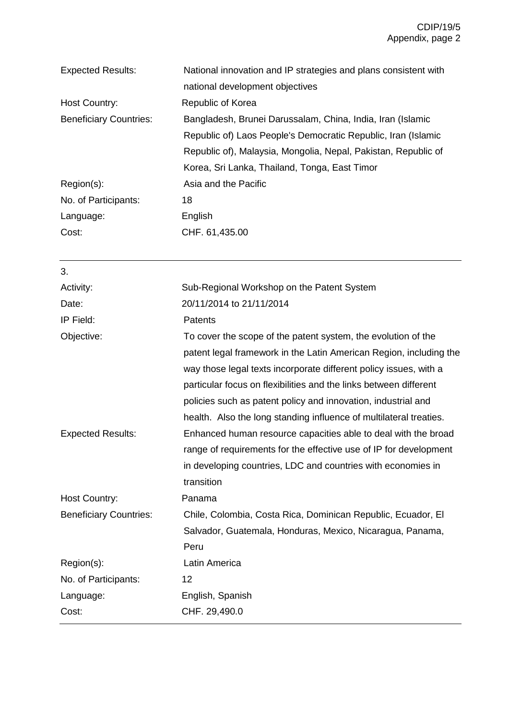| National innovation and IP strategies and plans consistent with |
|-----------------------------------------------------------------|
| national development objectives                                 |
| Republic of Korea                                               |
| Bangladesh, Brunei Darussalam, China, India, Iran (Islamic      |
| Republic of) Laos People's Democratic Republic, Iran (Islamic   |
| Republic of), Malaysia, Mongolia, Nepal, Pakistan, Republic of  |
| Korea, Sri Lanka, Thailand, Tonga, East Timor                   |
| Asia and the Pacific                                            |
| 18                                                              |
| English                                                         |
| CHF. 61,435.00                                                  |
|                                                                 |

| Sub-Regional Workshop on the Patent System                         |
|--------------------------------------------------------------------|
| 20/11/2014 to 21/11/2014                                           |
| Patents                                                            |
| To cover the scope of the patent system, the evolution of the      |
| patent legal framework in the Latin American Region, including the |
| way those legal texts incorporate different policy issues, with a  |
| particular focus on flexibilities and the links between different  |
| policies such as patent policy and innovation, industrial and      |
| health. Also the long standing influence of multilateral treaties. |
| Enhanced human resource capacities able to deal with the broad     |
| range of requirements for the effective use of IP for development  |
| in developing countries, LDC and countries with economies in       |
| transition                                                         |
| Panama                                                             |
| Chile, Colombia, Costa Rica, Dominican Republic, Ecuador, El       |
| Salvador, Guatemala, Honduras, Mexico, Nicaragua, Panama,          |
| Peru                                                               |
| Latin America                                                      |
| 12                                                                 |
| English, Spanish                                                   |
| CHF. 29,490.0                                                      |
|                                                                    |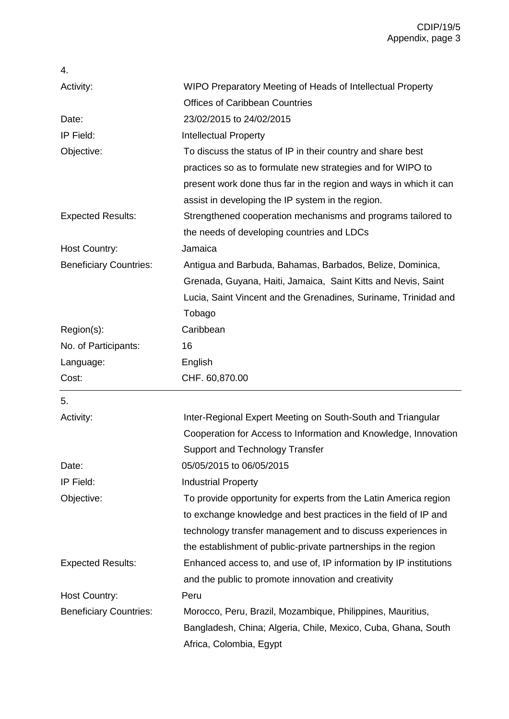| 4.                            |                                                                   |
|-------------------------------|-------------------------------------------------------------------|
| Activity:                     | WIPO Preparatory Meeting of Heads of Intellectual Property        |
|                               | <b>Offices of Caribbean Countries</b>                             |
| Date:                         | 23/02/2015 to 24/02/2015                                          |
| IP Field:                     | <b>Intellectual Property</b>                                      |
| Objective:                    | To discuss the status of IP in their country and share best       |
|                               | practices so as to formulate new strategies and for WIPO to       |
|                               | present work done thus far in the region and ways in which it can |
|                               | assist in developing the IP system in the region.                 |
| <b>Expected Results:</b>      | Strengthened cooperation mechanisms and programs tailored to      |
|                               | the needs of developing countries and LDCs                        |
| <b>Host Country:</b>          | Jamaica                                                           |
| <b>Beneficiary Countries:</b> | Antigua and Barbuda, Bahamas, Barbados, Belize, Dominica,         |
|                               | Grenada, Guyana, Haiti, Jamaica, Saint Kitts and Nevis, Saint     |
|                               | Lucia, Saint Vincent and the Grenadines, Suriname, Trinidad and   |
|                               | Tobago                                                            |
| Region(s):                    | Caribbean                                                         |
| No. of Participants:          | 16                                                                |
| Language:                     | English                                                           |
| Cost:                         | CHF. 60,870.00                                                    |
| 5.                            |                                                                   |
| Activity:                     | Inter-Regional Expert Meeting on South-South and Triangular       |
|                               | Cooperation for Access to Information and Knowledge, Innovation   |
|                               | Support and Technology Transfer                                   |
| Date:                         | 05/05/2015 to 06/05/2015                                          |
| IP Field:                     | <b>Industrial Property</b>                                        |
| Objective:                    | To provide opportunity for experts from the Latin America region  |
|                               | to exchange knowledge and best practices in the field of IP and   |
|                               | technology transfer management and to discuss experiences in      |
|                               | the establishment of public-private partnerships in the region    |
| <b>Expected Results:</b>      | Enhanced access to, and use of, IP information by IP institutions |
|                               | and the public to promote innovation and creativity               |
| <b>Host Country:</b>          | Peru                                                              |
| <b>Beneficiary Countries:</b> | Morocco, Peru, Brazil, Mozambique, Philippines, Mauritius,        |
|                               | Bangladesh, China; Algeria, Chile, Mexico, Cuba, Ghana, South     |
|                               | Africa, Colombia, Egypt                                           |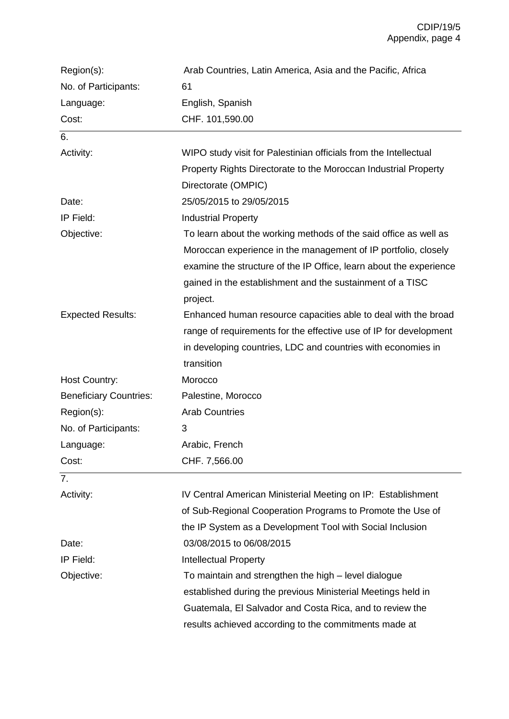| Region(s):                    | Arab Countries, Latin America, Asia and the Pacific, Africa        |
|-------------------------------|--------------------------------------------------------------------|
| No. of Participants:          | 61                                                                 |
| Language:                     | English, Spanish                                                   |
| Cost:                         | CHF. 101,590.00                                                    |
| 6.                            |                                                                    |
| Activity:                     | WIPO study visit for Palestinian officials from the Intellectual   |
|                               | Property Rights Directorate to the Moroccan Industrial Property    |
|                               | Directorate (OMPIC)                                                |
| Date:                         | 25/05/2015 to 29/05/2015                                           |
| IP Field:                     | <b>Industrial Property</b>                                         |
| Objective:                    | To learn about the working methods of the said office as well as   |
|                               | Moroccan experience in the management of IP portfolio, closely     |
|                               | examine the structure of the IP Office, learn about the experience |
|                               | gained in the establishment and the sustainment of a TISC          |
|                               | project.                                                           |
| <b>Expected Results:</b>      | Enhanced human resource capacities able to deal with the broad     |
|                               | range of requirements for the effective use of IP for development  |
|                               | in developing countries, LDC and countries with economies in       |
|                               | transition                                                         |
| Host Country:                 | Morocco                                                            |
| <b>Beneficiary Countries:</b> | Palestine, Morocco                                                 |
| Region(s):                    | <b>Arab Countries</b>                                              |
| No. of Participants:          | 3                                                                  |
| Language:                     | Arabic, French                                                     |
| Cost:                         | CHF. 7,566.00                                                      |
| 7.                            |                                                                    |
| Activity:                     | IV Central American Ministerial Meeting on IP: Establishment       |
|                               | of Sub-Regional Cooperation Programs to Promote the Use of         |
|                               | the IP System as a Development Tool with Social Inclusion          |
| Date:                         | 03/08/2015 to 06/08/2015                                           |
| IP Field:                     | <b>Intellectual Property</b>                                       |
| Objective:                    | To maintain and strengthen the high – level dialogue               |
|                               | established during the previous Ministerial Meetings held in       |
|                               | Guatemala, El Salvador and Costa Rica, and to review the           |
|                               | results achieved according to the commitments made at              |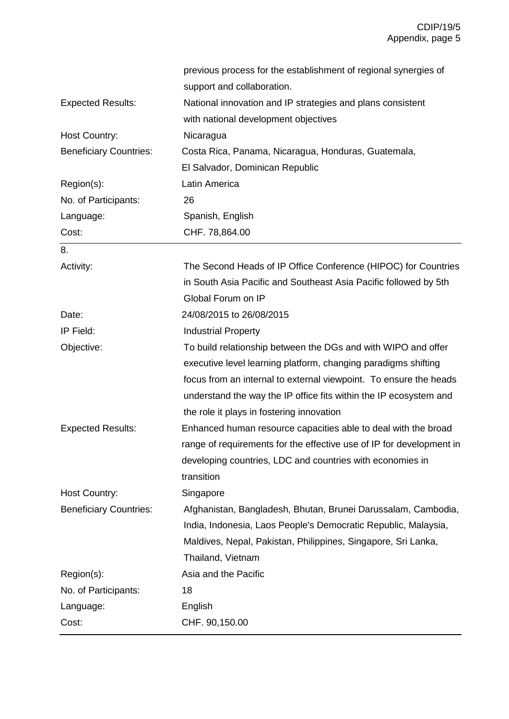|                               | previous process for the establishment of regional synergies of      |
|-------------------------------|----------------------------------------------------------------------|
|                               | support and collaboration.                                           |
| <b>Expected Results:</b>      | National innovation and IP strategies and plans consistent           |
|                               | with national development objectives                                 |
| Host Country:                 | Nicaragua                                                            |
| <b>Beneficiary Countries:</b> | Costa Rica, Panama, Nicaragua, Honduras, Guatemala,                  |
|                               | El Salvador, Dominican Republic                                      |
| Region(s):                    | Latin America                                                        |
| No. of Participants:          | 26                                                                   |
| Language:                     | Spanish, English                                                     |
| Cost:                         | CHF. 78,864.00                                                       |
| 8.                            |                                                                      |
| Activity:                     | The Second Heads of IP Office Conference (HIPOC) for Countries       |
|                               | in South Asia Pacific and Southeast Asia Pacific followed by 5th     |
|                               | Global Forum on IP                                                   |
| Date:                         | 24/08/2015 to 26/08/2015                                             |
| IP Field:                     | <b>Industrial Property</b>                                           |
| Objective:                    | To build relationship between the DGs and with WIPO and offer        |
|                               | executive level learning platform, changing paradigms shifting       |
|                               | focus from an internal to external viewpoint. To ensure the heads    |
|                               | understand the way the IP office fits within the IP ecosystem and    |
|                               | the role it plays in fostering innovation                            |
| <b>Expected Results:</b>      | Enhanced human resource capacities able to deal with the broad       |
|                               | range of requirements for the effective use of IP for development in |
|                               | developing countries, LDC and countries with economies in            |
|                               | transition                                                           |
| <b>Host Country:</b>          | Singapore                                                            |
| <b>Beneficiary Countries:</b> | Afghanistan, Bangladesh, Bhutan, Brunei Darussalam, Cambodia,        |
|                               | India, Indonesia, Laos People's Democratic Republic, Malaysia,       |
|                               | Maldives, Nepal, Pakistan, Philippines, Singapore, Sri Lanka,        |
|                               | Thailand, Vietnam                                                    |
| Region(s):                    | Asia and the Pacific                                                 |
| No. of Participants:          | 18                                                                   |
| Language:                     | English                                                              |
| Cost:                         | CHF. 90,150.00                                                       |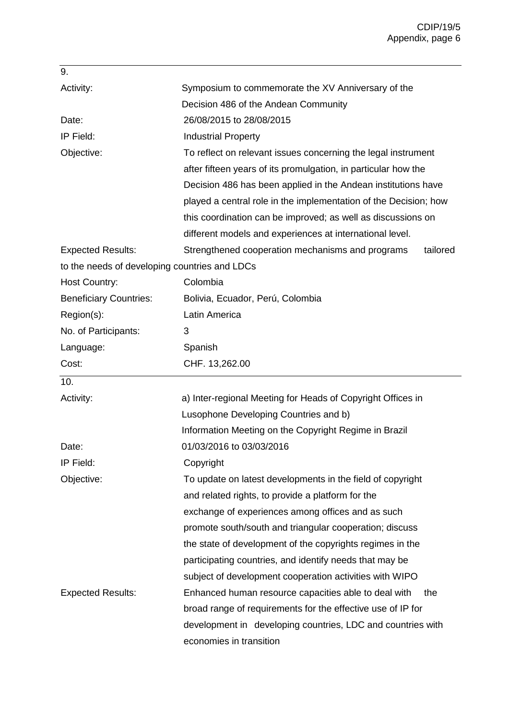| 9.                                            |                                                                  |
|-----------------------------------------------|------------------------------------------------------------------|
| Activity:                                     | Symposium to commemorate the XV Anniversary of the               |
|                                               | Decision 486 of the Andean Community                             |
| Date:                                         | 26/08/2015 to 28/08/2015                                         |
| IP Field:                                     | <b>Industrial Property</b>                                       |
| Objective:                                    | To reflect on relevant issues concerning the legal instrument    |
|                                               | after fifteen years of its promulgation, in particular how the   |
|                                               | Decision 486 has been applied in the Andean institutions have    |
|                                               | played a central role in the implementation of the Decision; how |
|                                               | this coordination can be improved; as well as discussions on     |
|                                               | different models and experiences at international level.         |
| <b>Expected Results:</b>                      | Strengthened cooperation mechanisms and programs<br>tailored     |
| to the needs of developing countries and LDCs |                                                                  |
| Host Country:                                 | Colombia                                                         |
| <b>Beneficiary Countries:</b>                 | Bolivia, Ecuador, Perú, Colombia                                 |
| Region(s):                                    | Latin America                                                    |
| No. of Participants:                          | 3                                                                |
| Language:                                     | Spanish                                                          |
| Cost:                                         | CHF. 13,262.00                                                   |
| 10.                                           |                                                                  |
| Activity:                                     | a) Inter-regional Meeting for Heads of Copyright Offices in      |
|                                               | Lusophone Developing Countries and b)                            |
|                                               | Information Meeting on the Copyright Regime in Brazil            |
| Date:                                         | 01/03/2016 to 03/03/2016                                         |
| IP Field:                                     | Copyright                                                        |
| Objective:                                    | To update on latest developments in the field of copyright       |
|                                               | and related rights, to provide a platform for the                |
|                                               | exchange of experiences among offices and as such                |
|                                               | promote south/south and triangular cooperation; discuss          |
|                                               | the state of development of the copyrights regimes in the        |
|                                               | participating countries, and identify needs that may be          |
|                                               | subject of development cooperation activities with WIPO          |
|                                               |                                                                  |
| <b>Expected Results:</b>                      | Enhanced human resource capacities able to deal with<br>the      |
|                                               | broad range of requirements for the effective use of IP for      |
|                                               | development in developing countries, LDC and countries with      |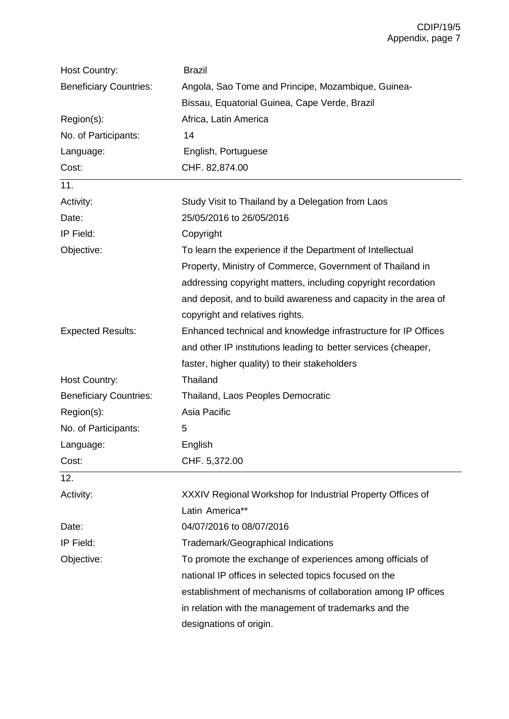| Host Country:                 | <b>Brazil</b>                                                   |
|-------------------------------|-----------------------------------------------------------------|
| <b>Beneficiary Countries:</b> | Angola, Sao Tome and Principe, Mozambique, Guinea-              |
|                               | Bissau, Equatorial Guinea, Cape Verde, Brazil                   |
| Region(s):                    | Africa, Latin America                                           |
| No. of Participants:          | 14                                                              |
| Language:                     | English, Portuguese                                             |
| Cost:                         | CHF. 82,874.00                                                  |
| 11.                           |                                                                 |
| Activity:                     | Study Visit to Thailand by a Delegation from Laos               |
| Date:                         | 25/05/2016 to 26/05/2016                                        |
| IP Field:                     | Copyright                                                       |
| Objective:                    | To learn the experience if the Department of Intellectual       |
|                               | Property, Ministry of Commerce, Government of Thailand in       |
|                               | addressing copyright matters, including copyright recordation   |
|                               | and deposit, and to build awareness and capacity in the area of |
|                               | copyright and relatives rights.                                 |
| <b>Expected Results:</b>      | Enhanced technical and knowledge infrastructure for IP Offices  |
|                               | and other IP institutions leading to better services (cheaper,  |
|                               | faster, higher quality) to their stakeholders                   |
| Host Country:                 | Thailand                                                        |
| <b>Beneficiary Countries:</b> | Thailand, Laos Peoples Democratic                               |
| Region(s):                    | Asia Pacific                                                    |
| No. of Participants:          | 5                                                               |
| Language:                     | English                                                         |
| Cost:                         | CHF. 5,372.00                                                   |
| 12.                           |                                                                 |
| Activity:                     | XXXIV Regional Workshop for Industrial Property Offices of      |
|                               | Latin America**                                                 |
| Date:                         | 04/07/2016 to 08/07/2016                                        |
| IP Field:                     | <b>Trademark/Geographical Indications</b>                       |
| Objective:                    | To promote the exchange of experiences among officials of       |
|                               | national IP offices in selected topics focused on the           |
|                               | establishment of mechanisms of collaboration among IP offices   |
|                               | in relation with the management of trademarks and the           |
|                               | designations of origin.                                         |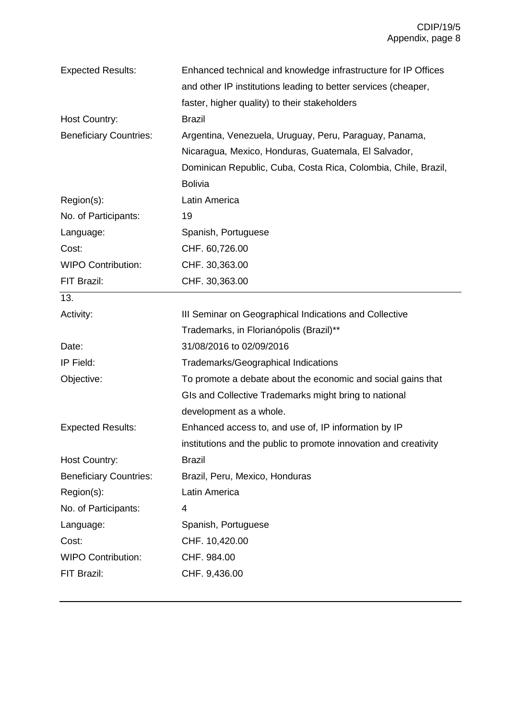| <b>Expected Results:</b>      | Enhanced technical and knowledge infrastructure for IP Offices   |
|-------------------------------|------------------------------------------------------------------|
|                               | and other IP institutions leading to better services (cheaper,   |
|                               | faster, higher quality) to their stakeholders                    |
| Host Country:                 | <b>Brazil</b>                                                    |
| <b>Beneficiary Countries:</b> | Argentina, Venezuela, Uruguay, Peru, Paraguay, Panama,           |
|                               | Nicaragua, Mexico, Honduras, Guatemala, El Salvador,             |
|                               | Dominican Republic, Cuba, Costa Rica, Colombia, Chile, Brazil,   |
|                               | <b>Bolivia</b>                                                   |
| Region(s):                    | Latin America                                                    |
| No. of Participants:          | 19                                                               |
| Language:                     | Spanish, Portuguese                                              |
| Cost:                         | CHF. 60,726.00                                                   |
| <b>WIPO Contribution:</b>     | CHF. 30,363.00                                                   |
| FIT Brazil:                   | CHF. 30,363.00                                                   |
| 13.                           |                                                                  |
| Activity:                     | III Seminar on Geographical Indications and Collective           |
|                               | Trademarks, in Florianópolis (Brazil)**                          |
| Date:                         | 31/08/2016 to 02/09/2016                                         |
| IP Field:                     | Trademarks/Geographical Indications                              |
| Objective:                    | To promote a debate about the economic and social gains that     |
|                               | GIs and Collective Trademarks might bring to national            |
|                               | development as a whole.                                          |
| <b>Expected Results:</b>      | Enhanced access to, and use of, IP information by IP             |
|                               | institutions and the public to promote innovation and creativity |
| <b>Host Country:</b>          | <b>Brazil</b>                                                    |
| <b>Beneficiary Countries:</b> | Brazil, Peru, Mexico, Honduras                                   |
| Region(s):                    | Latin America                                                    |
| No. of Participants:          | 4                                                                |
| Language:                     | Spanish, Portuguese                                              |
| Cost:                         | CHF. 10,420.00                                                   |
| <b>WIPO Contribution:</b>     | CHF. 984.00                                                      |
| FIT Brazil:                   | CHF. 9,436.00                                                    |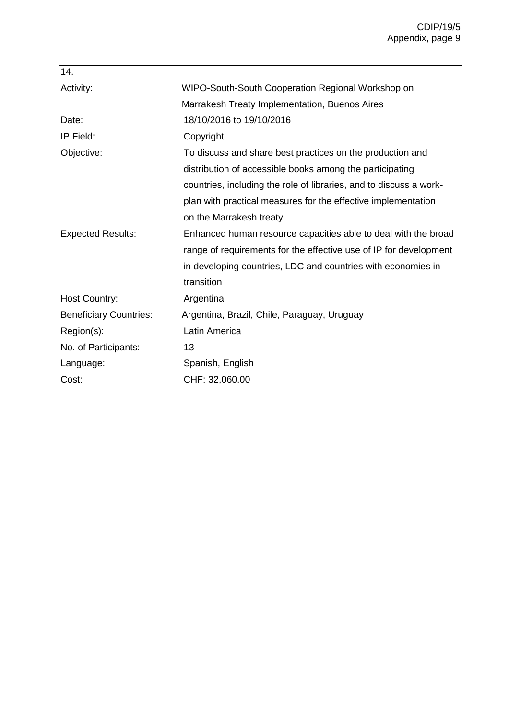| 14.                           |                                                                    |
|-------------------------------|--------------------------------------------------------------------|
| Activity:                     | WIPO-South-South Cooperation Regional Workshop on                  |
|                               | Marrakesh Treaty Implementation, Buenos Aires                      |
| Date:                         | 18/10/2016 to 19/10/2016                                           |
| IP Field:                     | Copyright                                                          |
| Objective:                    | To discuss and share best practices on the production and          |
|                               | distribution of accessible books among the participating           |
|                               | countries, including the role of libraries, and to discuss a work- |
|                               | plan with practical measures for the effective implementation      |
|                               | on the Marrakesh treaty                                            |
| <b>Expected Results:</b>      | Enhanced human resource capacities able to deal with the broad     |
|                               | range of requirements for the effective use of IP for development  |
|                               | in developing countries, LDC and countries with economies in       |
|                               | transition                                                         |
| <b>Host Country:</b>          | Argentina                                                          |
| <b>Beneficiary Countries:</b> | Argentina, Brazil, Chile, Paraguay, Uruguay                        |
| Region(s):                    | Latin America                                                      |
| No. of Participants:          | 13                                                                 |
| Language:                     | Spanish, English                                                   |
| Cost:                         | CHF: 32,060.00                                                     |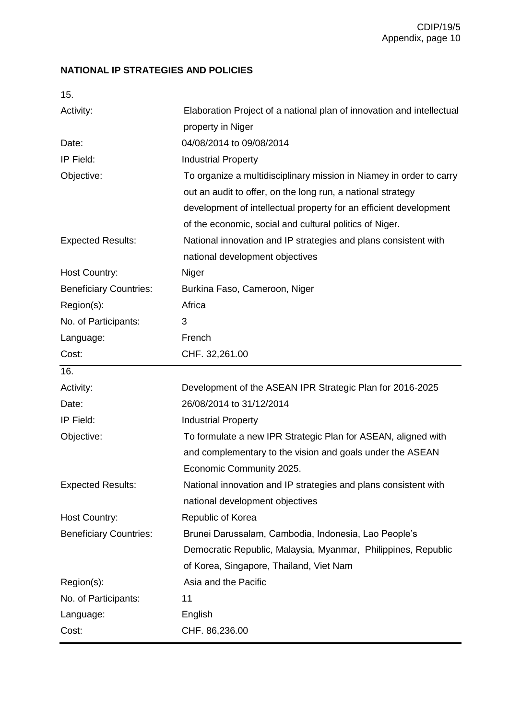## **NATIONAL IP STRATEGIES AND POLICIES**

| ٠ | v<br>i<br>۰.<br>۰. |
|---|--------------------|
|   |                    |

| Activity:                     | Elaboration Project of a national plan of innovation and intellectual<br>property in Niger                                                                                                                                                                         |
|-------------------------------|--------------------------------------------------------------------------------------------------------------------------------------------------------------------------------------------------------------------------------------------------------------------|
| Date:                         | 04/08/2014 to 09/08/2014                                                                                                                                                                                                                                           |
| IP Field:                     | <b>Industrial Property</b>                                                                                                                                                                                                                                         |
| Objective:                    | To organize a multidisciplinary mission in Niamey in order to carry<br>out an audit to offer, on the long run, a national strategy<br>development of intellectual property for an efficient development<br>of the economic, social and cultural politics of Niger. |
| <b>Expected Results:</b>      | National innovation and IP strategies and plans consistent with<br>national development objectives                                                                                                                                                                 |
| Host Country:                 | Niger                                                                                                                                                                                                                                                              |
| <b>Beneficiary Countries:</b> | Burkina Faso, Cameroon, Niger                                                                                                                                                                                                                                      |
| Region(s):                    | Africa                                                                                                                                                                                                                                                             |
| No. of Participants:          | 3                                                                                                                                                                                                                                                                  |
| Language:                     | French                                                                                                                                                                                                                                                             |
| Cost:                         | CHF. 32,261.00                                                                                                                                                                                                                                                     |
| 16.                           |                                                                                                                                                                                                                                                                    |
| Activity:                     | Development of the ASEAN IPR Strategic Plan for 2016-2025                                                                                                                                                                                                          |
| Date:                         | 26/08/2014 to 31/12/2014                                                                                                                                                                                                                                           |
| IP Field:                     | <b>Industrial Property</b>                                                                                                                                                                                                                                         |
| Objective:                    | To formulate a new IPR Strategic Plan for ASEAN, aligned with<br>and complementary to the vision and goals under the ASEAN<br>Economic Community 2025.                                                                                                             |
| <b>Expected Results:</b>      | National innovation and IP strategies and plans consistent with<br>national development objectives                                                                                                                                                                 |
| <b>Host Country:</b>          | Republic of Korea                                                                                                                                                                                                                                                  |
| <b>Beneficiary Countries:</b> | Brunei Darussalam, Cambodia, Indonesia, Lao People's                                                                                                                                                                                                               |
|                               | Democratic Republic, Malaysia, Myanmar, Philippines, Republic<br>of Korea, Singapore, Thailand, Viet Nam                                                                                                                                                           |
| Region(s):                    | Asia and the Pacific                                                                                                                                                                                                                                               |
| No. of Participants:          | 11                                                                                                                                                                                                                                                                 |
|                               |                                                                                                                                                                                                                                                                    |
| Language:                     | English                                                                                                                                                                                                                                                            |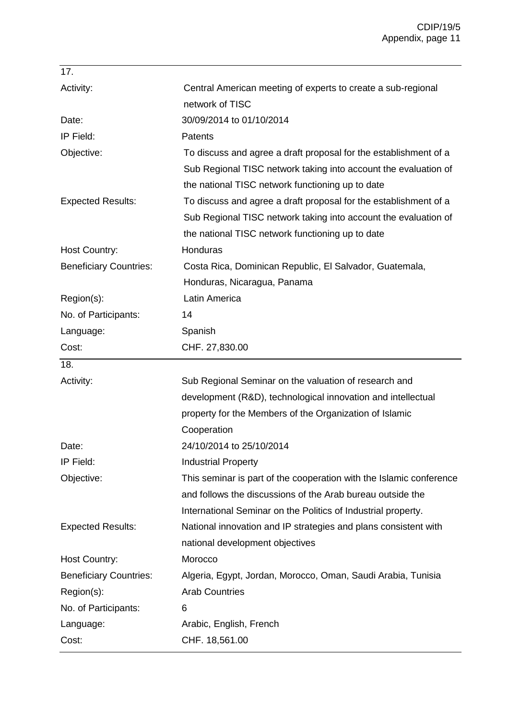| 17.                           |                                                                     |
|-------------------------------|---------------------------------------------------------------------|
| Activity:                     | Central American meeting of experts to create a sub-regional        |
|                               | network of TISC                                                     |
| Date:                         | 30/09/2014 to 01/10/2014                                            |
| IP Field:                     | Patents                                                             |
| Objective:                    | To discuss and agree a draft proposal for the establishment of a    |
|                               | Sub Regional TISC network taking into account the evaluation of     |
|                               | the national TISC network functioning up to date                    |
| <b>Expected Results:</b>      | To discuss and agree a draft proposal for the establishment of a    |
|                               | Sub Regional TISC network taking into account the evaluation of     |
|                               | the national TISC network functioning up to date                    |
| Host Country:                 | Honduras                                                            |
| <b>Beneficiary Countries:</b> | Costa Rica, Dominican Republic, El Salvador, Guatemala,             |
|                               | Honduras, Nicaragua, Panama                                         |
| Region(s):                    | Latin America                                                       |
| No. of Participants:          | 14                                                                  |
| Language:                     | Spanish                                                             |
| Cost:                         | CHF. 27,830.00                                                      |
| 18.                           |                                                                     |
| Activity:                     | Sub Regional Seminar on the valuation of research and               |
|                               | development (R&D), technological innovation and intellectual        |
|                               |                                                                     |
|                               | property for the Members of the Organization of Islamic             |
|                               | Cooperation                                                         |
| Date:                         | 24/10/2014 to 25/10/2014                                            |
| IP Field:                     | <b>Industrial Property</b>                                          |
| Objective:                    | This seminar is part of the cooperation with the Islamic conference |
|                               | and follows the discussions of the Arab bureau outside the          |
|                               | International Seminar on the Politics of Industrial property.       |
| <b>Expected Results:</b>      | National innovation and IP strategies and plans consistent with     |
|                               | national development objectives                                     |
| Host Country:                 | Morocco                                                             |
| <b>Beneficiary Countries:</b> | Algeria, Egypt, Jordan, Morocco, Oman, Saudi Arabia, Tunisia        |
| Region(s):                    | <b>Arab Countries</b>                                               |
| No. of Participants:          | 6                                                                   |
| Language:                     | Arabic, English, French                                             |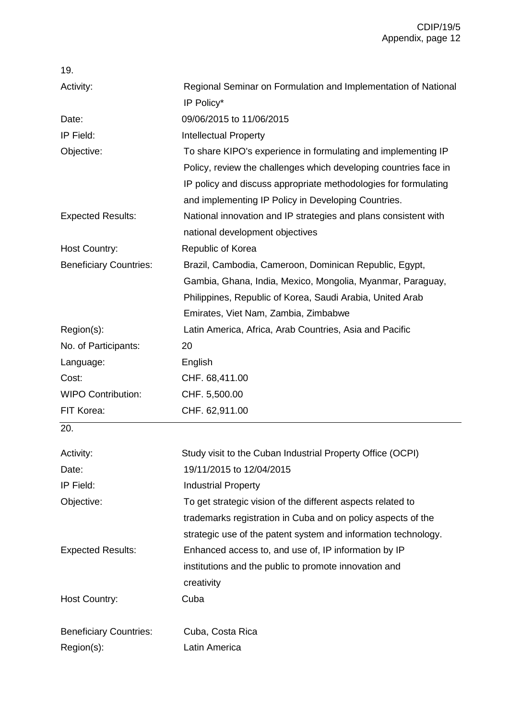| 19.                           |                                                                  |
|-------------------------------|------------------------------------------------------------------|
| Activity:                     | Regional Seminar on Formulation and Implementation of National   |
|                               | IP Policy*                                                       |
| Date:                         | 09/06/2015 to 11/06/2015                                         |
| IP Field:                     | <b>Intellectual Property</b>                                     |
| Objective:                    | To share KIPO's experience in formulating and implementing IP    |
|                               | Policy, review the challenges which developing countries face in |
|                               | IP policy and discuss appropriate methodologies for formulating  |
|                               | and implementing IP Policy in Developing Countries.              |
| <b>Expected Results:</b>      | National innovation and IP strategies and plans consistent with  |
|                               | national development objectives                                  |
| Host Country:                 | Republic of Korea                                                |
| <b>Beneficiary Countries:</b> | Brazil, Cambodia, Cameroon, Dominican Republic, Egypt,           |
|                               | Gambia, Ghana, India, Mexico, Mongolia, Myanmar, Paraguay,       |
|                               | Philippines, Republic of Korea, Saudi Arabia, United Arab        |
|                               | Emirates, Viet Nam, Zambia, Zimbabwe                             |
| Region(s):                    | Latin America, Africa, Arab Countries, Asia and Pacific          |
| No. of Participants:          | 20                                                               |
| Language:                     | English                                                          |
| Cost:                         | CHF. 68,411.00                                                   |
| <b>WIPO Contribution:</b>     | CHF. 5,500.00                                                    |
| FIT Korea:                    | CHF. 62,911.00                                                   |
| 20.                           |                                                                  |
| Activity:                     | Study visit to the Cuban Industrial Property Office (OCPI)       |
| Date:                         | 19/11/2015 to 12/04/2015                                         |
| IP Field:                     | <b>Industrial Property</b>                                       |
| Objective:                    | To get strategic vision of the different aspects related to      |
|                               | trademarks registration in Cuba and on policy aspects of the     |
|                               | strategic use of the patent system and information technology.   |
| <b>Expected Results:</b>      | Enhanced access to, and use of, IP information by IP             |
|                               | institutions and the public to promote innovation and            |
|                               | creativity                                                       |
| Host Country:                 | Cuba                                                             |
|                               |                                                                  |
| <b>Beneficiary Countries:</b> | Cuba, Costa Rica                                                 |
| Region(s):                    | Latin America                                                    |
|                               |                                                                  |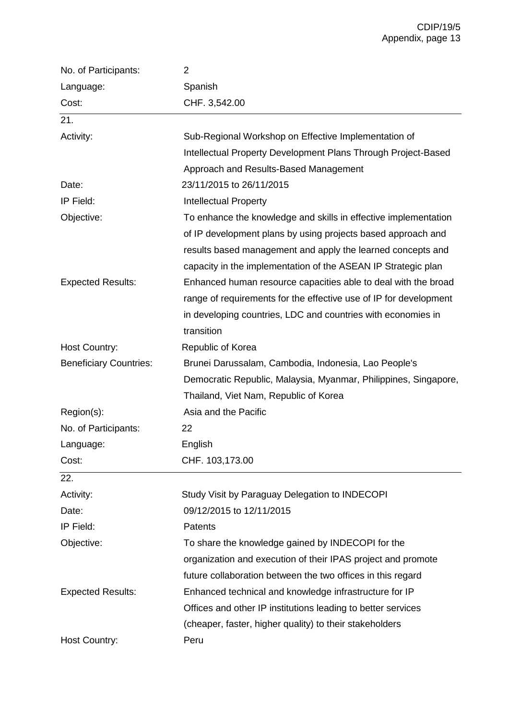| No. of Participants:          | 2                                                                 |
|-------------------------------|-------------------------------------------------------------------|
| Language:                     | Spanish                                                           |
| Cost:                         | CHF. 3,542.00                                                     |
| 21.                           |                                                                   |
| Activity:                     | Sub-Regional Workshop on Effective Implementation of              |
|                               | Intellectual Property Development Plans Through Project-Based     |
|                               | Approach and Results-Based Management                             |
| Date:                         | 23/11/2015 to 26/11/2015                                          |
| IP Field:                     | <b>Intellectual Property</b>                                      |
| Objective:                    | To enhance the knowledge and skills in effective implementation   |
|                               | of IP development plans by using projects based approach and      |
|                               | results based management and apply the learned concepts and       |
|                               | capacity in the implementation of the ASEAN IP Strategic plan     |
| <b>Expected Results:</b>      | Enhanced human resource capacities able to deal with the broad    |
|                               | range of requirements for the effective use of IP for development |
|                               | in developing countries, LDC and countries with economies in      |
|                               | transition                                                        |
| Host Country:                 | Republic of Korea                                                 |
| <b>Beneficiary Countries:</b> | Brunei Darussalam, Cambodia, Indonesia, Lao People's              |
|                               | Democratic Republic, Malaysia, Myanmar, Philippines, Singapore,   |
|                               | Thailand, Viet Nam, Republic of Korea                             |
| Region(s):                    | Asia and the Pacific                                              |
| No. of Participants:          | 22                                                                |
| Language:                     | English                                                           |
| Cost:                         | CHF. 103,173.00                                                   |
| 22.                           |                                                                   |
| Activity:                     | Study Visit by Paraguay Delegation to INDECOPI                    |
| Date:                         | 09/12/2015 to 12/11/2015                                          |
| IP Field:                     | <b>Patents</b>                                                    |
| Objective:                    | To share the knowledge gained by INDECOPI for the                 |
|                               | organization and execution of their IPAS project and promote      |
|                               | future collaboration between the two offices in this regard       |
| <b>Expected Results:</b>      | Enhanced technical and knowledge infrastructure for IP            |
|                               | Offices and other IP institutions leading to better services      |
|                               | (cheaper, faster, higher quality) to their stakeholders           |
| Host Country:                 | Peru                                                              |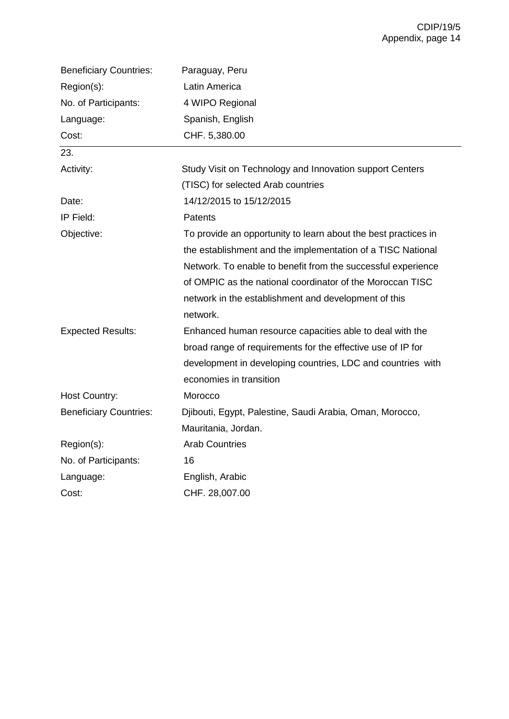| <b>Beneficiary Countries:</b> | Paraguay, Peru                                                 |
|-------------------------------|----------------------------------------------------------------|
| Region(s):                    | Latin America                                                  |
| No. of Participants:          | 4 WIPO Regional                                                |
| Language:                     | Spanish, English                                               |
| Cost:                         | CHF. 5,380.00                                                  |
| 23.                           |                                                                |
| Activity:                     | Study Visit on Technology and Innovation support Centers       |
|                               | (TISC) for selected Arab countries                             |
| Date:                         | 14/12/2015 to 15/12/2015                                       |
| IP Field:                     | <b>Patents</b>                                                 |
| Objective:                    | To provide an opportunity to learn about the best practices in |
|                               | the establishment and the implementation of a TISC National    |
|                               | Network. To enable to benefit from the successful experience   |
|                               | of OMPIC as the national coordinator of the Moroccan TISC      |
|                               | network in the establishment and development of this           |
|                               | network.                                                       |
| <b>Expected Results:</b>      | Enhanced human resource capacities able to deal with the       |
|                               | broad range of requirements for the effective use of IP for    |
|                               | development in developing countries, LDC and countries with    |
|                               | economies in transition                                        |
| Host Country:                 | Morocco                                                        |
| <b>Beneficiary Countries:</b> | Djibouti, Egypt, Palestine, Saudi Arabia, Oman, Morocco,       |
|                               | Mauritania, Jordan.                                            |
| Region(s):                    | <b>Arab Countries</b>                                          |
| No. of Participants:          | 16                                                             |
| Language:                     | English, Arabic                                                |
| Cost:                         | CHF. 28,007.00                                                 |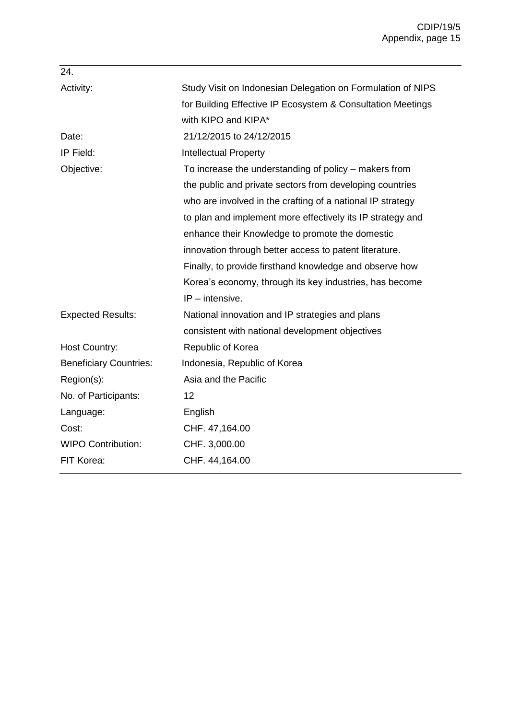| 24.                           |                                                             |
|-------------------------------|-------------------------------------------------------------|
| Activity:                     | Study Visit on Indonesian Delegation on Formulation of NIPS |
|                               | for Building Effective IP Ecosystem & Consultation Meetings |
|                               | with KIPO and KIPA*                                         |
| Date:                         | 21/12/2015 to 24/12/2015                                    |
| IP Field:                     | <b>Intellectual Property</b>                                |
| Objective:                    | To increase the understanding of policy – makers from       |
|                               | the public and private sectors from developing countries    |
|                               | who are involved in the crafting of a national IP strategy  |
|                               | to plan and implement more effectively its IP strategy and  |
|                               | enhance their Knowledge to promote the domestic             |
|                               | innovation through better access to patent literature.      |
|                               | Finally, to provide firsthand knowledge and observe how     |
|                               | Korea's economy, through its key industries, has become     |
|                               | $IP$ – intensive.                                           |
| <b>Expected Results:</b>      | National innovation and IP strategies and plans             |
|                               | consistent with national development objectives             |
| <b>Host Country:</b>          | Republic of Korea                                           |
| <b>Beneficiary Countries:</b> | Indonesia, Republic of Korea                                |
| Region(s):                    | Asia and the Pacific                                        |
| No. of Participants:          | 12                                                          |
| Language:                     | English                                                     |
| Cost:                         | CHF. 47,164.00                                              |
| <b>WIPO Contribution:</b>     | CHF. 3,000.00                                               |
| FIT Korea:                    | CHF. 44,164.00                                              |
|                               |                                                             |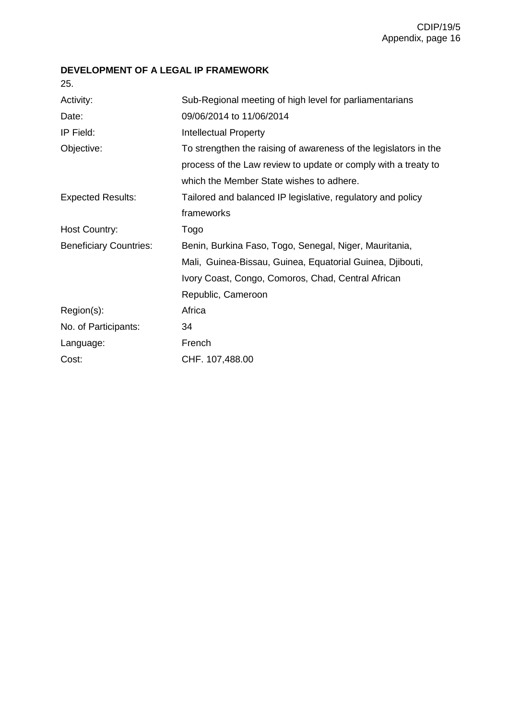## **DEVELOPMENT OF A LEGAL IP FRAMEWORK**

| 25.                           |                                                                  |
|-------------------------------|------------------------------------------------------------------|
| Activity:                     | Sub-Regional meeting of high level for parliamentarians          |
| Date:                         | 09/06/2014 to 11/06/2014                                         |
| IP Field:                     | <b>Intellectual Property</b>                                     |
| Objective:                    | To strengthen the raising of awareness of the legislators in the |
|                               | process of the Law review to update or comply with a treaty to   |
|                               | which the Member State wishes to adhere.                         |
| <b>Expected Results:</b>      | Tailored and balanced IP legislative, regulatory and policy      |
|                               | frameworks                                                       |
| Host Country:                 | Togo                                                             |
| <b>Beneficiary Countries:</b> | Benin, Burkina Faso, Togo, Senegal, Niger, Mauritania,           |
|                               | Mali, Guinea-Bissau, Guinea, Equatorial Guinea, Djibouti,        |
|                               | Ivory Coast, Congo, Comoros, Chad, Central African               |
|                               | Republic, Cameroon                                               |
| Region(s):                    | Africa                                                           |
| No. of Participants:          | 34                                                               |
| Language:                     | French                                                           |
| Cost:                         | CHF. 107,488.00                                                  |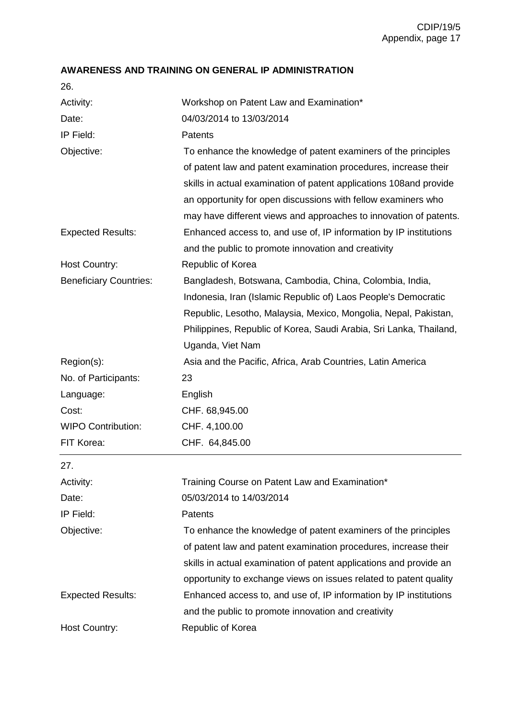# **AWARENESS AND TRAINING ON GENERAL IP ADMINISTRATION**

26.

| Activity:                     | Workshop on Patent Law and Examination*                             |
|-------------------------------|---------------------------------------------------------------------|
| Date:                         | 04/03/2014 to 13/03/2014                                            |
| IP Field:                     | Patents                                                             |
| Objective:                    | To enhance the knowledge of patent examiners of the principles      |
|                               | of patent law and patent examination procedures, increase their     |
|                               | skills in actual examination of patent applications 108 and provide |
|                               | an opportunity for open discussions with fellow examiners who       |
|                               | may have different views and approaches to innovation of patents.   |
| <b>Expected Results:</b>      | Enhanced access to, and use of, IP information by IP institutions   |
|                               | and the public to promote innovation and creativity                 |
| <b>Host Country:</b>          | Republic of Korea                                                   |
| <b>Beneficiary Countries:</b> | Bangladesh, Botswana, Cambodia, China, Colombia, India,             |
|                               | Indonesia, Iran (Islamic Republic of) Laos People's Democratic      |
|                               | Republic, Lesotho, Malaysia, Mexico, Mongolia, Nepal, Pakistan,     |
|                               | Philippines, Republic of Korea, Saudi Arabia, Sri Lanka, Thailand,  |
|                               | Uganda, Viet Nam                                                    |
| Region(s):                    | Asia and the Pacific, Africa, Arab Countries, Latin America         |
| No. of Participants:          | 23                                                                  |
| Language:                     | English                                                             |
| Cost:                         | CHF. 68,945.00                                                      |
| <b>WIPO Contribution:</b>     | CHF. 4,100.00                                                       |
| FIT Korea:                    | CHF. 64,845.00                                                      |
| 27.                           |                                                                     |
| Activity:                     | Training Course on Patent Law and Examination*                      |
| Date:                         | 05/03/2014 to 14/03/2014                                            |
| IP Field:                     | Patents                                                             |
| Objective:                    | To enhance the knowledge of patent examiners of the principles      |
|                               | of patent law and patent examination procedures, increase their     |
|                               | skills in actual examination of patent applications and provide an  |
|                               | opportunity to exchange views on issues related to patent quality   |
| <b>Expected Results:</b>      | Enhanced access to, and use of, IP information by IP institutions   |
|                               | and the public to promote innovation and creativity                 |
| <b>Host Country:</b>          | Republic of Korea                                                   |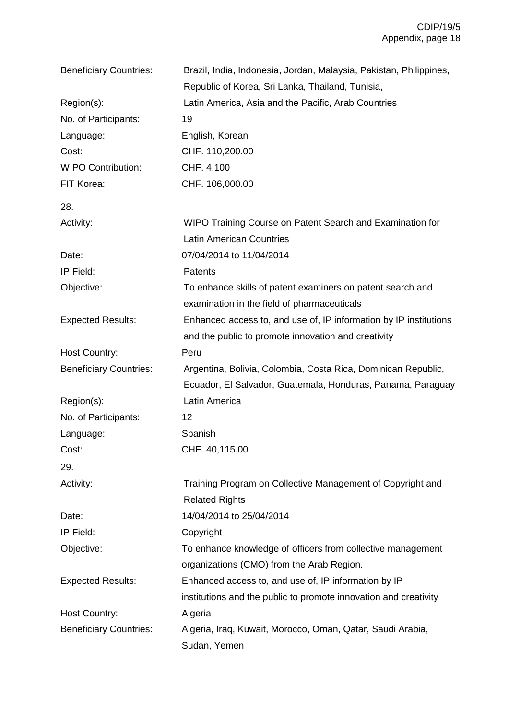| <b>Beneficiary Countries:</b> | Brazil, India, Indonesia, Jordan, Malaysia, Pakistan, Philippines,                  |
|-------------------------------|-------------------------------------------------------------------------------------|
|                               | Republic of Korea, Sri Lanka, Thailand, Tunisia,                                    |
| Region(s):                    | Latin America, Asia and the Pacific, Arab Countries                                 |
| No. of Participants:          | 19                                                                                  |
| Language:                     | English, Korean                                                                     |
| Cost:                         | CHF. 110,200.00                                                                     |
| <b>WIPO Contribution:</b>     | CHF. 4.100                                                                          |
| FIT Korea:                    | CHF. 106,000.00                                                                     |
| 28.                           |                                                                                     |
| Activity:                     | WIPO Training Course on Patent Search and Examination for                           |
|                               | <b>Latin American Countries</b>                                                     |
| Date:                         | 07/04/2014 to 11/04/2014                                                            |
| IP Field:                     | Patents                                                                             |
| Objective:                    | To enhance skills of patent examiners on patent search and                          |
|                               | examination in the field of pharmaceuticals                                         |
| <b>Expected Results:</b>      | Enhanced access to, and use of, IP information by IP institutions                   |
|                               | and the public to promote innovation and creativity                                 |
| <b>Host Country:</b>          | Peru                                                                                |
| <b>Beneficiary Countries:</b> | Argentina, Bolivia, Colombia, Costa Rica, Dominican Republic,                       |
|                               | Ecuador, El Salvador, Guatemala, Honduras, Panama, Paraguay                         |
| Region(s):                    | Latin America                                                                       |
| No. of Participants:          | 12                                                                                  |
| Language:                     | Spanish                                                                             |
| Cost:                         | CHF. 40,115.00                                                                      |
| 29.                           |                                                                                     |
| Activity:                     | Training Program on Collective Management of Copyright and<br><b>Related Rights</b> |
| Date:                         | 14/04/2014 to 25/04/2014                                                            |
| IP Field:                     | Copyright                                                                           |
| Objective:                    | To enhance knowledge of officers from collective management                         |
|                               | organizations (CMO) from the Arab Region.                                           |
| <b>Expected Results:</b>      | Enhanced access to, and use of, IP information by IP                                |
|                               | institutions and the public to promote innovation and creativity                    |
| <b>Host Country:</b>          | Algeria                                                                             |
| <b>Beneficiary Countries:</b> | Algeria, Iraq, Kuwait, Morocco, Oman, Qatar, Saudi Arabia,                          |
|                               | Sudan, Yemen                                                                        |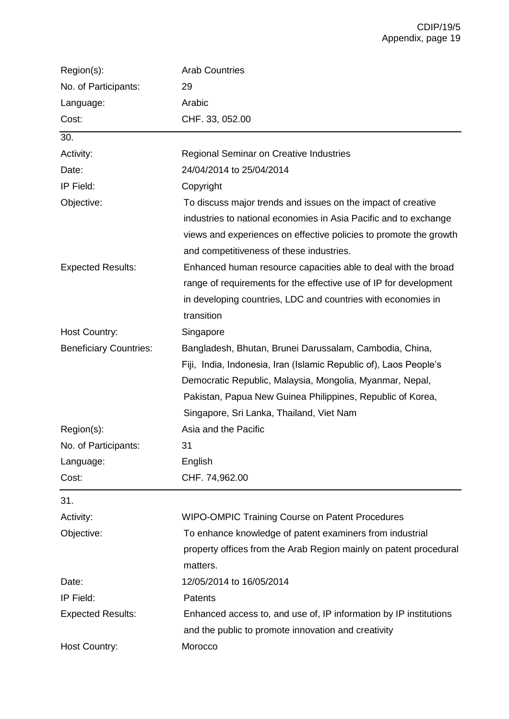| Region(s):                    | <b>Arab Countries</b>                                             |
|-------------------------------|-------------------------------------------------------------------|
| No. of Participants:          | 29                                                                |
| Language:                     | Arabic                                                            |
| Cost:                         | CHF. 33, 052.00                                                   |
| 30.                           |                                                                   |
| Activity:                     | <b>Regional Seminar on Creative Industries</b>                    |
| Date:                         | 24/04/2014 to 25/04/2014                                          |
| IP Field:                     | Copyright                                                         |
| Objective:                    | To discuss major trends and issues on the impact of creative      |
|                               | industries to national economies in Asia Pacific and to exchange  |
|                               | views and experiences on effective policies to promote the growth |
|                               | and competitiveness of these industries.                          |
| <b>Expected Results:</b>      | Enhanced human resource capacities able to deal with the broad    |
|                               | range of requirements for the effective use of IP for development |
|                               | in developing countries, LDC and countries with economies in      |
|                               | transition                                                        |
| <b>Host Country:</b>          | Singapore                                                         |
| <b>Beneficiary Countries:</b> | Bangladesh, Bhutan, Brunei Darussalam, Cambodia, China,           |
|                               | Fiji, India, Indonesia, Iran (Islamic Republic of), Laos People's |
|                               | Democratic Republic, Malaysia, Mongolia, Myanmar, Nepal,          |
|                               | Pakistan, Papua New Guinea Philippines, Republic of Korea,        |
|                               | Singapore, Sri Lanka, Thailand, Viet Nam                          |
| Region(s):                    | Asia and the Pacific                                              |
| No. of Participants:          | 31                                                                |
| Language:                     | English                                                           |
| Cost:                         | CHF. 74,962.00                                                    |
| 31.                           |                                                                   |
| Activity:                     | <b>WIPO-OMPIC Training Course on Patent Procedures</b>            |
| Objective:                    | To enhance knowledge of patent examiners from industrial          |
|                               | property offices from the Arab Region mainly on patent procedural |
|                               | matters.                                                          |
| Date:                         | 12/05/2014 to 16/05/2014                                          |
| IP Field:                     | Patents                                                           |
| <b>Expected Results:</b>      | Enhanced access to, and use of, IP information by IP institutions |
|                               | and the public to promote innovation and creativity               |
| <b>Host Country:</b>          | Morocco                                                           |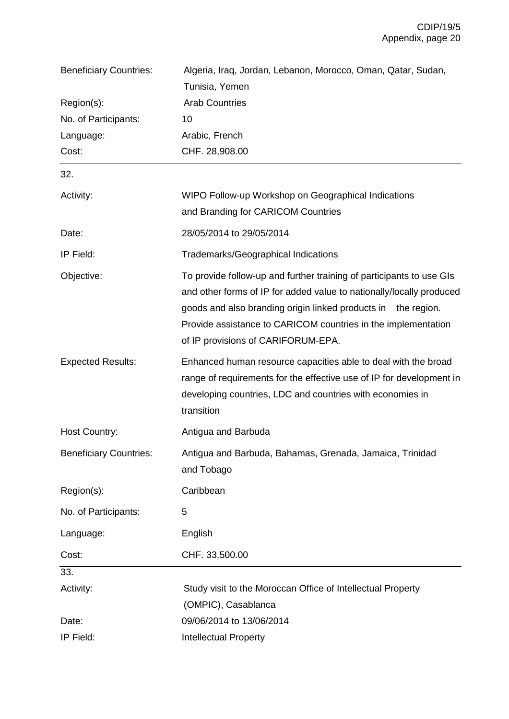| <b>Beneficiary Countries:</b> | Algeria, Iraq, Jordan, Lebanon, Morocco, Oman, Qatar, Sudan,                                                                                                                                                                                                                                                         |
|-------------------------------|----------------------------------------------------------------------------------------------------------------------------------------------------------------------------------------------------------------------------------------------------------------------------------------------------------------------|
|                               | Tunisia, Yemen                                                                                                                                                                                                                                                                                                       |
| Region(s):                    | <b>Arab Countries</b>                                                                                                                                                                                                                                                                                                |
| No. of Participants:          | 10                                                                                                                                                                                                                                                                                                                   |
| Language:                     | Arabic, French                                                                                                                                                                                                                                                                                                       |
| Cost:                         | CHF. 28,908.00                                                                                                                                                                                                                                                                                                       |
| 32.                           |                                                                                                                                                                                                                                                                                                                      |
| Activity:                     | WIPO Follow-up Workshop on Geographical Indications                                                                                                                                                                                                                                                                  |
|                               | and Branding for CARICOM Countries                                                                                                                                                                                                                                                                                   |
| Date:                         | 28/05/2014 to 29/05/2014                                                                                                                                                                                                                                                                                             |
| IP Field:                     | Trademarks/Geographical Indications                                                                                                                                                                                                                                                                                  |
| Objective:                    | To provide follow-up and further training of participants to use GIs<br>and other forms of IP for added value to nationally/locally produced<br>goods and also branding origin linked products in the region.<br>Provide assistance to CARICOM countries in the implementation<br>of IP provisions of CARIFORUM-EPA. |
| <b>Expected Results:</b>      | Enhanced human resource capacities able to deal with the broad<br>range of requirements for the effective use of IP for development in<br>developing countries, LDC and countries with economies in<br>transition                                                                                                    |
| Host Country:                 | Antigua and Barbuda                                                                                                                                                                                                                                                                                                  |
| <b>Beneficiary Countries:</b> | Antigua and Barbuda, Bahamas, Grenada, Jamaica, Trinidad<br>and Tobago                                                                                                                                                                                                                                               |
| Region(s):                    | Caribbean                                                                                                                                                                                                                                                                                                            |
| No. of Participants:          | 5                                                                                                                                                                                                                                                                                                                    |
| Language:                     | English                                                                                                                                                                                                                                                                                                              |
| Cost:                         | CHF. 33,500.00                                                                                                                                                                                                                                                                                                       |
| 33.                           |                                                                                                                                                                                                                                                                                                                      |
| Activity:                     | Study visit to the Moroccan Office of Intellectual Property                                                                                                                                                                                                                                                          |
|                               | (OMPIC), Casablanca                                                                                                                                                                                                                                                                                                  |
| Date:                         | 09/06/2014 to 13/06/2014                                                                                                                                                                                                                                                                                             |
| IP Field:                     | <b>Intellectual Property</b>                                                                                                                                                                                                                                                                                         |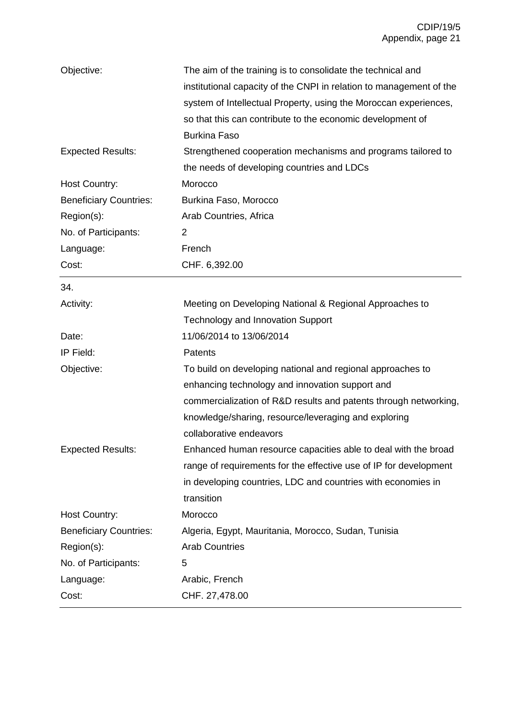| Objective:                    | The aim of the training is to consolidate the technical and<br>institutional capacity of the CNPI in relation to management of the |
|-------------------------------|------------------------------------------------------------------------------------------------------------------------------------|
|                               | system of Intellectual Property, using the Moroccan experiences,                                                                   |
|                               | so that this can contribute to the economic development of                                                                         |
|                               | <b>Burkina Faso</b>                                                                                                                |
| <b>Expected Results:</b>      | Strengthened cooperation mechanisms and programs tailored to                                                                       |
|                               | the needs of developing countries and LDCs                                                                                         |
| <b>Host Country:</b>          | Morocco                                                                                                                            |
| <b>Beneficiary Countries:</b> | Burkina Faso, Morocco                                                                                                              |
| Region(s):                    | Arab Countries, Africa                                                                                                             |
| No. of Participants:          | 2                                                                                                                                  |
| Language:                     | French                                                                                                                             |
| Cost:                         | CHF. 6,392.00                                                                                                                      |
| 34.                           |                                                                                                                                    |
| Activity:                     | Meeting on Developing National & Regional Approaches to                                                                            |
|                               | <b>Technology and Innovation Support</b>                                                                                           |
| Date:                         | 11/06/2014 to 13/06/2014                                                                                                           |
| IP Field:                     | <b>Patents</b>                                                                                                                     |
| Objective:                    | To build on developing national and regional approaches to                                                                         |
|                               | enhancing technology and innovation support and                                                                                    |
|                               | commercialization of R&D results and patents through networking,                                                                   |
|                               | knowledge/sharing, resource/leveraging and exploring                                                                               |
|                               | collaborative endeavors                                                                                                            |
| <b>Expected Results:</b>      | Enhanced human resource capacities able to deal with the broad                                                                     |
|                               | range of requirements for the effective use of IP for development                                                                  |
|                               | in developing countries, LDC and countries with economies in                                                                       |
|                               | transition                                                                                                                         |
| <b>Host Country:</b>          | Morocco                                                                                                                            |
| <b>Beneficiary Countries:</b> | Algeria, Egypt, Mauritania, Morocco, Sudan, Tunisia                                                                                |
| Region(s):                    | <b>Arab Countries</b>                                                                                                              |
| No. of Participants:          | 5                                                                                                                                  |
| Language:                     | Arabic, French                                                                                                                     |
| Cost:                         | CHF. 27,478.00                                                                                                                     |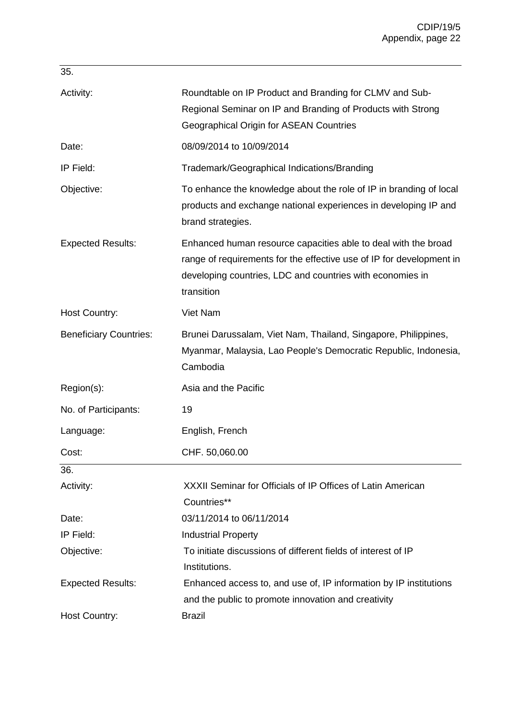| 35.                           |                                                                                                                                                                                                                   |
|-------------------------------|-------------------------------------------------------------------------------------------------------------------------------------------------------------------------------------------------------------------|
| Activity:                     | Roundtable on IP Product and Branding for CLMV and Sub-<br>Regional Seminar on IP and Branding of Products with Strong<br><b>Geographical Origin for ASEAN Countries</b>                                          |
| Date:                         | 08/09/2014 to 10/09/2014                                                                                                                                                                                          |
| IP Field:                     | Trademark/Geographical Indications/Branding                                                                                                                                                                       |
| Objective:                    | To enhance the knowledge about the role of IP in branding of local<br>products and exchange national experiences in developing IP and<br>brand strategies.                                                        |
| <b>Expected Results:</b>      | Enhanced human resource capacities able to deal with the broad<br>range of requirements for the effective use of IP for development in<br>developing countries, LDC and countries with economies in<br>transition |
| <b>Host Country:</b>          | Viet Nam                                                                                                                                                                                                          |
| <b>Beneficiary Countries:</b> | Brunei Darussalam, Viet Nam, Thailand, Singapore, Philippines,<br>Myanmar, Malaysia, Lao People's Democratic Republic, Indonesia,<br>Cambodia                                                                     |
| Region(s):                    | Asia and the Pacific                                                                                                                                                                                              |
| No. of Participants:          | 19                                                                                                                                                                                                                |
| Language:                     | English, French                                                                                                                                                                                                   |
| Cost:                         | CHF. 50,060.00                                                                                                                                                                                                    |
| 36.                           |                                                                                                                                                                                                                   |
| Activity:                     | XXXII Seminar for Officials of IP Offices of Latin American<br>Countries**                                                                                                                                        |
| Date:                         | 03/11/2014 to 06/11/2014                                                                                                                                                                                          |
| IP Field:                     | <b>Industrial Property</b>                                                                                                                                                                                        |
| Objective:                    | To initiate discussions of different fields of interest of IP                                                                                                                                                     |
|                               | Institutions.                                                                                                                                                                                                     |
| <b>Expected Results:</b>      | Enhanced access to, and use of, IP information by IP institutions                                                                                                                                                 |
|                               | and the public to promote innovation and creativity                                                                                                                                                               |
| Host Country:                 | <b>Brazil</b>                                                                                                                                                                                                     |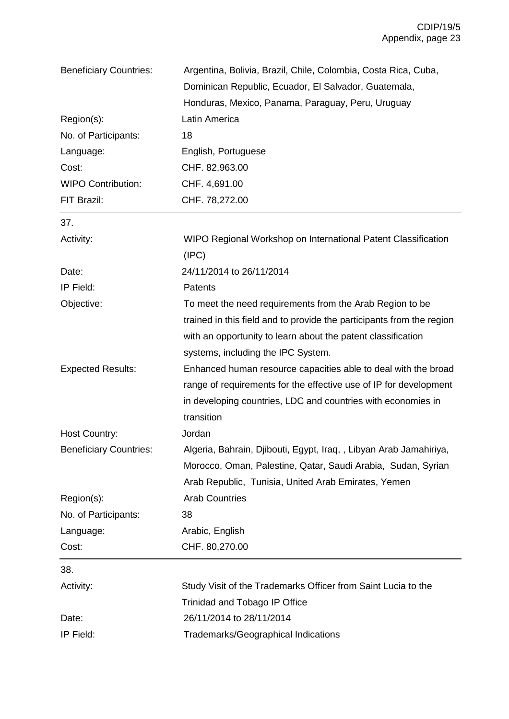| <b>Beneficiary Countries:</b> | Argentina, Bolivia, Brazil, Chile, Colombia, Costa Rica, Cuba,        |
|-------------------------------|-----------------------------------------------------------------------|
|                               | Dominican Republic, Ecuador, El Salvador, Guatemala,                  |
|                               | Honduras, Mexico, Panama, Paraguay, Peru, Uruguay                     |
| Region(s):                    | Latin America                                                         |
| No. of Participants:          | 18                                                                    |
| Language:                     | English, Portuguese                                                   |
| Cost:                         | CHF. 82,963.00                                                        |
| <b>WIPO Contribution:</b>     | CHF. 4,691.00                                                         |
| FIT Brazil:                   | CHF. 78,272.00                                                        |
| 37.                           |                                                                       |
| Activity:                     | WIPO Regional Workshop on International Patent Classification         |
|                               | (IPC)                                                                 |
| Date:                         | 24/11/2014 to 26/11/2014                                              |
| IP Field:                     | Patents                                                               |
| Objective:                    | To meet the need requirements from the Arab Region to be              |
|                               | trained in this field and to provide the participants from the region |
|                               | with an opportunity to learn about the patent classification          |
|                               | systems, including the IPC System.                                    |
| <b>Expected Results:</b>      | Enhanced human resource capacities able to deal with the broad        |
|                               | range of requirements for the effective use of IP for development     |
|                               | in developing countries, LDC and countries with economies in          |
|                               | transition                                                            |
| <b>Host Country:</b>          | Jordan                                                                |
| <b>Beneficiary Countries:</b> | Algeria, Bahrain, Djibouti, Egypt, Iraq,, Libyan Arab Jamahiriya,     |
|                               | Morocco, Oman, Palestine, Qatar, Saudi Arabia, Sudan, Syrian          |
|                               | Arab Republic, Tunisia, United Arab Emirates, Yemen                   |
| Region(s):                    | <b>Arab Countries</b>                                                 |
| No. of Participants:          | 38                                                                    |
| Language:                     | Arabic, English                                                       |
| Cost:                         | CHF. 80,270.00                                                        |
| 38.                           |                                                                       |
| Activity:                     | Study Visit of the Trademarks Officer from Saint Lucia to the         |
|                               | <b>Trinidad and Tobago IP Office</b>                                  |
| Date:                         | 26/11/2014 to 28/11/2014                                              |
| IP Field:                     | Trademarks/Geographical Indications                                   |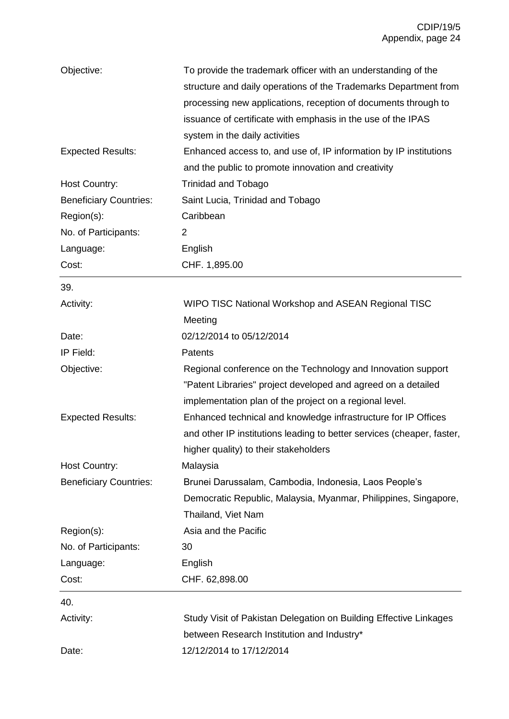| Objective:                    | To provide the trademark officer with an understanding of the<br>structure and daily operations of the Trademarks Department from<br>processing new applications, reception of documents through to<br>issuance of certificate with emphasis in the use of the IPAS |  |
|-------------------------------|---------------------------------------------------------------------------------------------------------------------------------------------------------------------------------------------------------------------------------------------------------------------|--|
| <b>Expected Results:</b>      | system in the daily activities<br>Enhanced access to, and use of, IP information by IP institutions                                                                                                                                                                 |  |
|                               | and the public to promote innovation and creativity                                                                                                                                                                                                                 |  |
| Host Country:                 | <b>Trinidad and Tobago</b>                                                                                                                                                                                                                                          |  |
| <b>Beneficiary Countries:</b> | Saint Lucia, Trinidad and Tobago                                                                                                                                                                                                                                    |  |
| Region(s):                    | Caribbean                                                                                                                                                                                                                                                           |  |
| No. of Participants:          | $\overline{2}$                                                                                                                                                                                                                                                      |  |
| Language:                     | English                                                                                                                                                                                                                                                             |  |
| Cost:                         | CHF. 1,895.00                                                                                                                                                                                                                                                       |  |
| 39.                           |                                                                                                                                                                                                                                                                     |  |
| Activity:                     | WIPO TISC National Workshop and ASEAN Regional TISC                                                                                                                                                                                                                 |  |
|                               | Meeting                                                                                                                                                                                                                                                             |  |
| Date:                         | 02/12/2014 to 05/12/2014                                                                                                                                                                                                                                            |  |
| IP Field:                     | Patents                                                                                                                                                                                                                                                             |  |
| Objective:                    | Regional conference on the Technology and Innovation support<br>"Patent Libraries" project developed and agreed on a detailed<br>implementation plan of the project on a regional level.                                                                            |  |
| <b>Expected Results:</b>      | Enhanced technical and knowledge infrastructure for IP Offices<br>and other IP institutions leading to better services (cheaper, faster,<br>higher quality) to their stakeholders                                                                                   |  |
| Host Country:                 | Malaysia                                                                                                                                                                                                                                                            |  |
| <b>Beneficiary Countries:</b> | Brunei Darussalam, Cambodia, Indonesia, Laos People's                                                                                                                                                                                                               |  |
|                               | Democratic Republic, Malaysia, Myanmar, Philippines, Singapore,<br>Thailand, Viet Nam                                                                                                                                                                               |  |
| Region(s):                    | Asia and the Pacific                                                                                                                                                                                                                                                |  |
| No. of Participants:          | 30                                                                                                                                                                                                                                                                  |  |
| Language:                     | English                                                                                                                                                                                                                                                             |  |
| Cost:                         | CHF. 62,898.00                                                                                                                                                                                                                                                      |  |
| 40.                           |                                                                                                                                                                                                                                                                     |  |
| Activity:                     | Study Visit of Pakistan Delegation on Building Effective Linkages                                                                                                                                                                                                   |  |
|                               | between Research Institution and Industry*                                                                                                                                                                                                                          |  |
| Date:                         | 12/12/2014 to 17/12/2014                                                                                                                                                                                                                                            |  |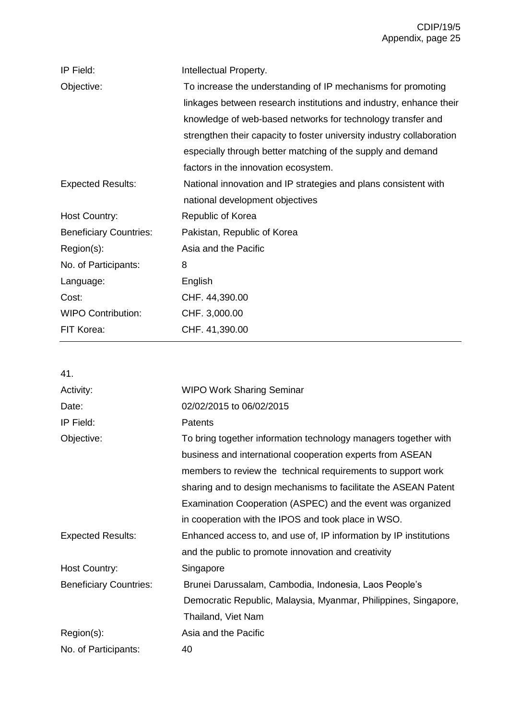| IP Field:                     | Intellectual Property.                                                |
|-------------------------------|-----------------------------------------------------------------------|
| Objective:                    | To increase the understanding of IP mechanisms for promoting          |
|                               | linkages between research institutions and industry, enhance their    |
|                               | knowledge of web-based networks for technology transfer and           |
|                               | strengthen their capacity to foster university industry collaboration |
|                               | especially through better matching of the supply and demand           |
|                               | factors in the innovation ecosystem.                                  |
| <b>Expected Results:</b>      | National innovation and IP strategies and plans consistent with       |
|                               | national development objectives                                       |
| <b>Host Country:</b>          | Republic of Korea                                                     |
| <b>Beneficiary Countries:</b> | Pakistan, Republic of Korea                                           |
| Region(s):                    | Asia and the Pacific                                                  |
| No. of Participants:          | 8                                                                     |
| Language:                     | English                                                               |
| Cost:                         | CHF. 44,390.00                                                        |
| <b>WIPO Contribution:</b>     | CHF. 3,000.00                                                         |
| FIT Korea:                    | CHF. 41,390.00                                                        |
|                               |                                                                       |

41.

| Activity:                     | <b>WIPO Work Sharing Seminar</b>                                  |
|-------------------------------|-------------------------------------------------------------------|
| Date:                         | 02/02/2015 to 06/02/2015                                          |
| IP Field:                     | Patents                                                           |
| Objective:                    | To bring together information technology managers together with   |
|                               | business and international cooperation experts from ASEAN         |
|                               | members to review the technical requirements to support work      |
|                               | sharing and to design mechanisms to facilitate the ASEAN Patent   |
|                               | Examination Cooperation (ASPEC) and the event was organized       |
|                               | in cooperation with the IPOS and took place in WSO.               |
| <b>Expected Results:</b>      | Enhanced access to, and use of, IP information by IP institutions |
|                               | and the public to promote innovation and creativity               |
| Host Country:                 | Singapore                                                         |
| <b>Beneficiary Countries:</b> | Brunei Darussalam, Cambodia, Indonesia, Laos People's             |
|                               | Democratic Republic, Malaysia, Myanmar, Philippines, Singapore,   |
|                               | Thailand, Viet Nam                                                |
| Region(s):                    | Asia and the Pacific                                              |
| No. of Participants:          | 40                                                                |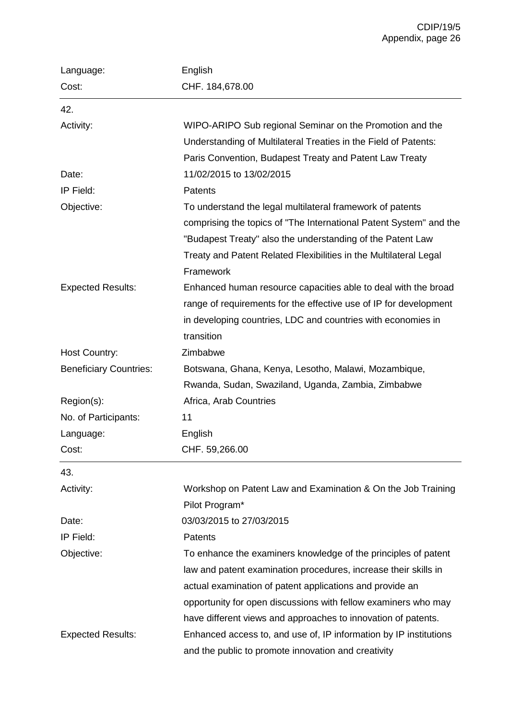| Language:                     | English                                                                                                                                                                                                                                                                         |
|-------------------------------|---------------------------------------------------------------------------------------------------------------------------------------------------------------------------------------------------------------------------------------------------------------------------------|
| Cost:                         | CHF. 184,678.00                                                                                                                                                                                                                                                                 |
| 42.                           |                                                                                                                                                                                                                                                                                 |
| Activity:                     | WIPO-ARIPO Sub regional Seminar on the Promotion and the<br>Understanding of Multilateral Treaties in the Field of Patents:<br>Paris Convention, Budapest Treaty and Patent Law Treaty                                                                                          |
| Date:                         | 11/02/2015 to 13/02/2015                                                                                                                                                                                                                                                        |
| IP Field:                     | Patents                                                                                                                                                                                                                                                                         |
| Objective:                    | To understand the legal multilateral framework of patents<br>comprising the topics of "The International Patent System" and the<br>"Budapest Treaty" also the understanding of the Patent Law<br>Treaty and Patent Related Flexibilities in the Multilateral Legal<br>Framework |
| <b>Expected Results:</b>      | Enhanced human resource capacities able to deal with the broad<br>range of requirements for the effective use of IP for development<br>in developing countries, LDC and countries with economies in<br>transition                                                               |
| Host Country:                 | Zimbabwe                                                                                                                                                                                                                                                                        |
| <b>Beneficiary Countries:</b> | Botswana, Ghana, Kenya, Lesotho, Malawi, Mozambique,                                                                                                                                                                                                                            |
|                               | Rwanda, Sudan, Swaziland, Uganda, Zambia, Zimbabwe                                                                                                                                                                                                                              |
| Region(s):                    | Africa, Arab Countries                                                                                                                                                                                                                                                          |
| No. of Participants:          | 11                                                                                                                                                                                                                                                                              |
| Language:                     | English                                                                                                                                                                                                                                                                         |
| Cost:                         | CHF. 59,266.00                                                                                                                                                                                                                                                                  |
| 43.                           |                                                                                                                                                                                                                                                                                 |
| Activity:                     | Workshop on Patent Law and Examination & On the Job Training<br>Pilot Program*                                                                                                                                                                                                  |
| Date:                         | 03/03/2015 to 27/03/2015                                                                                                                                                                                                                                                        |
| IP Field:                     | Patents                                                                                                                                                                                                                                                                         |
| Objective:                    | To enhance the examiners knowledge of the principles of patent                                                                                                                                                                                                                  |
|                               | law and patent examination procedures, increase their skills in                                                                                                                                                                                                                 |
|                               | actual examination of patent applications and provide an                                                                                                                                                                                                                        |
|                               | opportunity for open discussions with fellow examiners who may                                                                                                                                                                                                                  |
|                               | have different views and approaches to innovation of patents.                                                                                                                                                                                                                   |
| <b>Expected Results:</b>      | Enhanced access to, and use of, IP information by IP institutions                                                                                                                                                                                                               |
|                               | and the public to promote innovation and creativity                                                                                                                                                                                                                             |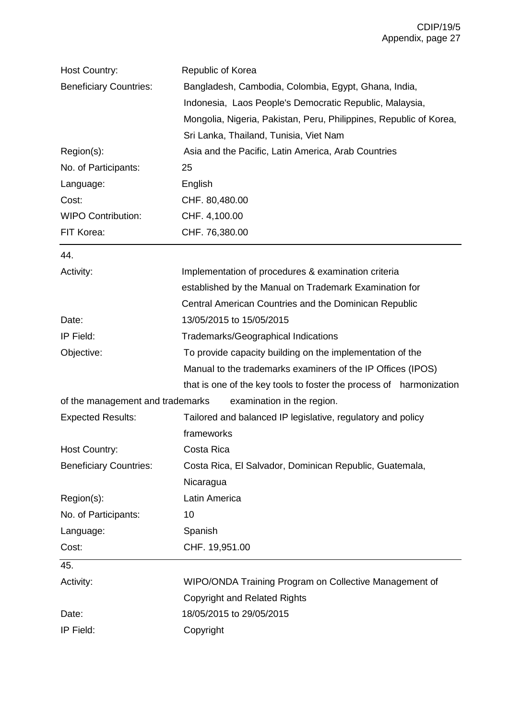| Host Country:                    | Republic of Korea                                                   |
|----------------------------------|---------------------------------------------------------------------|
| <b>Beneficiary Countries:</b>    | Bangladesh, Cambodia, Colombia, Egypt, Ghana, India,                |
|                                  | Indonesia, Laos People's Democratic Republic, Malaysia,             |
|                                  | Mongolia, Nigeria, Pakistan, Peru, Philippines, Republic of Korea,  |
|                                  | Sri Lanka, Thailand, Tunisia, Viet Nam                              |
| Region(s):                       | Asia and the Pacific, Latin America, Arab Countries                 |
| No. of Participants:             | 25                                                                  |
| Language:                        | English                                                             |
| Cost:                            | CHF. 80,480.00                                                      |
| <b>WIPO Contribution:</b>        | CHF. 4,100.00                                                       |
| FIT Korea:                       | CHF. 76,380.00                                                      |
| 44.                              |                                                                     |
| Activity:                        | Implementation of procedures & examination criteria                 |
|                                  | established by the Manual on Trademark Examination for              |
|                                  | Central American Countries and the Dominican Republic               |
| Date:                            | 13/05/2015 to 15/05/2015                                            |
| IP Field:                        | Trademarks/Geographical Indications                                 |
| Objective:                       | To provide capacity building on the implementation of the           |
|                                  | Manual to the trademarks examiners of the IP Offices (IPOS)         |
|                                  | that is one of the key tools to foster the process of harmonization |
| of the management and trademarks | examination in the region.                                          |
| <b>Expected Results:</b>         | Tailored and balanced IP legislative, regulatory and policy         |
|                                  | frameworks                                                          |
| <b>Host Country:</b>             | Costa Rica                                                          |
| <b>Beneficiary Countries:</b>    | Costa Rica, El Salvador, Dominican Republic, Guatemala,             |
|                                  | Nicaragua                                                           |
| Region(s):                       | Latin America                                                       |
| No. of Participants:             | 10                                                                  |
| Language:                        | Spanish                                                             |
| Cost:                            | CHF. 19,951.00                                                      |
| 45.                              |                                                                     |
| Activity:                        | WIPO/ONDA Training Program on Collective Management of              |
|                                  | <b>Copyright and Related Rights</b>                                 |
| Date:                            | 18/05/2015 to 29/05/2015                                            |
| IP Field:                        | Copyright                                                           |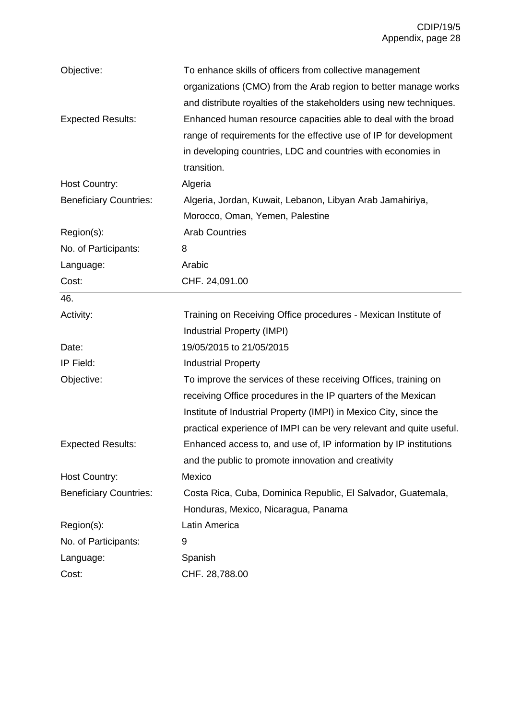| Objective:                    | To enhance skills of officers from collective management            |
|-------------------------------|---------------------------------------------------------------------|
|                               | organizations (CMO) from the Arab region to better manage works     |
|                               | and distribute royalties of the stakeholders using new techniques.  |
| <b>Expected Results:</b>      | Enhanced human resource capacities able to deal with the broad      |
|                               | range of requirements for the effective use of IP for development   |
|                               | in developing countries, LDC and countries with economies in        |
|                               | transition.                                                         |
| Host Country:                 | Algeria                                                             |
| <b>Beneficiary Countries:</b> | Algeria, Jordan, Kuwait, Lebanon, Libyan Arab Jamahiriya,           |
|                               | Morocco, Oman, Yemen, Palestine                                     |
| Region(s):                    | <b>Arab Countries</b>                                               |
| No. of Participants:          | 8                                                                   |
| Language:                     | Arabic                                                              |
| Cost:                         | CHF. 24,091.00                                                      |
| 46.                           |                                                                     |
| Activity:                     | Training on Receiving Office procedures - Mexican Institute of      |
|                               | Industrial Property (IMPI)                                          |
| Date:                         | 19/05/2015 to 21/05/2015                                            |
| IP Field:                     | <b>Industrial Property</b>                                          |
| Objective:                    | To improve the services of these receiving Offices, training on     |
|                               | receiving Office procedures in the IP quarters of the Mexican       |
|                               | Institute of Industrial Property (IMPI) in Mexico City, since the   |
|                               | practical experience of IMPI can be very relevant and quite useful. |
| <b>Expected Results:</b>      | Enhanced access to, and use of, IP information by IP institutions   |
|                               | and the public to promote innovation and creativity                 |
| <b>Host Country:</b>          | Mexico                                                              |
| <b>Beneficiary Countries:</b> | Costa Rica, Cuba, Dominica Republic, El Salvador, Guatemala,        |
|                               | Honduras, Mexico, Nicaragua, Panama                                 |
|                               |                                                                     |
| Region(s):                    | Latin America                                                       |
| No. of Participants:          | 9                                                                   |
| Language:                     | Spanish                                                             |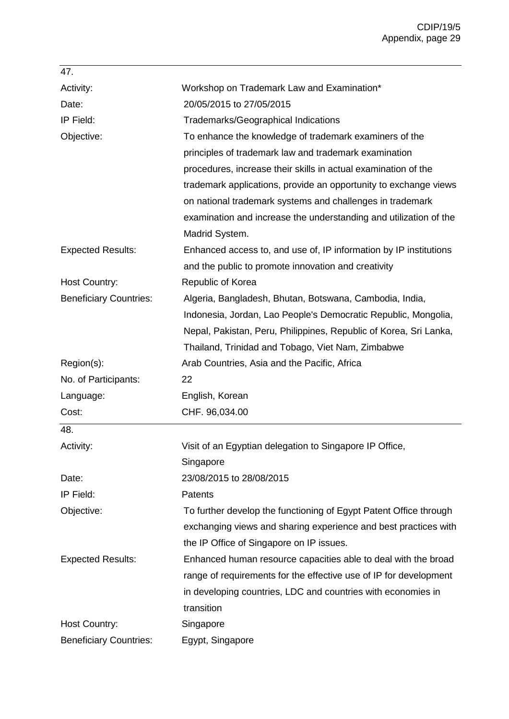| 47.                           |                                                                   |
|-------------------------------|-------------------------------------------------------------------|
| Activity:                     | Workshop on Trademark Law and Examination*                        |
| Date:                         | 20/05/2015 to 27/05/2015                                          |
| IP Field:                     | <b>Trademarks/Geographical Indications</b>                        |
| Objective:                    | To enhance the knowledge of trademark examiners of the            |
|                               | principles of trademark law and trademark examination             |
|                               | procedures, increase their skills in actual examination of the    |
|                               | trademark applications, provide an opportunity to exchange views  |
|                               | on national trademark systems and challenges in trademark         |
|                               | examination and increase the understanding and utilization of the |
|                               | Madrid System.                                                    |
| <b>Expected Results:</b>      | Enhanced access to, and use of, IP information by IP institutions |
|                               | and the public to promote innovation and creativity               |
| <b>Host Country:</b>          | Republic of Korea                                                 |
| <b>Beneficiary Countries:</b> | Algeria, Bangladesh, Bhutan, Botswana, Cambodia, India,           |
|                               | Indonesia, Jordan, Lao People's Democratic Republic, Mongolia,    |
|                               | Nepal, Pakistan, Peru, Philippines, Republic of Korea, Sri Lanka, |
|                               | Thailand, Trinidad and Tobago, Viet Nam, Zimbabwe                 |
| Region(s):                    | Arab Countries, Asia and the Pacific, Africa                      |
| No. of Participants:          | 22                                                                |
| Language:                     | English, Korean                                                   |
| Cost:                         | CHF. 96,034.00                                                    |
| 48.                           |                                                                   |
| Activity:                     | Visit of an Egyptian delegation to Singapore IP Office,           |
|                               | Singapore                                                         |
| Date:                         | 23/08/2015 to 28/08/2015                                          |
| IP Field:                     | Patents                                                           |
| Objective:                    | To further develop the functioning of Egypt Patent Office through |
|                               | exchanging views and sharing experience and best practices with   |
|                               | the IP Office of Singapore on IP issues.                          |
| <b>Expected Results:</b>      | Enhanced human resource capacities able to deal with the broad    |
|                               | range of requirements for the effective use of IP for development |
|                               | in developing countries, LDC and countries with economies in      |
|                               |                                                                   |
|                               | transition                                                        |
| Host Country:                 | Singapore                                                         |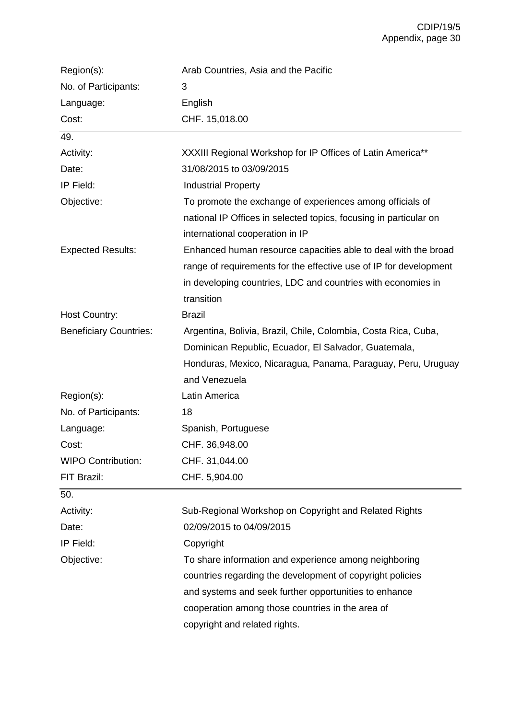| Region(s):                    | Arab Countries, Asia and the Pacific                              |
|-------------------------------|-------------------------------------------------------------------|
| No. of Participants:          | 3                                                                 |
| Language:                     | English                                                           |
| Cost:                         | CHF. 15,018.00                                                    |
| 49.                           |                                                                   |
| Activity:                     | XXXIII Regional Workshop for IP Offices of Latin America**        |
| Date:                         | 31/08/2015 to 03/09/2015                                          |
| IP Field:                     | <b>Industrial Property</b>                                        |
| Objective:                    | To promote the exchange of experiences among officials of         |
|                               | national IP Offices in selected topics, focusing in particular on |
|                               | international cooperation in IP                                   |
| <b>Expected Results:</b>      | Enhanced human resource capacities able to deal with the broad    |
|                               | range of requirements for the effective use of IP for development |
|                               | in developing countries, LDC and countries with economies in      |
|                               | transition                                                        |
| Host Country:                 | <b>Brazil</b>                                                     |
| <b>Beneficiary Countries:</b> | Argentina, Bolivia, Brazil, Chile, Colombia, Costa Rica, Cuba,    |
|                               | Dominican Republic, Ecuador, El Salvador, Guatemala,              |
|                               | Honduras, Mexico, Nicaragua, Panama, Paraguay, Peru, Uruguay      |
|                               | and Venezuela                                                     |
| Region(s):                    | Latin America                                                     |
| No. of Participants:          | 18                                                                |
| Language:                     | Spanish, Portuguese                                               |
| Cost:                         | CHF. 36,948.00                                                    |
| <b>WIPO Contribution:</b>     | CHF. 31,044.00                                                    |
| FIT Brazil:                   | CHF. 5,904.00                                                     |
| 50.                           |                                                                   |
| Activity:                     | Sub-Regional Workshop on Copyright and Related Rights             |
| Date:                         | 02/09/2015 to 04/09/2015                                          |
| IP Field:                     | Copyright                                                         |
| Objective:                    | To share information and experience among neighboring             |
|                               | countries regarding the development of copyright policies         |
|                               | and systems and seek further opportunities to enhance             |
|                               | cooperation among those countries in the area of                  |
|                               | copyright and related rights.                                     |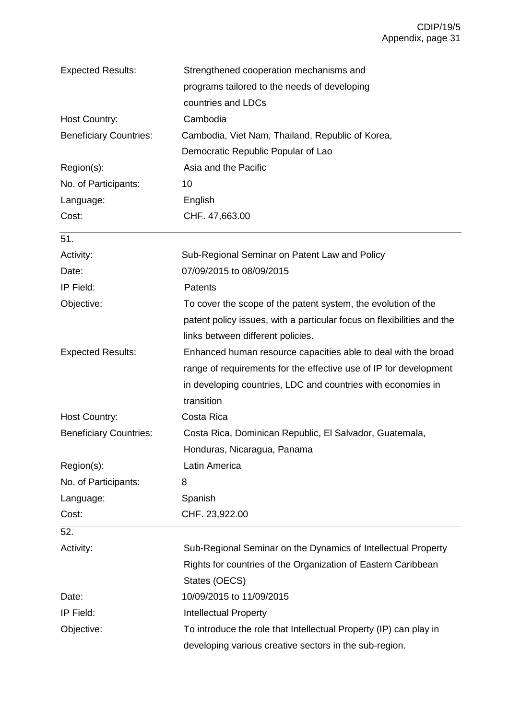| <b>Expected Results:</b>      | Strengthened cooperation mechanisms and                                |
|-------------------------------|------------------------------------------------------------------------|
|                               | programs tailored to the needs of developing                           |
|                               | countries and LDCs                                                     |
| Host Country:                 | Cambodia                                                               |
| <b>Beneficiary Countries:</b> | Cambodia, Viet Nam, Thailand, Republic of Korea,                       |
|                               | Democratic Republic Popular of Lao                                     |
| Region(s):                    | Asia and the Pacific                                                   |
| No. of Participants:          | 10                                                                     |
| Language:                     | English                                                                |
| Cost:                         | CHF. 47,663.00                                                         |
| 51.                           |                                                                        |
| Activity:                     | Sub-Regional Seminar on Patent Law and Policy                          |
| Date:                         | 07/09/2015 to 08/09/2015                                               |
| IP Field:                     | Patents                                                                |
| Objective:                    | To cover the scope of the patent system, the evolution of the          |
|                               | patent policy issues, with a particular focus on flexibilities and the |
|                               | links between different policies.                                      |
| <b>Expected Results:</b>      | Enhanced human resource capacities able to deal with the broad         |
|                               | range of requirements for the effective use of IP for development      |
|                               | in developing countries, LDC and countries with economies in           |
|                               | transition                                                             |
| Host Country:                 | Costa Rica                                                             |
| <b>Beneficiary Countries:</b> | Costa Rica, Dominican Republic, El Salvador, Guatemala,                |
|                               | Honduras, Nicaragua, Panama                                            |
| Region(s):                    | Latin America                                                          |
| No. of Participants:          | 8                                                                      |
| Language:                     | Spanish                                                                |
| Cost:                         | CHF. 23,922.00                                                         |
| 52.                           |                                                                        |
| Activity:                     | Sub-Regional Seminar on the Dynamics of Intellectual Property          |
|                               | Rights for countries of the Organization of Eastern Caribbean          |
|                               | States (OECS)                                                          |
| Date:                         | 10/09/2015 to 11/09/2015                                               |
| IP Field:                     | <b>Intellectual Property</b>                                           |
| Objective:                    | To introduce the role that Intellectual Property (IP) can play in      |
|                               | developing various creative sectors in the sub-region.                 |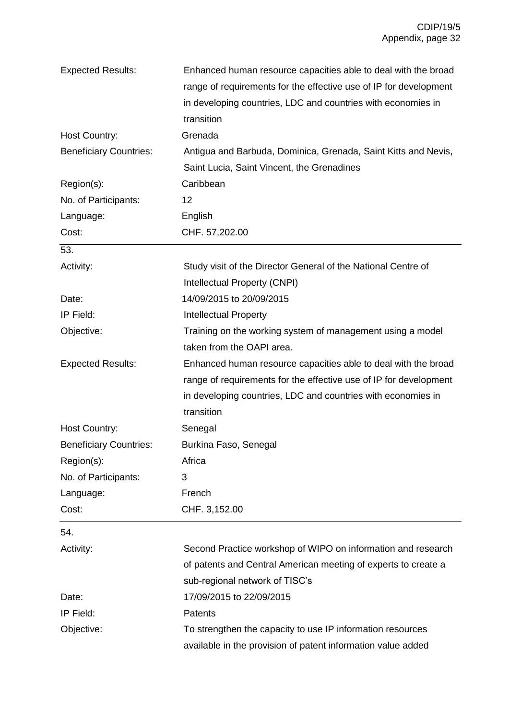| <b>Expected Results:</b>      | Enhanced human resource capacities able to deal with the broad    |
|-------------------------------|-------------------------------------------------------------------|
|                               | range of requirements for the effective use of IP for development |
|                               | in developing countries, LDC and countries with economies in      |
|                               | transition                                                        |
| Host Country:                 | Grenada                                                           |
| <b>Beneficiary Countries:</b> | Antigua and Barbuda, Dominica, Grenada, Saint Kitts and Nevis,    |
|                               | Saint Lucia, Saint Vincent, the Grenadines                        |
| Region(s):                    | Caribbean                                                         |
| No. of Participants:          | 12                                                                |
| Language:                     | English                                                           |
| Cost:                         | CHF. 57,202.00                                                    |
| 53.                           |                                                                   |
| Activity:                     | Study visit of the Director General of the National Centre of     |
|                               | Intellectual Property (CNPI)                                      |
| Date:                         | 14/09/2015 to 20/09/2015                                          |
| IP Field:                     | <b>Intellectual Property</b>                                      |
| Objective:                    | Training on the working system of management using a model        |
|                               | taken from the OAPI area.                                         |
| <b>Expected Results:</b>      | Enhanced human resource capacities able to deal with the broad    |
|                               | range of requirements for the effective use of IP for development |
|                               | in developing countries, LDC and countries with economies in      |
|                               | transition                                                        |
| Host Country:                 | Senegal                                                           |
| <b>Beneficiary Countries:</b> | Burkina Faso, Senegal                                             |
| Region(s):                    | Africa                                                            |
| No. of Participants:          | 3                                                                 |
| Language:                     | French                                                            |
| Cost:                         | CHF. 3,152.00                                                     |
| 54.                           |                                                                   |
| Activity:                     | Second Practice workshop of WIPO on information and research      |
|                               | of patents and Central American meeting of experts to create a    |
|                               | sub-regional network of TISC's                                    |
| Date:                         | 17/09/2015 to 22/09/2015                                          |
| IP Field:                     | Patents                                                           |
| Objective:                    | To strengthen the capacity to use IP information resources        |
|                               | available in the provision of patent information value added      |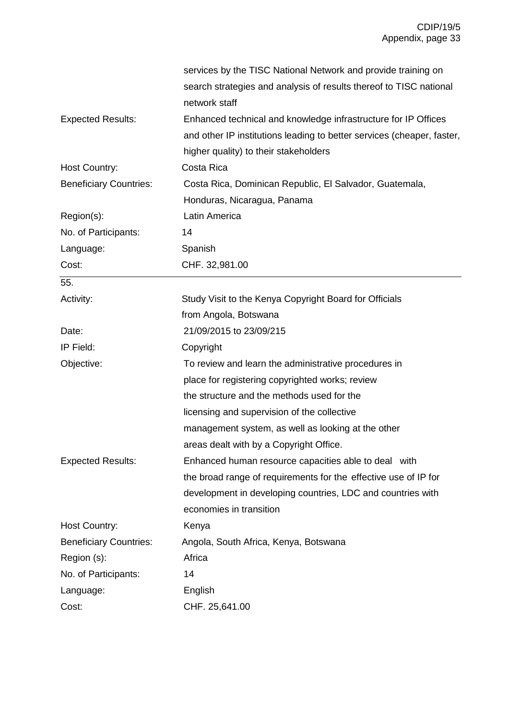|                               | services by the TISC National Network and provide training on          |
|-------------------------------|------------------------------------------------------------------------|
|                               | search strategies and analysis of results thereof to TISC national     |
|                               | network staff                                                          |
| <b>Expected Results:</b>      | Enhanced technical and knowledge infrastructure for IP Offices         |
|                               | and other IP institutions leading to better services (cheaper, faster, |
|                               | higher quality) to their stakeholders                                  |
| Host Country:                 | Costa Rica                                                             |
| <b>Beneficiary Countries:</b> | Costa Rica, Dominican Republic, El Salvador, Guatemala,                |
|                               | Honduras, Nicaragua, Panama                                            |
| Region(s):                    | Latin America                                                          |
| No. of Participants:          | 14                                                                     |
| Language:                     | Spanish                                                                |
| Cost:                         | CHF. 32,981.00                                                         |
| 55.                           |                                                                        |
| Activity:                     | Study Visit to the Kenya Copyright Board for Officials                 |
|                               | from Angola, Botswana                                                  |
| Date:                         | 21/09/2015 to 23/09/215                                                |
| IP Field:                     | Copyright                                                              |
| Objective:                    | To review and learn the administrative procedures in                   |
|                               | place for registering copyrighted works; review                        |
|                               | the structure and the methods used for the                             |
|                               | licensing and supervision of the collective                            |
|                               | management system, as well as looking at the other                     |
|                               | areas dealt with by a Copyright Office.                                |
| <b>Expected Results:</b>      | Enhanced human resource capacities able to deal with                   |
|                               | the broad range of requirements for the effective use of IP for        |
|                               | development in developing countries, LDC and countries with            |
|                               | economies in transition                                                |
| Host Country:                 | Kenya                                                                  |
| <b>Beneficiary Countries:</b> | Angola, South Africa, Kenya, Botswana                                  |
| Region (s):                   | Africa                                                                 |
| No. of Participants:          | 14                                                                     |
| Language:                     | English                                                                |
| Cost:                         | CHF. 25,641.00                                                         |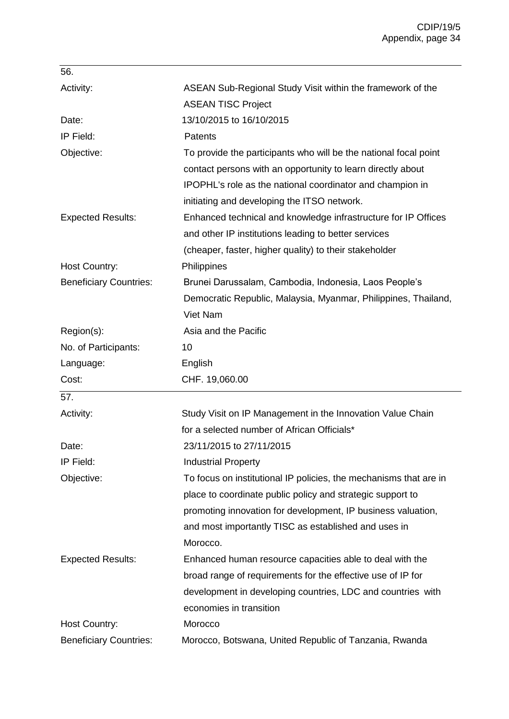| 56.                           |                                                                   |
|-------------------------------|-------------------------------------------------------------------|
| Activity:                     | ASEAN Sub-Regional Study Visit within the framework of the        |
|                               | <b>ASEAN TISC Project</b>                                         |
| Date:                         | 13/10/2015 to 16/10/2015                                          |
| IP Field:                     | <b>Patents</b>                                                    |
| Objective:                    | To provide the participants who will be the national focal point  |
|                               | contact persons with an opportunity to learn directly about       |
|                               | IPOPHL's role as the national coordinator and champion in         |
|                               | initiating and developing the ITSO network.                       |
| <b>Expected Results:</b>      | Enhanced technical and knowledge infrastructure for IP Offices    |
|                               | and other IP institutions leading to better services              |
|                               | (cheaper, faster, higher quality) to their stakeholder            |
| Host Country:                 | Philippines                                                       |
| <b>Beneficiary Countries:</b> | Brunei Darussalam, Cambodia, Indonesia, Laos People's             |
|                               | Democratic Republic, Malaysia, Myanmar, Philippines, Thailand,    |
|                               | Viet Nam                                                          |
| Region(s):                    | Asia and the Pacific                                              |
| No. of Participants:          | 10                                                                |
| Language:                     | English                                                           |
| Cost:                         | CHF. 19,060.00                                                    |
| 57.                           |                                                                   |
| Activity:                     | Study Visit on IP Management in the Innovation Value Chain        |
|                               | for a selected number of African Officials*                       |
| Date:                         | 23/11/2015 to 27/11/2015                                          |
| IP Field:                     | <b>Industrial Property</b>                                        |
| Objective:                    | To focus on institutional IP policies, the mechanisms that are in |
|                               | place to coordinate public policy and strategic support to        |
|                               | promoting innovation for development, IP business valuation,      |
|                               | and most importantly TISC as established and uses in              |
|                               | Morocco.                                                          |
| <b>Expected Results:</b>      | Enhanced human resource capacities able to deal with the          |
|                               | broad range of requirements for the effective use of IP for       |
|                               | development in developing countries, LDC and countries with       |
|                               |                                                                   |
|                               | economies in transition                                           |
| Host Country:                 | Morocco                                                           |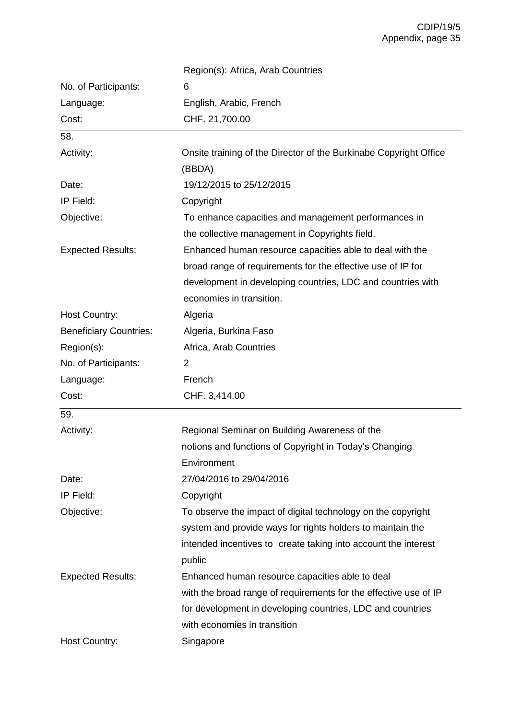|                               | Region(s): Africa, Arab Countries                                 |
|-------------------------------|-------------------------------------------------------------------|
| No. of Participants:          | 6                                                                 |
| Language:                     | English, Arabic, French                                           |
| Cost:                         | CHF. 21,700.00                                                    |
| 58.                           |                                                                   |
| Activity:                     | Onsite training of the Director of the Burkinabe Copyright Office |
|                               | (BBDA)                                                            |
| Date:                         | 19/12/2015 to 25/12/2015                                          |
| IP Field:                     | Copyright                                                         |
| Objective:                    | To enhance capacities and management performances in              |
|                               | the collective management in Copyrights field.                    |
| <b>Expected Results:</b>      | Enhanced human resource capacities able to deal with the          |
|                               | broad range of requirements for the effective use of IP for       |
|                               | development in developing countries, LDC and countries with       |
|                               | economies in transition.                                          |
| <b>Host Country:</b>          | Algeria                                                           |
| <b>Beneficiary Countries:</b> | Algeria, Burkina Faso                                             |
| Region(s):                    | Africa, Arab Countries                                            |
| No. of Participants:          | $\overline{2}$                                                    |
| Language:                     | French                                                            |
| Cost:                         | CHF. 3,414.00                                                     |
| 59.                           |                                                                   |
| Activity:                     | Regional Seminar on Building Awareness of the                     |
|                               | notions and functions of Copyright in Today's Changing            |
|                               | Environment                                                       |
| Date:                         | 27/04/2016 to 29/04/2016                                          |
| IP Field:                     | Copyright                                                         |
| Objective:                    | To observe the impact of digital technology on the copyright      |
|                               | system and provide ways for rights holders to maintain the        |
|                               | intended incentives to create taking into account the interest    |
|                               | public                                                            |
| <b>Expected Results:</b>      | Enhanced human resource capacities able to deal                   |
|                               | with the broad range of requirements for the effective use of IP  |
|                               | for development in developing countries, LDC and countries        |
|                               | with economies in transition                                      |
| <b>Host Country:</b>          | Singapore                                                         |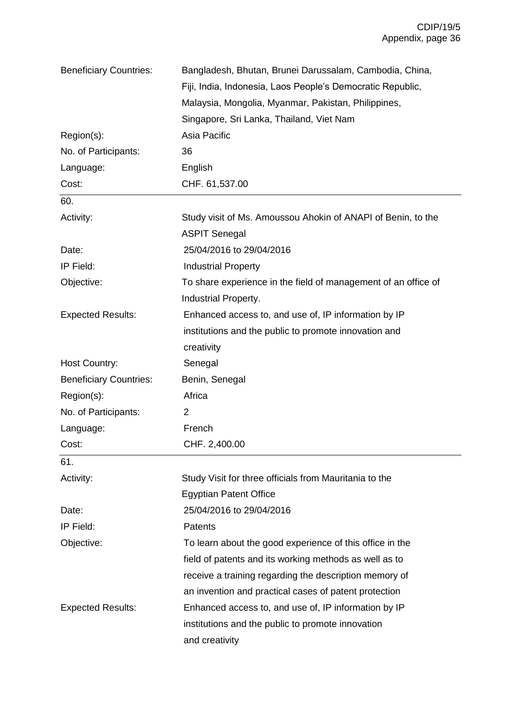| <b>Beneficiary Countries:</b> | Bangladesh, Bhutan, Brunei Darussalam, Cambodia, China,        |
|-------------------------------|----------------------------------------------------------------|
|                               | Fiji, India, Indonesia, Laos People's Democratic Republic,     |
|                               | Malaysia, Mongolia, Myanmar, Pakistan, Philippines,            |
|                               | Singapore, Sri Lanka, Thailand, Viet Nam                       |
| Region(s):                    | Asia Pacific                                                   |
| No. of Participants:          | 36                                                             |
| Language:                     | English                                                        |
| Cost:                         | CHF. 61,537.00                                                 |
| 60.                           |                                                                |
| Activity:                     | Study visit of Ms. Amoussou Ahokin of ANAPI of Benin, to the   |
|                               | <b>ASPIT Senegal</b>                                           |
| Date:                         | 25/04/2016 to 29/04/2016                                       |
| IP Field:                     | <b>Industrial Property</b>                                     |
| Objective:                    | To share experience in the field of management of an office of |
|                               | Industrial Property.                                           |
| <b>Expected Results:</b>      | Enhanced access to, and use of, IP information by IP           |
|                               | institutions and the public to promote innovation and          |
|                               | creativity                                                     |
| Host Country:                 | Senegal                                                        |
| <b>Beneficiary Countries:</b> | Benin, Senegal                                                 |
| Region(s):                    | Africa                                                         |
| No. of Participants:          | 2                                                              |
| Language:                     | French                                                         |
| Cost:                         | CHF. 2,400.00                                                  |
| 61.                           |                                                                |
| Activity:                     | Study Visit for three officials from Mauritania to the         |
|                               | <b>Egyptian Patent Office</b>                                  |
| Date:                         | 25/04/2016 to 29/04/2016                                       |
| IP Field:                     | Patents                                                        |
| Objective:                    | To learn about the good experience of this office in the       |
|                               | field of patents and its working methods as well as to         |
|                               | receive a training regarding the description memory of         |
|                               | an invention and practical cases of patent protection          |
| <b>Expected Results:</b>      | Enhanced access to, and use of, IP information by IP           |
|                               | institutions and the public to promote innovation              |
|                               | and creativity                                                 |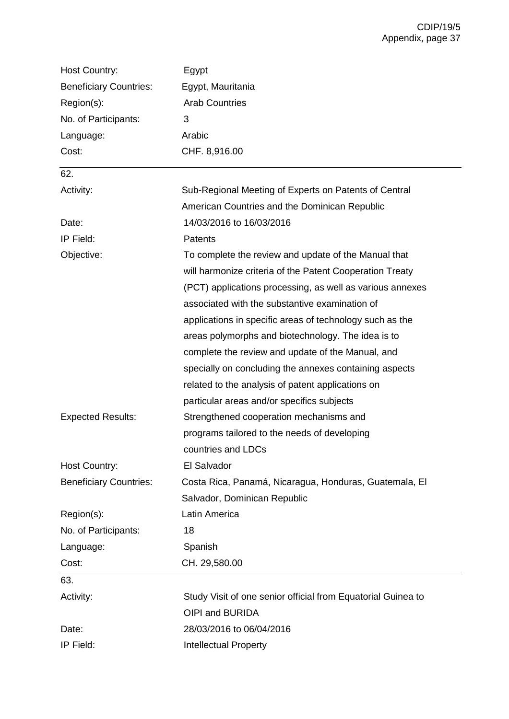| Host Country:                 | Egypt                                                        |
|-------------------------------|--------------------------------------------------------------|
| <b>Beneficiary Countries:</b> | Egypt, Mauritania                                            |
| Region(s):                    | <b>Arab Countries</b>                                        |
| No. of Participants:          | 3                                                            |
| Language:                     | Arabic                                                       |
| Cost:                         | CHF. 8,916.00                                                |
| 62.                           |                                                              |
| Activity:                     | Sub-Regional Meeting of Experts on Patents of Central        |
|                               | American Countries and the Dominican Republic                |
| Date:                         | 14/03/2016 to 16/03/2016                                     |
| IP Field:                     | Patents                                                      |
| Objective:                    | To complete the review and update of the Manual that         |
|                               | will harmonize criteria of the Patent Cooperation Treaty     |
|                               | (PCT) applications processing, as well as various annexes    |
|                               | associated with the substantive examination of               |
|                               | applications in specific areas of technology such as the     |
|                               | areas polymorphs and biotechnology. The idea is to           |
|                               | complete the review and update of the Manual, and            |
|                               | specially on concluding the annexes containing aspects       |
|                               | related to the analysis of patent applications on            |
|                               | particular areas and/or specifics subjects                   |
| <b>Expected Results:</b>      | Strengthened cooperation mechanisms and                      |
|                               | programs tailored to the needs of developing                 |
|                               | countries and LDCs                                           |
| <b>Host Country:</b>          | El Salvador                                                  |
| <b>Beneficiary Countries:</b> | Costa Rica, Panamá, Nicaragua, Honduras, Guatemala, El       |
|                               | Salvador, Dominican Republic                                 |
| Region(s):                    | Latin America                                                |
| No. of Participants:          | 18                                                           |
| Language:                     | Spanish                                                      |
| Cost:                         | CH. 29,580.00                                                |
| 63.                           |                                                              |
| Activity:                     | Study Visit of one senior official from Equatorial Guinea to |
|                               | OIPI and BURIDA                                              |
| Date:                         | 28/03/2016 to 06/04/2016                                     |
| IP Field:                     | <b>Intellectual Property</b>                                 |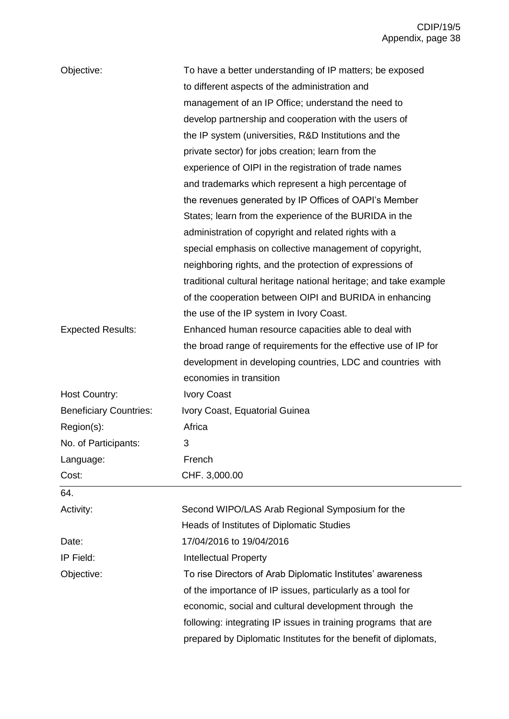| Objective:                    | To have a better understanding of IP matters; be exposed          |
|-------------------------------|-------------------------------------------------------------------|
|                               | to different aspects of the administration and                    |
|                               | management of an IP Office; understand the need to                |
|                               | develop partnership and cooperation with the users of             |
|                               | the IP system (universities, R&D Institutions and the             |
|                               | private sector) for jobs creation; learn from the                 |
|                               | experience of OIPI in the registration of trade names             |
|                               | and trademarks which represent a high percentage of               |
|                               | the revenues generated by IP Offices of OAPI's Member             |
|                               | States; learn from the experience of the BURIDA in the            |
|                               | administration of copyright and related rights with a             |
|                               |                                                                   |
|                               | special emphasis on collective management of copyright,           |
|                               | neighboring rights, and the protection of expressions of          |
|                               | traditional cultural heritage national heritage; and take example |
|                               | of the cooperation between OIPI and BURIDA in enhancing           |
|                               | the use of the IP system in Ivory Coast.                          |
| <b>Expected Results:</b>      | Enhanced human resource capacities able to deal with              |
|                               | the broad range of requirements for the effective use of IP for   |
|                               | development in developing countries, LDC and countries with       |
|                               | economies in transition                                           |
| <b>Host Country:</b>          | <b>Ivory Coast</b>                                                |
| <b>Beneficiary Countries:</b> | Ivory Coast, Equatorial Guinea                                    |
| Region(s):                    | Africa                                                            |
| No. of Participants:          | 3                                                                 |
| Language:                     | French                                                            |
| Cost:                         | CHF. 3,000.00                                                     |
| 64.                           |                                                                   |
| Activity:                     | Second WIPO/LAS Arab Regional Symposium for the                   |
|                               | Heads of Institutes of Diplomatic Studies                         |
| Date:                         | 17/04/2016 to 19/04/2016                                          |
| IP Field:                     | <b>Intellectual Property</b>                                      |
| Objective:                    | To rise Directors of Arab Diplomatic Institutes' awareness        |
|                               | of the importance of IP issues, particularly as a tool for        |
|                               | economic, social and cultural development through the             |
|                               | following: integrating IP issues in training programs that are    |
|                               | prepared by Diplomatic Institutes for the benefit of diplomats,   |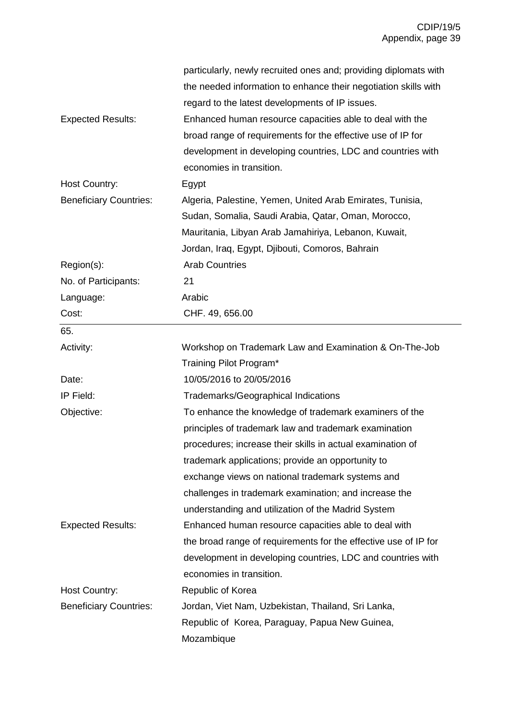|                               | particularly, newly recruited ones and; providing diplomats with |
|-------------------------------|------------------------------------------------------------------|
|                               | the needed information to enhance their negotiation skills with  |
|                               | regard to the latest developments of IP issues.                  |
| <b>Expected Results:</b>      | Enhanced human resource capacities able to deal with the         |
|                               | broad range of requirements for the effective use of IP for      |
|                               | development in developing countries, LDC and countries with      |
|                               | economies in transition.                                         |
| Host Country:                 | Egypt                                                            |
| <b>Beneficiary Countries:</b> | Algeria, Palestine, Yemen, United Arab Emirates, Tunisia,        |
|                               | Sudan, Somalia, Saudi Arabia, Qatar, Oman, Morocco,              |
|                               | Mauritania, Libyan Arab Jamahiriya, Lebanon, Kuwait,             |
|                               | Jordan, Iraq, Egypt, Djibouti, Comoros, Bahrain                  |
| Region(s):                    | <b>Arab Countries</b>                                            |
| No. of Participants:          | 21                                                               |
| Language:                     | Arabic                                                           |
| Cost:                         | CHF. 49, 656.00                                                  |
| 65.                           |                                                                  |
| Activity:                     | Workshop on Trademark Law and Examination & On-The-Job           |
|                               | Training Pilot Program*                                          |
| Date:                         | 10/05/2016 to 20/05/2016                                         |
| IP Field:                     | <b>Trademarks/Geographical Indications</b>                       |
| Objective:                    | To enhance the knowledge of trademark examiners of the           |
|                               | principles of trademark law and trademark examination            |
|                               | procedures; increase their skills in actual examination of       |
|                               | trademark applications; provide an opportunity to                |
|                               | exchange views on national trademark systems and                 |
|                               | challenges in trademark examination; and increase the            |
|                               | understanding and utilization of the Madrid System               |
| <b>Expected Results:</b>      | Enhanced human resource capacities able to deal with             |
|                               | the broad range of requirements for the effective use of IP for  |
|                               | development in developing countries, LDC and countries with      |
|                               | economies in transition.                                         |
| Host Country:                 | Republic of Korea                                                |
| <b>Beneficiary Countries:</b> | Jordan, Viet Nam, Uzbekistan, Thailand, Sri Lanka,               |
|                               | Republic of Korea, Paraguay, Papua New Guinea,                   |
|                               | Mozambique                                                       |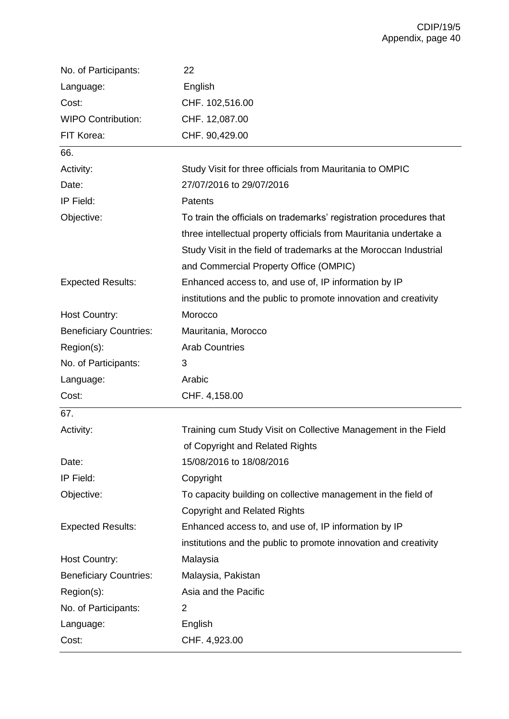| No. of Participants:          | 22                                                                 |
|-------------------------------|--------------------------------------------------------------------|
| Language:                     | English                                                            |
| Cost:                         | CHF. 102,516.00                                                    |
| <b>WIPO Contribution:</b>     | CHF. 12,087.00                                                     |
| FIT Korea:                    | CHF. 90,429.00                                                     |
| 66.                           |                                                                    |
| Activity:                     | Study Visit for three officials from Mauritania to OMPIC           |
| Date:                         | 27/07/2016 to 29/07/2016                                           |
| IP Field:                     | <b>Patents</b>                                                     |
| Objective:                    | To train the officials on trademarks' registration procedures that |
|                               | three intellectual property officials from Mauritania undertake a  |
|                               | Study Visit in the field of trademarks at the Moroccan Industrial  |
|                               | and Commercial Property Office (OMPIC)                             |
| <b>Expected Results:</b>      | Enhanced access to, and use of, IP information by IP               |
|                               | institutions and the public to promote innovation and creativity   |
| Host Country:                 | Morocco                                                            |
| <b>Beneficiary Countries:</b> | Mauritania, Morocco                                                |
| Region(s):                    | <b>Arab Countries</b>                                              |
|                               |                                                                    |
| No. of Participants:          | 3                                                                  |
| Language:                     | Arabic                                                             |
| Cost:                         | CHF. 4,158.00                                                      |
| 67.                           |                                                                    |
| Activity:                     | Training cum Study Visit on Collective Management in the Field     |
|                               | of Copyright and Related Rights                                    |
| Date:                         | 15/08/2016 to 18/08/2016                                           |
| IP Field:                     | Copyright                                                          |
| Objective:                    | To capacity building on collective management in the field of      |
|                               | <b>Copyright and Related Rights</b>                                |
| <b>Expected Results:</b>      | Enhanced access to, and use of, IP information by IP               |
|                               | institutions and the public to promote innovation and creativity   |
| <b>Host Country:</b>          | Malaysia                                                           |
| <b>Beneficiary Countries:</b> | Malaysia, Pakistan                                                 |
| Region(s):                    | Asia and the Pacific                                               |
| No. of Participants:          | 2                                                                  |
| Language:                     | English                                                            |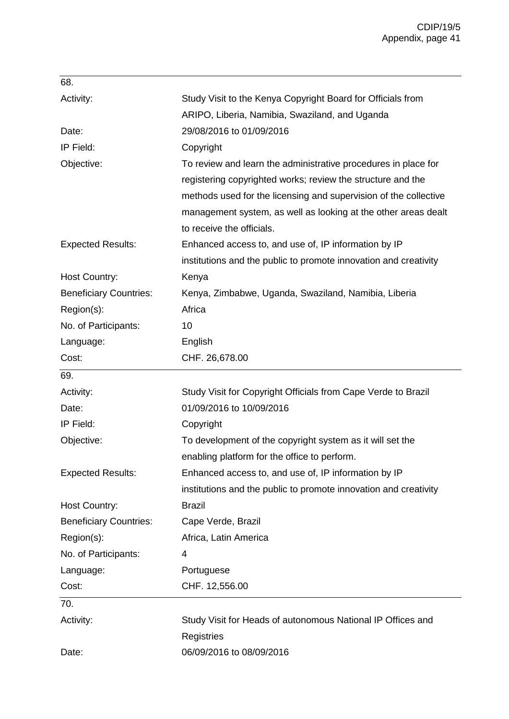| 68.                           |                                                                  |
|-------------------------------|------------------------------------------------------------------|
| Activity:                     | Study Visit to the Kenya Copyright Board for Officials from      |
|                               | ARIPO, Liberia, Namibia, Swaziland, and Uganda                   |
| Date:                         | 29/08/2016 to 01/09/2016                                         |
| IP Field:                     | Copyright                                                        |
| Objective:                    | To review and learn the administrative procedures in place for   |
|                               | registering copyrighted works; review the structure and the      |
|                               | methods used for the licensing and supervision of the collective |
|                               | management system, as well as looking at the other areas dealt   |
|                               | to receive the officials.                                        |
| <b>Expected Results:</b>      | Enhanced access to, and use of, IP information by IP             |
|                               | institutions and the public to promote innovation and creativity |
| <b>Host Country:</b>          | Kenya                                                            |
| <b>Beneficiary Countries:</b> | Kenya, Zimbabwe, Uganda, Swaziland, Namibia, Liberia             |
| Region(s):                    | Africa                                                           |
| No. of Participants:          | 10                                                               |
| Language:                     | English                                                          |
| Cost:                         | CHF. 26,678.00                                                   |
| 69.                           |                                                                  |
| Activity:                     | Study Visit for Copyright Officials from Cape Verde to Brazil    |
| Date:                         | 01/09/2016 to 10/09/2016                                         |
| IP Field:                     | Copyright                                                        |
| Objective:                    | To development of the copyright system as it will set the        |
|                               | enabling platform for the office to perform.                     |
| <b>Expected Results:</b>      | Enhanced access to, and use of, IP information by IP             |
|                               | institutions and the public to promote innovation and creativity |
| <b>Host Country:</b>          | <b>Brazil</b>                                                    |
| <b>Beneficiary Countries:</b> | Cape Verde, Brazil                                               |
| Region(s):                    | Africa, Latin America                                            |
| No. of Participants:          | 4                                                                |
| Language:                     | Portuguese                                                       |
| Cost:                         | CHF. 12,556.00                                                   |
| 70.                           |                                                                  |
| Activity:                     |                                                                  |
|                               | Study Visit for Heads of autonomous National IP Offices and      |
|                               | Registries                                                       |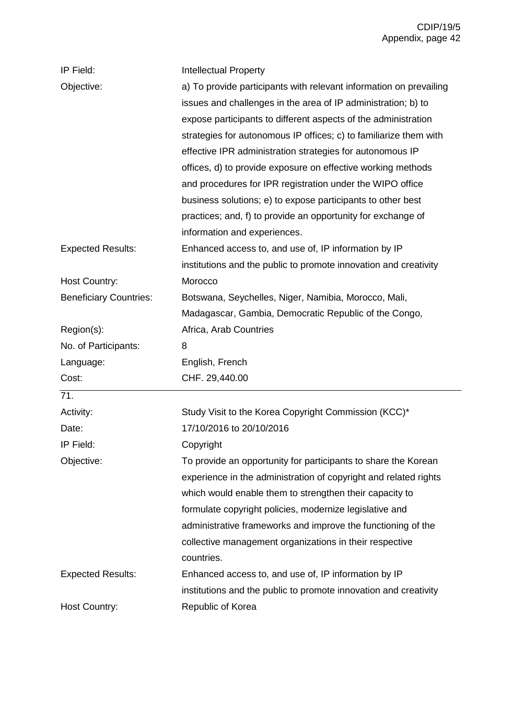| IP Field:                     | <b>Intellectual Property</b>                                       |
|-------------------------------|--------------------------------------------------------------------|
| Objective:                    | a) To provide participants with relevant information on prevailing |
|                               | issues and challenges in the area of IP administration; b) to      |
|                               | expose participants to different aspects of the administration     |
|                               | strategies for autonomous IP offices; c) to familiarize them with  |
|                               | effective IPR administration strategies for autonomous IP          |
|                               | offices, d) to provide exposure on effective working methods       |
|                               | and procedures for IPR registration under the WIPO office          |
|                               | business solutions; e) to expose participants to other best        |
|                               | practices; and, f) to provide an opportunity for exchange of       |
|                               | information and experiences.                                       |
| <b>Expected Results:</b>      | Enhanced access to, and use of, IP information by IP               |
|                               | institutions and the public to promote innovation and creativity   |
| <b>Host Country:</b>          | Morocco                                                            |
| <b>Beneficiary Countries:</b> | Botswana, Seychelles, Niger, Namibia, Morocco, Mali,               |
|                               | Madagascar, Gambia, Democratic Republic of the Congo,              |
| Region(s):                    | Africa, Arab Countries                                             |
| No. of Participants:          | 8                                                                  |
| Language:                     | English, French                                                    |
| Cost:                         | CHF. 29,440.00                                                     |
| 71.                           |                                                                    |
| Activity:                     | Study Visit to the Korea Copyright Commission (KCC)*               |
| Date:                         | 17/10/2016 to 20/10/2016                                           |
| IP Field:                     | Copyright                                                          |
| Objective:                    | To provide an opportunity for participants to share the Korean     |
|                               | experience in the administration of copyright and related rights   |
|                               | which would enable them to strengthen their capacity to            |
|                               | formulate copyright policies, modernize legislative and            |
|                               | administrative frameworks and improve the functioning of the       |
|                               | collective management organizations in their respective            |
|                               |                                                                    |
|                               | countries.                                                         |
| <b>Expected Results:</b>      | Enhanced access to, and use of, IP information by IP               |
|                               | institutions and the public to promote innovation and creativity   |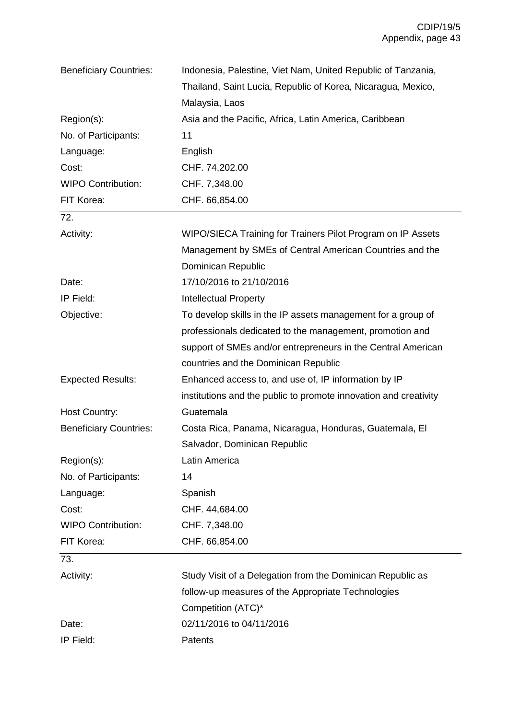| <b>Beneficiary Countries:</b> | Indonesia, Palestine, Viet Nam, United Republic of Tanzania,     |
|-------------------------------|------------------------------------------------------------------|
|                               | Thailand, Saint Lucia, Republic of Korea, Nicaragua, Mexico,     |
|                               | Malaysia, Laos                                                   |
| Region(s):                    | Asia and the Pacific, Africa, Latin America, Caribbean           |
| No. of Participants:          | 11                                                               |
| Language:                     | English                                                          |
| Cost:                         | CHF. 74,202.00                                                   |
| <b>WIPO Contribution:</b>     | CHF. 7,348.00                                                    |
| FIT Korea:                    | CHF. 66,854.00                                                   |
| 72.                           |                                                                  |
| Activity:                     | WIPO/SIECA Training for Trainers Pilot Program on IP Assets      |
|                               | Management by SMEs of Central American Countries and the         |
|                               | Dominican Republic                                               |
| Date:                         | 17/10/2016 to 21/10/2016                                         |
| IP Field:                     | <b>Intellectual Property</b>                                     |
| Objective:                    | To develop skills in the IP assets management for a group of     |
|                               | professionals dedicated to the management, promotion and         |
|                               | support of SMEs and/or entrepreneurs in the Central American     |
|                               | countries and the Dominican Republic                             |
| <b>Expected Results:</b>      | Enhanced access to, and use of, IP information by IP             |
|                               | institutions and the public to promote innovation and creativity |
| <b>Host Country:</b>          | Guatemala                                                        |
| <b>Beneficiary Countries:</b> | Costa Rica, Panama, Nicaragua, Honduras, Guatemala, El           |
|                               | Salvador, Dominican Republic                                     |
| Region(s):                    | Latin America                                                    |
| No. of Participants:          | 14                                                               |
| Language:                     | Spanish                                                          |
| Cost:                         | CHF. 44,684.00                                                   |
| <b>WIPO Contribution:</b>     | CHF. 7,348.00                                                    |
| FIT Korea:                    | CHF. 66,854.00                                                   |
| 73.                           |                                                                  |
| Activity:                     | Study Visit of a Delegation from the Dominican Republic as       |
|                               | follow-up measures of the Appropriate Technologies               |
|                               | Competition (ATC)*                                               |
| Date:                         | 02/11/2016 to 04/11/2016                                         |
| IP Field:                     | Patents                                                          |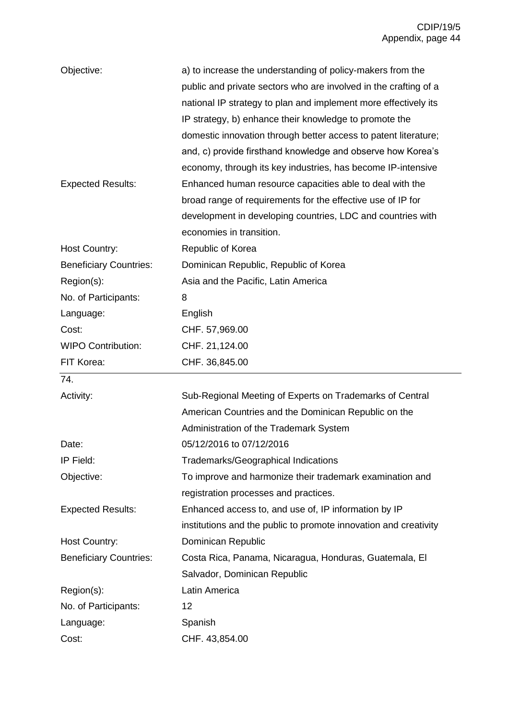| Objective:                    | a) to increase the understanding of policy-makers from the       |
|-------------------------------|------------------------------------------------------------------|
|                               | public and private sectors who are involved in the crafting of a |
|                               | national IP strategy to plan and implement more effectively its  |
|                               | IP strategy, b) enhance their knowledge to promote the           |
|                               | domestic innovation through better access to patent literature;  |
|                               | and, c) provide firsthand knowledge and observe how Korea's      |
|                               | economy, through its key industries, has become IP-intensive     |
| <b>Expected Results:</b>      | Enhanced human resource capacities able to deal with the         |
|                               | broad range of requirements for the effective use of IP for      |
|                               | development in developing countries, LDC and countries with      |
|                               | economies in transition.                                         |
| Host Country:                 | Republic of Korea                                                |
| <b>Beneficiary Countries:</b> | Dominican Republic, Republic of Korea                            |
| Region(s):                    | Asia and the Pacific, Latin America                              |
| No. of Participants:          | 8                                                                |
| Language:                     | English                                                          |
| Cost:                         | CHF. 57,969.00                                                   |
| <b>WIPO Contribution:</b>     | CHF. 21,124.00                                                   |
|                               |                                                                  |
| FIT Korea:                    | CHF. 36,845.00                                                   |
| 74.                           |                                                                  |
| Activity:                     | Sub-Regional Meeting of Experts on Trademarks of Central         |
|                               | American Countries and the Dominican Republic on the             |
|                               | Administration of the Trademark System                           |
| Date:                         | 05/12/2016 to 07/12/2016                                         |
| IP Field:                     | Trademarks/Geographical Indications                              |
| Objective:                    | To improve and harmonize their trademark examination and         |
|                               | registration processes and practices.                            |
| <b>Expected Results:</b>      | Enhanced access to, and use of, IP information by IP             |
|                               | institutions and the public to promote innovation and creativity |
| <b>Host Country:</b>          | Dominican Republic                                               |
| <b>Beneficiary Countries:</b> | Costa Rica, Panama, Nicaragua, Honduras, Guatemala, El           |
|                               | Salvador, Dominican Republic                                     |
| Region(s):                    | Latin America                                                    |
| No. of Participants:          | 12                                                               |
| Language:                     | Spanish                                                          |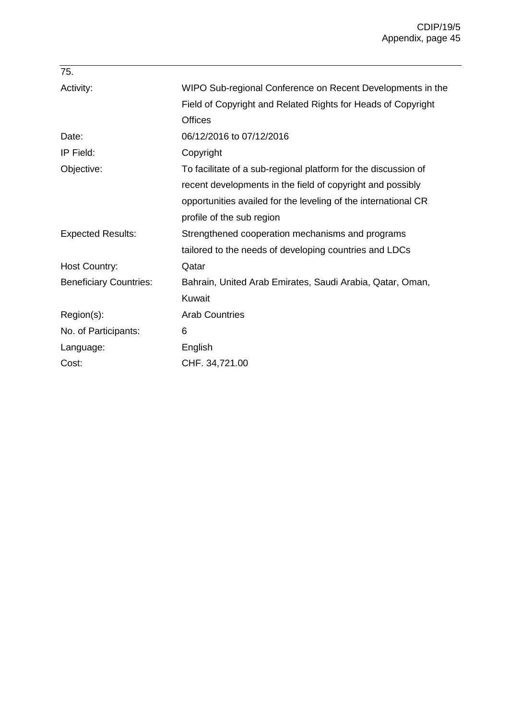| 75.                           |                                                                |
|-------------------------------|----------------------------------------------------------------|
| Activity:                     | WIPO Sub-regional Conference on Recent Developments in the     |
|                               | Field of Copyright and Related Rights for Heads of Copyright   |
|                               | <b>Offices</b>                                                 |
| Date:                         | 06/12/2016 to 07/12/2016                                       |
| IP Field:                     | Copyright                                                      |
| Objective:                    | To facilitate of a sub-regional platform for the discussion of |
|                               | recent developments in the field of copyright and possibly     |
|                               | opportunities availed for the leveling of the international CR |
|                               | profile of the sub region                                      |
| <b>Expected Results:</b>      | Strengthened cooperation mechanisms and programs               |
|                               | tailored to the needs of developing countries and LDCs         |
| Host Country:                 | Qatar                                                          |
| <b>Beneficiary Countries:</b> | Bahrain, United Arab Emirates, Saudi Arabia, Qatar, Oman,      |
|                               | Kuwait                                                         |
| Region(s):                    | <b>Arab Countries</b>                                          |
| No. of Participants:          | 6                                                              |
| Language:                     | English                                                        |
| Cost:                         | CHF. 34,721.00                                                 |
|                               |                                                                |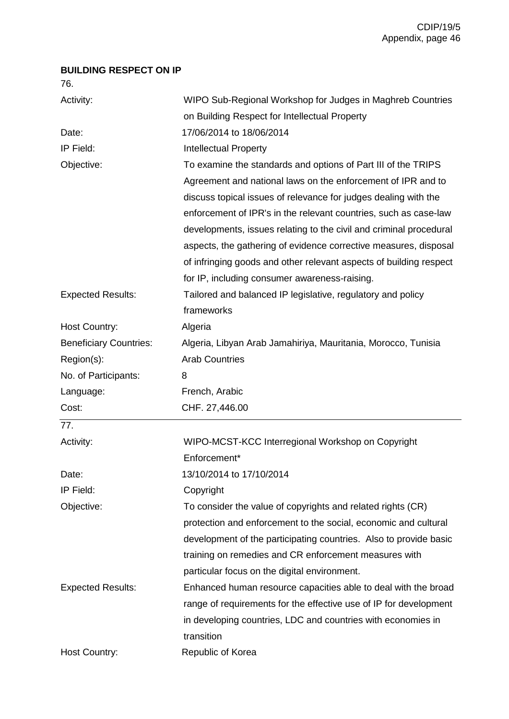## **BUILDING RESPECT ON IP**

76.

| Activity:                     | WIPO Sub-Regional Workshop for Judges in Maghreb Countries         |
|-------------------------------|--------------------------------------------------------------------|
|                               | on Building Respect for Intellectual Property                      |
| Date:                         | 17/06/2014 to 18/06/2014                                           |
| IP Field:                     | <b>Intellectual Property</b>                                       |
| Objective:                    | To examine the standards and options of Part III of the TRIPS      |
|                               | Agreement and national laws on the enforcement of IPR and to       |
|                               | discuss topical issues of relevance for judges dealing with the    |
|                               | enforcement of IPR's in the relevant countries, such as case-law   |
|                               | developments, issues relating to the civil and criminal procedural |
|                               | aspects, the gathering of evidence corrective measures, disposal   |
|                               | of infringing goods and other relevant aspects of building respect |
|                               | for IP, including consumer awareness-raising.                      |
| <b>Expected Results:</b>      | Tailored and balanced IP legislative, regulatory and policy        |
|                               | frameworks                                                         |
| <b>Host Country:</b>          | Algeria                                                            |
| <b>Beneficiary Countries:</b> | Algeria, Libyan Arab Jamahiriya, Mauritania, Morocco, Tunisia      |
| Region(s):                    | <b>Arab Countries</b>                                              |
| No. of Participants:          | 8                                                                  |
| Language:                     | French, Arabic                                                     |
| Cost:                         | CHF. 27,446.00                                                     |
| 77.                           |                                                                    |
| Activity:                     | WIPO-MCST-KCC Interregional Workshop on Copyright                  |
|                               | Enforcement*                                                       |
| Date:                         | 13/10/2014 to 17/10/2014                                           |
| IP Field:                     | Copyright                                                          |
| Objective:                    | To consider the value of copyrights and related rights (CR)        |
|                               | protection and enforcement to the social, economic and cultural    |
|                               | development of the participating countries. Also to provide basic  |
|                               | training on remedies and CR enforcement measures with              |
|                               | particular focus on the digital environment.                       |
| <b>Expected Results:</b>      | Enhanced human resource capacities able to deal with the broad     |
|                               | range of requirements for the effective use of IP for development  |
|                               | in developing countries, LDC and countries with economies in       |
|                               | transition                                                         |
|                               |                                                                    |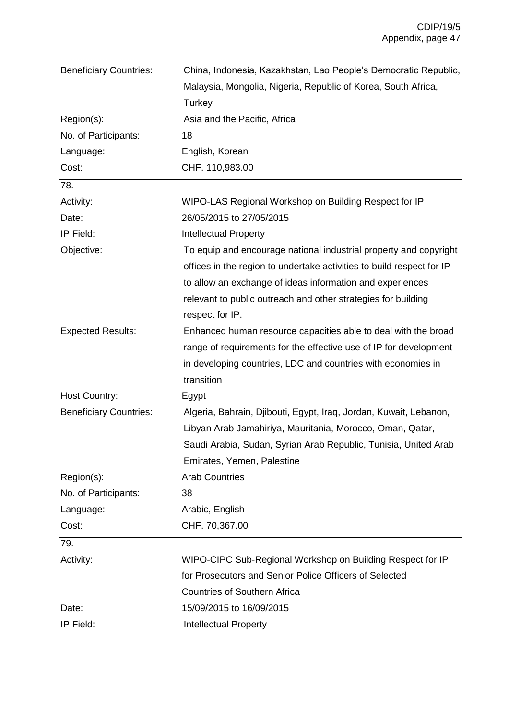| <b>Beneficiary Countries:</b> | China, Indonesia, Kazakhstan, Lao People's Democratic Republic,       |
|-------------------------------|-----------------------------------------------------------------------|
|                               | Malaysia, Mongolia, Nigeria, Republic of Korea, South Africa,         |
|                               | Turkey                                                                |
| Region(s):                    | Asia and the Pacific, Africa                                          |
| No. of Participants:          | 18                                                                    |
| Language:                     | English, Korean                                                       |
| Cost:                         | CHF. 110,983.00                                                       |
| 78.                           |                                                                       |
| Activity:                     | WIPO-LAS Regional Workshop on Building Respect for IP                 |
| Date:                         | 26/05/2015 to 27/05/2015                                              |
| IP Field:                     | <b>Intellectual Property</b>                                          |
| Objective:                    | To equip and encourage national industrial property and copyright     |
|                               | offices in the region to undertake activities to build respect for IP |
|                               | to allow an exchange of ideas information and experiences             |
|                               | relevant to public outreach and other strategies for building         |
|                               | respect for IP.                                                       |
| <b>Expected Results:</b>      | Enhanced human resource capacities able to deal with the broad        |
|                               | range of requirements for the effective use of IP for development     |
|                               | in developing countries, LDC and countries with economies in          |
|                               | transition                                                            |
| <b>Host Country:</b>          | Egypt                                                                 |
| <b>Beneficiary Countries:</b> | Algeria, Bahrain, Djibouti, Egypt, Iraq, Jordan, Kuwait, Lebanon,     |
|                               | Libyan Arab Jamahiriya, Mauritania, Morocco, Oman, Qatar,             |
|                               | Saudi Arabia, Sudan, Syrian Arab Republic, Tunisia, United Arab       |
|                               | Emirates, Yemen, Palestine                                            |
| Region(s):                    | <b>Arab Countries</b>                                                 |
| No. of Participants:          | 38                                                                    |
| Language:                     | Arabic, English                                                       |
| Cost:                         | CHF. 70,367.00                                                        |
| 79.                           |                                                                       |
| Activity:                     | WIPO-CIPC Sub-Regional Workshop on Building Respect for IP            |
|                               | for Prosecutors and Senior Police Officers of Selected                |
|                               | <b>Countries of Southern Africa</b>                                   |
| Date:                         | 15/09/2015 to 16/09/2015                                              |
| IP Field:                     | Intellectual Property                                                 |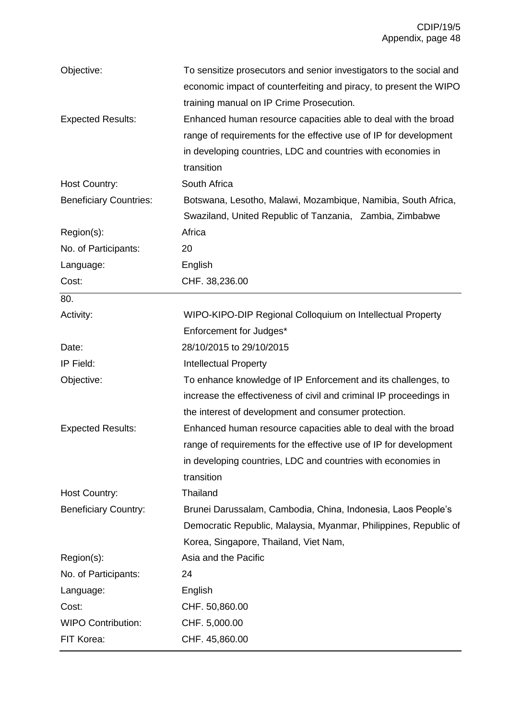| Objective:                    | To sensitize prosecutors and senior investigators to the social and |
|-------------------------------|---------------------------------------------------------------------|
|                               | economic impact of counterfeiting and piracy, to present the WIPO   |
|                               | training manual on IP Crime Prosecution.                            |
| <b>Expected Results:</b>      | Enhanced human resource capacities able to deal with the broad      |
|                               | range of requirements for the effective use of IP for development   |
|                               | in developing countries, LDC and countries with economies in        |
|                               | transition                                                          |
| Host Country:                 | South Africa                                                        |
| <b>Beneficiary Countries:</b> | Botswana, Lesotho, Malawi, Mozambique, Namibia, South Africa,       |
|                               | Swaziland, United Republic of Tanzania, Zambia, Zimbabwe            |
| Region(s):                    | Africa                                                              |
| No. of Participants:          | 20                                                                  |
| Language:                     | English                                                             |
| Cost:                         | CHF. 38,236.00                                                      |
| 80.                           |                                                                     |
| Activity:                     | WIPO-KIPO-DIP Regional Colloquium on Intellectual Property          |
|                               | Enforcement for Judges*                                             |
| Date:                         | 28/10/2015 to 29/10/2015                                            |
| IP Field:                     | <b>Intellectual Property</b>                                        |
| Objective:                    | To enhance knowledge of IP Enforcement and its challenges, to       |
|                               | increase the effectiveness of civil and criminal IP proceedings in  |
|                               | the interest of development and consumer protection.                |
| <b>Expected Results:</b>      | Enhanced human resource capacities able to deal with the broad      |
|                               | range of requirements for the effective use of IP for development   |
|                               | in developing countries, LDC and countries with economies in        |
|                               | transition                                                          |
| Host Country:                 | Thailand                                                            |
| <b>Beneficiary Country:</b>   | Brunei Darussalam, Cambodia, China, Indonesia, Laos People's        |
|                               | Democratic Republic, Malaysia, Myanmar, Philippines, Republic of    |
|                               | Korea, Singapore, Thailand, Viet Nam,                               |
| Region(s):                    | Asia and the Pacific                                                |
| No. of Participants:          | 24                                                                  |
| Language:                     | English                                                             |
| Cost:                         | CHF. 50,860.00                                                      |
| <b>WIPO Contribution:</b>     | CHF. 5,000.00                                                       |
| FIT Korea:                    | CHF. 45,860.00                                                      |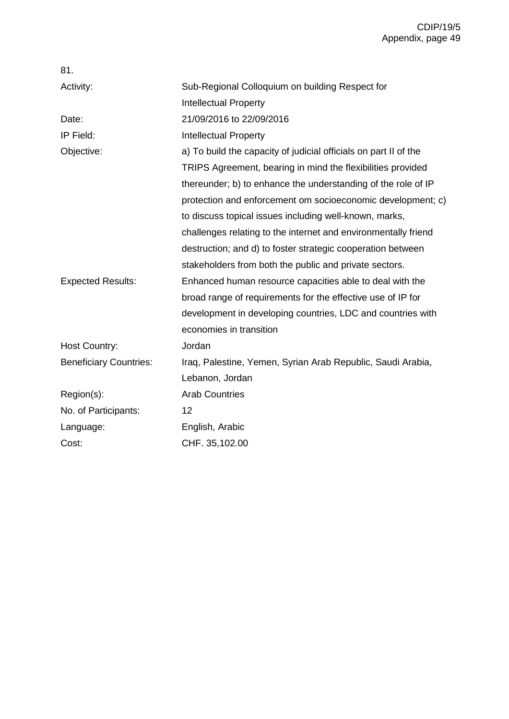| 81.                           |                                                                  |
|-------------------------------|------------------------------------------------------------------|
| Activity:                     | Sub-Regional Colloquium on building Respect for                  |
|                               | <b>Intellectual Property</b>                                     |
| Date:                         | 21/09/2016 to 22/09/2016                                         |
| IP Field:                     | <b>Intellectual Property</b>                                     |
| Objective:                    | a) To build the capacity of judicial officials on part II of the |
|                               | TRIPS Agreement, bearing in mind the flexibilities provided      |
|                               | thereunder; b) to enhance the understanding of the role of IP    |
|                               | protection and enforcement om socioeconomic development; c)      |
|                               | to discuss topical issues including well-known, marks,           |
|                               | challenges relating to the internet and environmentally friend   |
|                               | destruction; and d) to foster strategic cooperation between      |
|                               | stakeholders from both the public and private sectors.           |
| <b>Expected Results:</b>      | Enhanced human resource capacities able to deal with the         |
|                               | broad range of requirements for the effective use of IP for      |
|                               | development in developing countries, LDC and countries with      |
|                               | economies in transition                                          |
| <b>Host Country:</b>          | Jordan                                                           |
| <b>Beneficiary Countries:</b> | Iraq, Palestine, Yemen, Syrian Arab Republic, Saudi Arabia,      |
|                               | Lebanon, Jordan                                                  |
| Region(s):                    | <b>Arab Countries</b>                                            |
| No. of Participants:          | 12                                                               |
| Language:                     | English, Arabic                                                  |
| Cost:                         | CHF. 35,102.00                                                   |
|                               |                                                                  |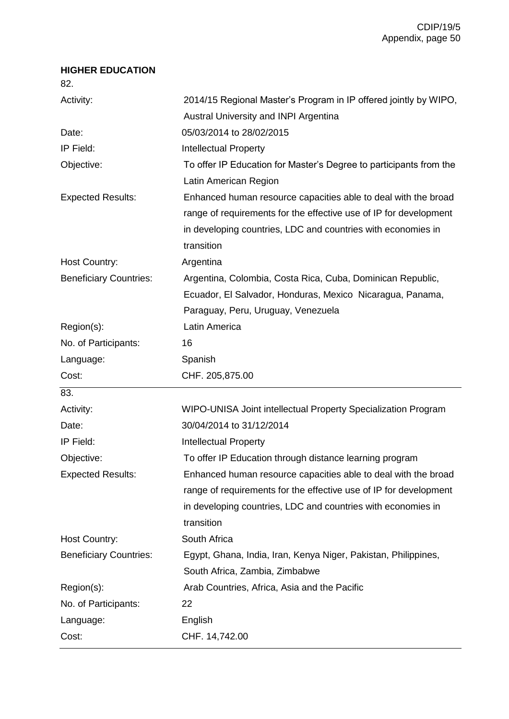## **HIGHER EDUCATION**

82.

| Activity:                     | 2014/15 Regional Master's Program in IP offered jointly by WIPO,   |
|-------------------------------|--------------------------------------------------------------------|
|                               | Austral University and INPI Argentina                              |
| Date:                         | 05/03/2014 to 28/02/2015                                           |
| IP Field:                     | <b>Intellectual Property</b>                                       |
| Objective:                    | To offer IP Education for Master's Degree to participants from the |
|                               | Latin American Region                                              |
| <b>Expected Results:</b>      | Enhanced human resource capacities able to deal with the broad     |
|                               | range of requirements for the effective use of IP for development  |
|                               | in developing countries, LDC and countries with economies in       |
|                               | transition                                                         |
| <b>Host Country:</b>          | Argentina                                                          |
| <b>Beneficiary Countries:</b> | Argentina, Colombia, Costa Rica, Cuba, Dominican Republic,         |
|                               | Ecuador, El Salvador, Honduras, Mexico Nicaragua, Panama,          |
|                               | Paraguay, Peru, Uruguay, Venezuela                                 |
| Region(s):                    | Latin America                                                      |
| No. of Participants:          | 16                                                                 |
| Language:                     | Spanish                                                            |
|                               |                                                                    |
| Cost:                         | CHF. 205,875.00                                                    |
| 83.                           |                                                                    |
| Activity:                     | WIPO-UNISA Joint intellectual Property Specialization Program      |
| Date:                         | 30/04/2014 to 31/12/2014                                           |
| IP Field:                     | <b>Intellectual Property</b>                                       |
| Objective:                    | To offer IP Education through distance learning program            |
| <b>Expected Results:</b>      | Enhanced human resource capacities able to deal with the broad     |
|                               | range of requirements for the effective use of IP for development  |
|                               | in developing countries, LDC and countries with economies in       |
|                               | transition                                                         |
| <b>Host Country:</b>          | South Africa                                                       |
| <b>Beneficiary Countries:</b> | Egypt, Ghana, India, Iran, Kenya Niger, Pakistan, Philippines,     |
|                               | South Africa, Zambia, Zimbabwe                                     |
| Region(s):                    | Arab Countries, Africa, Asia and the Pacific                       |
| No. of Participants:          | 22                                                                 |
| Language:                     | English                                                            |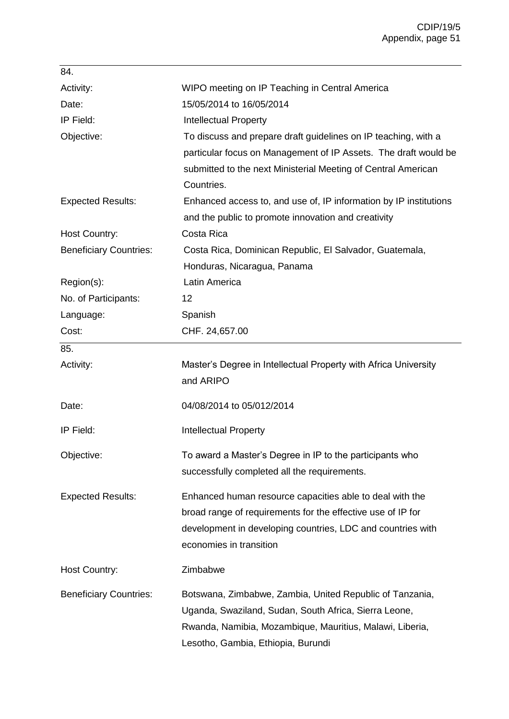| 84.                           |                                                                                                                                                                                                                     |
|-------------------------------|---------------------------------------------------------------------------------------------------------------------------------------------------------------------------------------------------------------------|
| Activity:                     | WIPO meeting on IP Teaching in Central America                                                                                                                                                                      |
| Date:                         | 15/05/2014 to 16/05/2014                                                                                                                                                                                            |
| IP Field:                     | <b>Intellectual Property</b>                                                                                                                                                                                        |
| Objective:                    | To discuss and prepare draft guidelines on IP teaching, with a<br>particular focus on Management of IP Assets. The draft would be<br>submitted to the next Ministerial Meeting of Central American<br>Countries.    |
| <b>Expected Results:</b>      | Enhanced access to, and use of, IP information by IP institutions                                                                                                                                                   |
|                               | and the public to promote innovation and creativity                                                                                                                                                                 |
| <b>Host Country:</b>          | Costa Rica                                                                                                                                                                                                          |
| <b>Beneficiary Countries:</b> | Costa Rica, Dominican Republic, El Salvador, Guatemala,                                                                                                                                                             |
|                               | Honduras, Nicaragua, Panama                                                                                                                                                                                         |
| Region(s):                    | <b>Latin America</b>                                                                                                                                                                                                |
| No. of Participants:          | 12                                                                                                                                                                                                                  |
| Language:                     | Spanish                                                                                                                                                                                                             |
| Cost:                         | CHF. 24,657.00                                                                                                                                                                                                      |
| 85.                           |                                                                                                                                                                                                                     |
| Activity:                     | Master's Degree in Intellectual Property with Africa University<br>and ARIPO                                                                                                                                        |
| Date:                         | 04/08/2014 to 05/012/2014                                                                                                                                                                                           |
| IP Field:                     | <b>Intellectual Property</b>                                                                                                                                                                                        |
| Objective:                    | To award a Master's Degree in IP to the participants who<br>successfully completed all the requirements.                                                                                                            |
| <b>Expected Results:</b>      | Enhanced human resource capacities able to deal with the<br>broad range of requirements for the effective use of IP for<br>development in developing countries, LDC and countries with<br>economies in transition   |
| Host Country:                 | Zimbabwe                                                                                                                                                                                                            |
| <b>Beneficiary Countries:</b> | Botswana, Zimbabwe, Zambia, United Republic of Tanzania,<br>Uganda, Swaziland, Sudan, South Africa, Sierra Leone,<br>Rwanda, Namibia, Mozambique, Mauritius, Malawi, Liberia,<br>Lesotho, Gambia, Ethiopia, Burundi |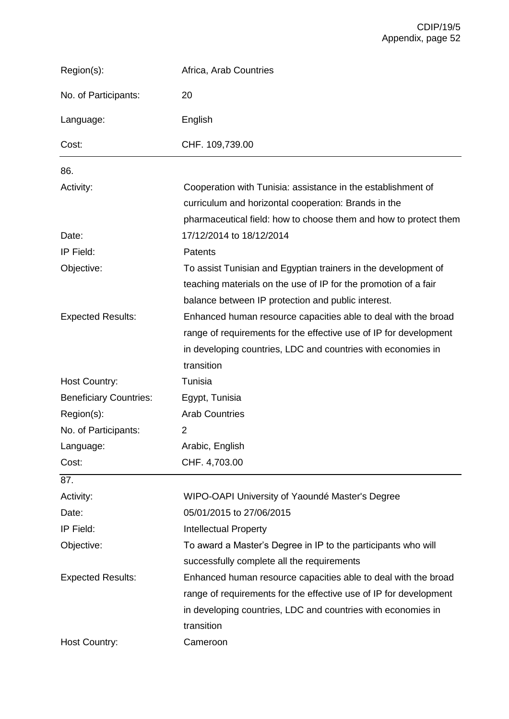| Region(s):                    | Africa, Arab Countries                                                                                                                                                                                            |
|-------------------------------|-------------------------------------------------------------------------------------------------------------------------------------------------------------------------------------------------------------------|
| No. of Participants:          | 20                                                                                                                                                                                                                |
| Language:                     | English                                                                                                                                                                                                           |
| Cost:                         | CHF. 109,739.00                                                                                                                                                                                                   |
| 86.                           |                                                                                                                                                                                                                   |
| Activity:                     | Cooperation with Tunisia: assistance in the establishment of<br>curriculum and horizontal cooperation: Brands in the<br>pharmaceutical field: how to choose them and how to protect them                          |
| Date:                         | 17/12/2014 to 18/12/2014                                                                                                                                                                                          |
| IP Field:                     | <b>Patents</b>                                                                                                                                                                                                    |
| Objective:                    | To assist Tunisian and Egyptian trainers in the development of<br>teaching materials on the use of IP for the promotion of a fair<br>balance between IP protection and public interest.                           |
| <b>Expected Results:</b>      | Enhanced human resource capacities able to deal with the broad<br>range of requirements for the effective use of IP for development<br>in developing countries, LDC and countries with economies in<br>transition |
| <b>Host Country:</b>          | Tunisia                                                                                                                                                                                                           |
| <b>Beneficiary Countries:</b> | Egypt, Tunisia                                                                                                                                                                                                    |
| Region(s):                    | <b>Arab Countries</b>                                                                                                                                                                                             |
| No. of Participants:          | 2                                                                                                                                                                                                                 |
| Language:                     | Arabic, English                                                                                                                                                                                                   |
| Cost:                         | CHF. 4,703.00                                                                                                                                                                                                     |
| 87.                           |                                                                                                                                                                                                                   |
| Activity:                     | WIPO-OAPI University of Yaoundé Master's Degree                                                                                                                                                                   |
| Date:                         | 05/01/2015 to 27/06/2015                                                                                                                                                                                          |
| IP Field:                     | <b>Intellectual Property</b>                                                                                                                                                                                      |
| Objective:                    | To award a Master's Degree in IP to the participants who will                                                                                                                                                     |
|                               | successfully complete all the requirements                                                                                                                                                                        |
| <b>Expected Results:</b>      | Enhanced human resource capacities able to deal with the broad                                                                                                                                                    |
|                               | range of requirements for the effective use of IP for development                                                                                                                                                 |
|                               | in developing countries, LDC and countries with economies in                                                                                                                                                      |
|                               | transition                                                                                                                                                                                                        |
| <b>Host Country:</b>          | Cameroon                                                                                                                                                                                                          |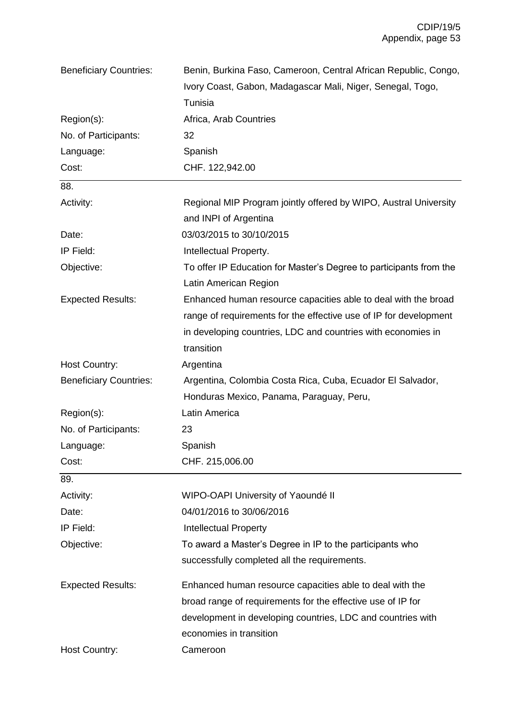| <b>Beneficiary Countries:</b> | Benin, Burkina Faso, Cameroon, Central African Republic, Congo,    |
|-------------------------------|--------------------------------------------------------------------|
|                               | Ivory Coast, Gabon, Madagascar Mali, Niger, Senegal, Togo,         |
|                               | Tunisia                                                            |
| Region(s):                    | Africa, Arab Countries                                             |
| No. of Participants:          | 32                                                                 |
| Language:                     | Spanish                                                            |
| Cost:                         | CHF. 122,942.00                                                    |
| 88.                           |                                                                    |
| Activity:                     | Regional MIP Program jointly offered by WIPO, Austral University   |
|                               | and INPI of Argentina                                              |
| Date:                         | 03/03/2015 to 30/10/2015                                           |
| IP Field:                     | Intellectual Property.                                             |
| Objective:                    | To offer IP Education for Master's Degree to participants from the |
|                               | Latin American Region                                              |
| <b>Expected Results:</b>      | Enhanced human resource capacities able to deal with the broad     |
|                               | range of requirements for the effective use of IP for development  |
|                               | in developing countries, LDC and countries with economies in       |
|                               | transition                                                         |
| <b>Host Country:</b>          | Argentina                                                          |
| <b>Beneficiary Countries:</b> | Argentina, Colombia Costa Rica, Cuba, Ecuador El Salvador,         |
|                               | Honduras Mexico, Panama, Paraguay, Peru,                           |
| Region(s):                    | Latin America                                                      |
| No. of Participants:          | 23                                                                 |
| Language:                     | Spanish                                                            |
| Cost:                         | CHF. 215,006.00                                                    |
| 89.                           |                                                                    |
| Activity:                     | WIPO-OAPI University of Yaoundé II                                 |
| Date:                         | 04/01/2016 to 30/06/2016                                           |
| IP Field:                     | <b>Intellectual Property</b>                                       |
| Objective:                    | To award a Master's Degree in IP to the participants who           |
|                               | successfully completed all the requirements.                       |
| <b>Expected Results:</b>      | Enhanced human resource capacities able to deal with the           |
|                               | broad range of requirements for the effective use of IP for        |
|                               | development in developing countries, LDC and countries with        |
|                               | economies in transition                                            |
| <b>Host Country:</b>          | Cameroon                                                           |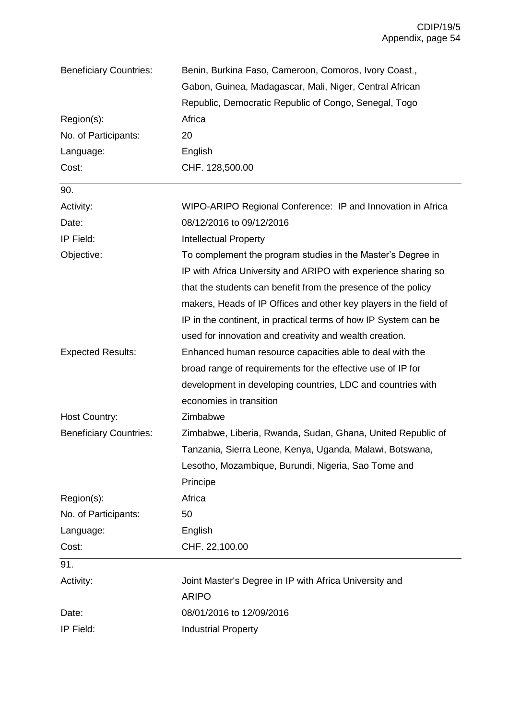| <b>Beneficiary Countries:</b> | Benin, Burkina Faso, Cameroon, Comoros, Ivory Coast,              |
|-------------------------------|-------------------------------------------------------------------|
|                               | Gabon, Guinea, Madagascar, Mali, Niger, Central African           |
|                               | Republic, Democratic Republic of Congo, Senegal, Togo             |
| Region(s):                    | Africa                                                            |
| No. of Participants:          | 20                                                                |
| Language:                     | English                                                           |
| Cost:                         | CHF. 128,500.00                                                   |
| 90.                           |                                                                   |
| Activity:                     | WIPO-ARIPO Regional Conference: IP and Innovation in Africa       |
| Date:                         | 08/12/2016 to 09/12/2016                                          |
| IP Field:                     | <b>Intellectual Property</b>                                      |
| Objective:                    | To complement the program studies in the Master's Degree in       |
|                               | IP with Africa University and ARIPO with experience sharing so    |
|                               | that the students can benefit from the presence of the policy     |
|                               | makers, Heads of IP Offices and other key players in the field of |
|                               | IP in the continent, in practical terms of how IP System can be   |
|                               | used for innovation and creativity and wealth creation.           |
| <b>Expected Results:</b>      | Enhanced human resource capacities able to deal with the          |
|                               | broad range of requirements for the effective use of IP for       |
|                               | development in developing countries, LDC and countries with       |
|                               | economies in transition                                           |
| Host Country:                 | Zimbabwe                                                          |
| <b>Beneficiary Countries:</b> | Zimbabwe, Liberia, Rwanda, Sudan, Ghana, United Republic of       |
|                               | Tanzania, Sierra Leone, Kenya, Uganda, Malawi, Botswana,          |
|                               | Lesotho, Mozambique, Burundi, Nigeria, Sao Tome and               |
|                               | Principe                                                          |
| Region(s):                    | Africa                                                            |
| No. of Participants:          | 50                                                                |
| Language:                     | English                                                           |
| Cost:                         | CHF. 22,100.00                                                    |
| 91.                           |                                                                   |
| Activity:                     | Joint Master's Degree in IP with Africa University and            |
|                               | <b>ARIPO</b>                                                      |
| Date:                         | 08/01/2016 to 12/09/2016                                          |
| IP Field:                     | <b>Industrial Property</b>                                        |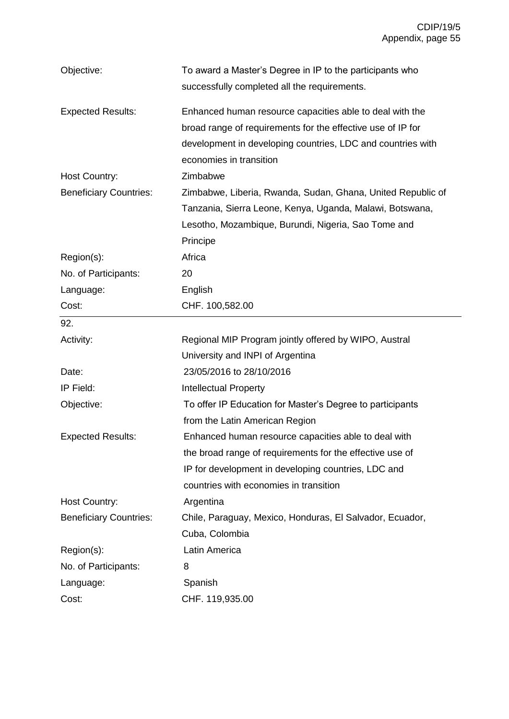| Objective:                    | To award a Master's Degree in IP to the participants who    |
|-------------------------------|-------------------------------------------------------------|
|                               | successfully completed all the requirements.                |
| <b>Expected Results:</b>      | Enhanced human resource capacities able to deal with the    |
|                               | broad range of requirements for the effective use of IP for |
|                               | development in developing countries, LDC and countries with |
|                               | economies in transition                                     |
| Host Country:                 | Zimbabwe                                                    |
| <b>Beneficiary Countries:</b> | Zimbabwe, Liberia, Rwanda, Sudan, Ghana, United Republic of |
|                               | Tanzania, Sierra Leone, Kenya, Uganda, Malawi, Botswana,    |
|                               | Lesotho, Mozambique, Burundi, Nigeria, Sao Tome and         |
|                               | Principe                                                    |
| Region(s):                    | Africa                                                      |
| No. of Participants:          | 20                                                          |
| Language:                     | English                                                     |
| Cost:                         | CHF. 100,582.00                                             |
| 92.                           |                                                             |
| Activity:                     | Regional MIP Program jointly offered by WIPO, Austral       |
|                               | University and INPI of Argentina                            |
| Date:                         | 23/05/2016 to 28/10/2016                                    |
| IP Field:                     | <b>Intellectual Property</b>                                |
| Objective:                    | To offer IP Education for Master's Degree to participants   |
|                               | from the Latin American Region                              |
| <b>Expected Results:</b>      | Enhanced human resource capacities able to deal with        |
|                               | the broad range of requirements for the effective use of    |
|                               | IP for development in developing countries, LDC and         |
|                               | countries with economies in transition                      |
| <b>Host Country:</b>          | Argentina                                                   |
| <b>Beneficiary Countries:</b> | Chile, Paraguay, Mexico, Honduras, El Salvador, Ecuador,    |
|                               | Cuba, Colombia                                              |
| Region(s):                    | Latin America                                               |
| No. of Participants:          | 8                                                           |
| Language:                     | Spanish                                                     |
| Cost:                         | CHF. 119,935.00                                             |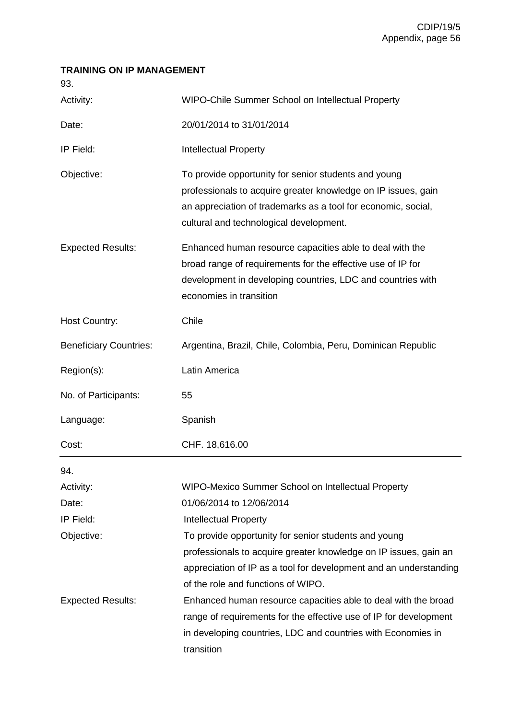## **TRAINING ON IP MANAGEMENT**

93.

| Activity:                     | WIPO-Chile Summer School on Intellectual Property                                                                                                                                                                                 |
|-------------------------------|-----------------------------------------------------------------------------------------------------------------------------------------------------------------------------------------------------------------------------------|
| Date:                         | 20/01/2014 to 31/01/2014                                                                                                                                                                                                          |
| IP Field:                     | <b>Intellectual Property</b>                                                                                                                                                                                                      |
| Objective:                    | To provide opportunity for senior students and young<br>professionals to acquire greater knowledge on IP issues, gain<br>an appreciation of trademarks as a tool for economic, social,<br>cultural and technological development. |
| <b>Expected Results:</b>      | Enhanced human resource capacities able to deal with the<br>broad range of requirements for the effective use of IP for<br>development in developing countries, LDC and countries with<br>economies in transition                 |
| <b>Host Country:</b>          | Chile                                                                                                                                                                                                                             |
| <b>Beneficiary Countries:</b> | Argentina, Brazil, Chile, Colombia, Peru, Dominican Republic                                                                                                                                                                      |
| Region(s):                    | Latin America                                                                                                                                                                                                                     |
| No. of Participants:          | 55                                                                                                                                                                                                                                |
| Language:                     | Spanish                                                                                                                                                                                                                           |
| Cost:                         | CHF. 18,616.00                                                                                                                                                                                                                    |
| 94.                           |                                                                                                                                                                                                                                   |
| Activity:                     | WIPO-Mexico Summer School on Intellectual Property                                                                                                                                                                                |
| Date:                         | 01/06/2014 to 12/06/2014                                                                                                                                                                                                          |
| IP Field:                     | <b>Intellectual Property</b>                                                                                                                                                                                                      |
| Objective:                    | To provide opportunity for senior students and young                                                                                                                                                                              |
|                               | professionals to acquire greater knowledge on IP issues, gain an<br>appreciation of IP as a tool for development and an understanding<br>of the role and functions of WIPO.                                                       |
| <b>Expected Results:</b>      | Enhanced human resource capacities able to deal with the broad<br>range of requirements for the effective use of IP for development<br>in developing countries, LDC and countries with Economies in<br>transition                 |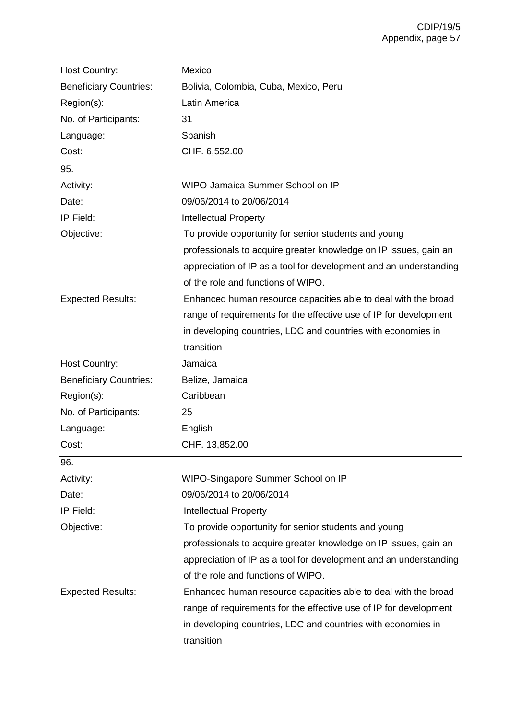| <b>Host Country:</b>          | Mexico                                                            |
|-------------------------------|-------------------------------------------------------------------|
| <b>Beneficiary Countries:</b> | Bolivia, Colombia, Cuba, Mexico, Peru                             |
| Region(s):                    | Latin America                                                     |
| No. of Participants:          | 31                                                                |
| Language:                     | Spanish                                                           |
| Cost:                         | CHF. 6,552.00                                                     |
| 95.                           |                                                                   |
| Activity:                     | WIPO-Jamaica Summer School on IP                                  |
| Date:                         | 09/06/2014 to 20/06/2014                                          |
| IP Field:                     | <b>Intellectual Property</b>                                      |
| Objective:                    | To provide opportunity for senior students and young              |
|                               | professionals to acquire greater knowledge on IP issues, gain an  |
|                               | appreciation of IP as a tool for development and an understanding |
|                               | of the role and functions of WIPO.                                |
| <b>Expected Results:</b>      | Enhanced human resource capacities able to deal with the broad    |
|                               | range of requirements for the effective use of IP for development |
|                               | in developing countries, LDC and countries with economies in      |
|                               | transition                                                        |
| Host Country:                 | Jamaica                                                           |
| <b>Beneficiary Countries:</b> | Belize, Jamaica                                                   |
| Region(s):                    | Caribbean                                                         |
| No. of Participants:          | 25                                                                |
| Language:                     | English                                                           |
| Cost:                         | CHF. 13,852.00                                                    |
| 96.                           |                                                                   |
| Activity:                     | WIPO-Singapore Summer School on IP                                |
| Date:                         | 09/06/2014 to 20/06/2014                                          |
| IP Field:                     | <b>Intellectual Property</b>                                      |
| Objective:                    | To provide opportunity for senior students and young              |
|                               | professionals to acquire greater knowledge on IP issues, gain an  |
|                               | appreciation of IP as a tool for development and an understanding |
|                               | of the role and functions of WIPO.                                |
| <b>Expected Results:</b>      | Enhanced human resource capacities able to deal with the broad    |
|                               | range of requirements for the effective use of IP for development |
|                               | in developing countries, LDC and countries with economies in      |
|                               | transition                                                        |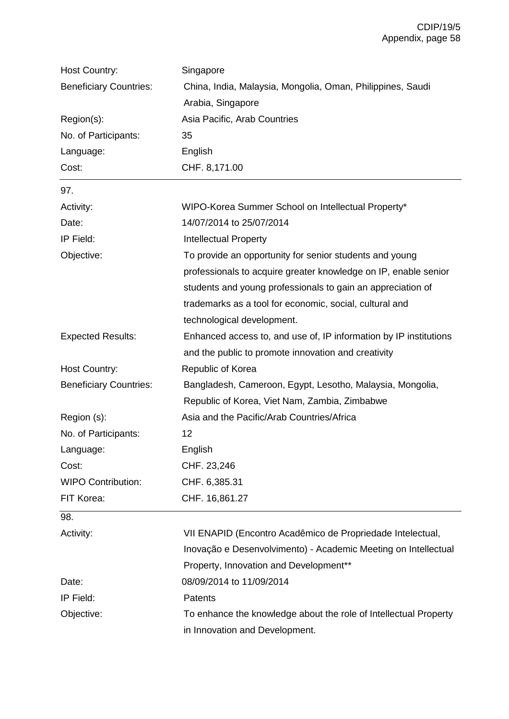| <b>Host Country:</b>          | Singapore                                                         |
|-------------------------------|-------------------------------------------------------------------|
| <b>Beneficiary Countries:</b> | China, India, Malaysia, Mongolia, Oman, Philippines, Saudi        |
|                               | Arabia, Singapore                                                 |
| Region(s):                    | Asia Pacific, Arab Countries                                      |
| No. of Participants:          | 35                                                                |
| Language:                     | English                                                           |
| Cost:                         | CHF. 8,171.00                                                     |
| 97.                           |                                                                   |
| Activity:                     | WIPO-Korea Summer School on Intellectual Property*                |
| Date:                         | 14/07/2014 to 25/07/2014                                          |
| IP Field:                     | <b>Intellectual Property</b>                                      |
| Objective:                    | To provide an opportunity for senior students and young           |
|                               | professionals to acquire greater knowledge on IP, enable senior   |
|                               | students and young professionals to gain an appreciation of       |
|                               | trademarks as a tool for economic, social, cultural and           |
|                               | technological development.                                        |
| <b>Expected Results:</b>      | Enhanced access to, and use of, IP information by IP institutions |
|                               | and the public to promote innovation and creativity               |
| <b>Host Country:</b>          | Republic of Korea                                                 |
| <b>Beneficiary Countries:</b> | Bangladesh, Cameroon, Egypt, Lesotho, Malaysia, Mongolia,         |
|                               | Republic of Korea, Viet Nam, Zambia, Zimbabwe                     |
| Region (s):                   | Asia and the Pacific/Arab Countries/Africa                        |
| No. of Participants:          | 12                                                                |
| Language:                     | English                                                           |
| Cost:                         | CHF. 23,246                                                       |
| <b>WIPO Contribution:</b>     | CHF. 6,385.31                                                     |
| FIT Korea:                    | CHF. 16,861.27                                                    |
| 98.                           |                                                                   |
| Activity:                     | VII ENAPID (Encontro Acadêmico de Propriedade Intelectual,        |
|                               | Inovação e Desenvolvimento) - Academic Meeting on Intellectual    |
|                               | Property, Innovation and Development**                            |
| Date:                         | 08/09/2014 to 11/09/2014                                          |
| IP Field:                     | Patents                                                           |
| Objective:                    | To enhance the knowledge about the role of Intellectual Property  |
|                               | in Innovation and Development.                                    |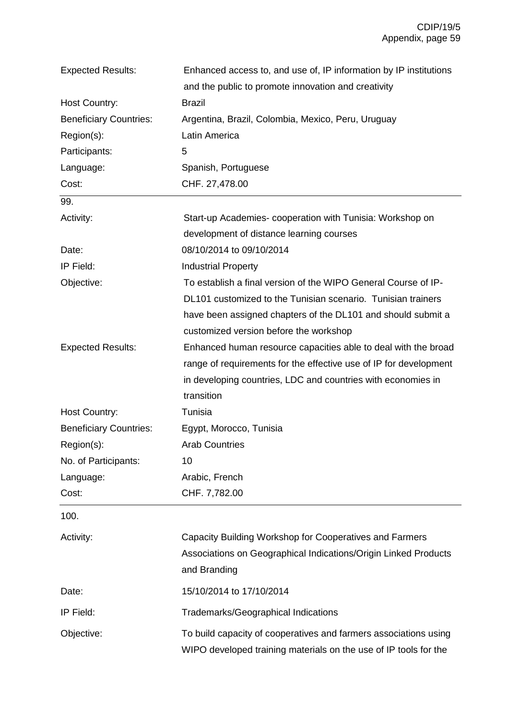| <b>Expected Results:</b>      | Enhanced access to, and use of, IP information by IP institutions                                                                    |
|-------------------------------|--------------------------------------------------------------------------------------------------------------------------------------|
|                               | and the public to promote innovation and creativity                                                                                  |
| Host Country:                 | <b>Brazil</b>                                                                                                                        |
| <b>Beneficiary Countries:</b> | Argentina, Brazil, Colombia, Mexico, Peru, Uruguay                                                                                   |
| Region(s):                    | Latin America                                                                                                                        |
| Participants:                 | 5                                                                                                                                    |
| Language:                     | Spanish, Portuguese                                                                                                                  |
| Cost:                         | CHF. 27,478.00                                                                                                                       |
| 99.                           |                                                                                                                                      |
| Activity:                     | Start-up Academies- cooperation with Tunisia: Workshop on                                                                            |
|                               | development of distance learning courses                                                                                             |
| Date:                         | 08/10/2014 to 09/10/2014                                                                                                             |
| IP Field:                     | <b>Industrial Property</b>                                                                                                           |
| Objective:                    | To establish a final version of the WIPO General Course of IP-                                                                       |
|                               | DL101 customized to the Tunisian scenario. Tunisian trainers                                                                         |
|                               | have been assigned chapters of the DL101 and should submit a                                                                         |
|                               | customized version before the workshop                                                                                               |
| <b>Expected Results:</b>      | Enhanced human resource capacities able to deal with the broad                                                                       |
|                               | range of requirements for the effective use of IP for development                                                                    |
|                               | in developing countries, LDC and countries with economies in                                                                         |
|                               | transition                                                                                                                           |
| Host Country:                 | Tunisia                                                                                                                              |
| <b>Beneficiary Countries:</b> | Egypt, Morocco, Tunisia                                                                                                              |
| Region(s):                    | <b>Arab Countries</b>                                                                                                                |
| No. of Participants:          | 10                                                                                                                                   |
| Language:                     | Arabic, French                                                                                                                       |
| Cost:                         | CHF. 7,782.00                                                                                                                        |
| 100.                          |                                                                                                                                      |
| Activity:                     | Capacity Building Workshop for Cooperatives and Farmers                                                                              |
|                               | Associations on Geographical Indications/Origin Linked Products                                                                      |
|                               | and Branding                                                                                                                         |
|                               |                                                                                                                                      |
| Date:                         | 15/10/2014 to 17/10/2014                                                                                                             |
| IP Field:                     | Trademarks/Geographical Indications                                                                                                  |
| Objective:                    | To build capacity of cooperatives and farmers associations using<br>WIPO developed training materials on the use of IP tools for the |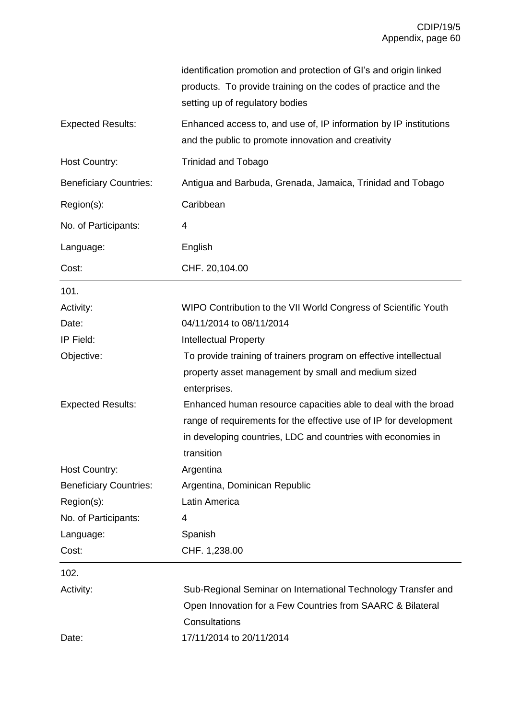|                               | identification promotion and protection of GI's and origin linked<br>products. To provide training on the codes of practice and the<br>setting up of regulatory bodies                                            |
|-------------------------------|-------------------------------------------------------------------------------------------------------------------------------------------------------------------------------------------------------------------|
| <b>Expected Results:</b>      | Enhanced access to, and use of, IP information by IP institutions<br>and the public to promote innovation and creativity                                                                                          |
| <b>Host Country:</b>          | <b>Trinidad and Tobago</b>                                                                                                                                                                                        |
| <b>Beneficiary Countries:</b> | Antigua and Barbuda, Grenada, Jamaica, Trinidad and Tobago                                                                                                                                                        |
| Region(s):                    | Caribbean                                                                                                                                                                                                         |
| No. of Participants:          | 4                                                                                                                                                                                                                 |
| Language:                     | English                                                                                                                                                                                                           |
| Cost:                         | CHF. 20,104.00                                                                                                                                                                                                    |
| 101.                          |                                                                                                                                                                                                                   |
| Activity:                     | WIPO Contribution to the VII World Congress of Scientific Youth                                                                                                                                                   |
| Date:                         | 04/11/2014 to 08/11/2014                                                                                                                                                                                          |
| IP Field:                     | <b>Intellectual Property</b>                                                                                                                                                                                      |
| Objective:                    | To provide training of trainers program on effective intellectual<br>property asset management by small and medium sized<br>enterprises.                                                                          |
| <b>Expected Results:</b>      | Enhanced human resource capacities able to deal with the broad<br>range of requirements for the effective use of IP for development<br>in developing countries, LDC and countries with economies in<br>transition |
| Host Country:                 | Argentina                                                                                                                                                                                                         |
| <b>Beneficiary Countries:</b> | Argentina, Dominican Republic                                                                                                                                                                                     |
| Region(s):                    | Latin America                                                                                                                                                                                                     |
| No. of Participants:          | 4                                                                                                                                                                                                                 |
| Language:                     | Spanish                                                                                                                                                                                                           |
| Cost:                         | CHF. 1,238.00                                                                                                                                                                                                     |
| 102.                          |                                                                                                                                                                                                                   |
| Activity:                     | Sub-Regional Seminar on International Technology Transfer and                                                                                                                                                     |
|                               | Open Innovation for a Few Countries from SAARC & Bilateral                                                                                                                                                        |
|                               | Consultations                                                                                                                                                                                                     |
| Date:                         | 17/11/2014 to 20/11/2014                                                                                                                                                                                          |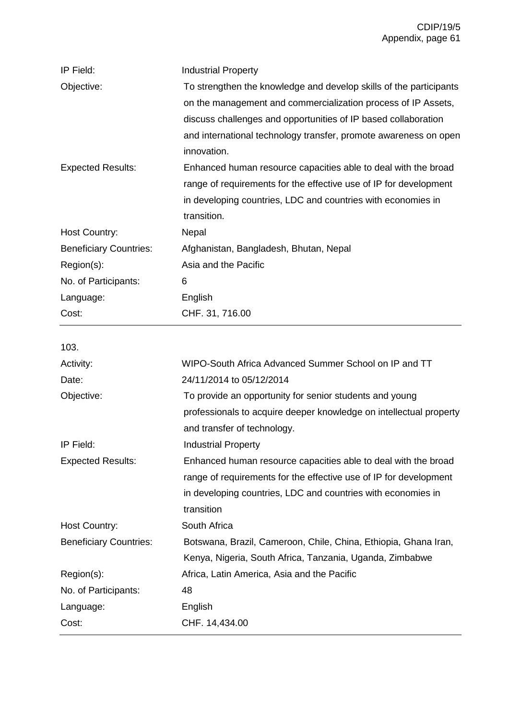| IP Field:                     | <b>Industrial Property</b>                                         |
|-------------------------------|--------------------------------------------------------------------|
| Objective:                    | To strengthen the knowledge and develop skills of the participants |
|                               | on the management and commercialization process of IP Assets,      |
|                               | discuss challenges and opportunities of IP based collaboration     |
|                               | and international technology transfer, promote awareness on open   |
|                               | innovation.                                                        |
| <b>Expected Results:</b>      | Enhanced human resource capacities able to deal with the broad     |
|                               | range of requirements for the effective use of IP for development  |
|                               | in developing countries, LDC and countries with economies in       |
|                               | transition.                                                        |
| <b>Host Country:</b>          | Nepal                                                              |
| <b>Beneficiary Countries:</b> | Afghanistan, Bangladesh, Bhutan, Nepal                             |
| Region(s):                    | Asia and the Pacific                                               |
| No. of Participants:          | 6                                                                  |
| Language:                     | English                                                            |
| Cost:                         | CHF. 31, 716.00                                                    |
|                               |                                                                    |
| 103.                          |                                                                    |
| Activity:                     | WIPO-South Africa Advanced Summer School on IP and TT              |
| Date:                         | 24/11/2014 to 05/12/2014                                           |
| Objective:                    | To provide an opportunity for senior students and young            |
|                               | professionals to acquire deeper knowledge on intellectual property |
|                               | and transfer of technology.                                        |
| IP Field:                     | <b>Industrial Property</b>                                         |
| <b>Expected Results:</b>      | Enhanced human resource capacities able to deal with the broad     |
|                               | range of requirements for the effective use of IP for development  |
|                               | in developing countries, LDC and countries with economies in       |
|                               | transition                                                         |
| <b>Host Country:</b>          | South Africa                                                       |
| <b>Beneficiary Countries:</b> | Botswana, Brazil, Cameroon, Chile, China, Ethiopia, Ghana Iran,    |
|                               | Kenya, Nigeria, South Africa, Tanzania, Uganda, Zimbabwe           |
| Region(s):                    | Africa, Latin America, Asia and the Pacific                        |
| No. of Participants:          | 48                                                                 |
| Language:                     | English                                                            |
| Cost:                         | CHF. 14,434.00                                                     |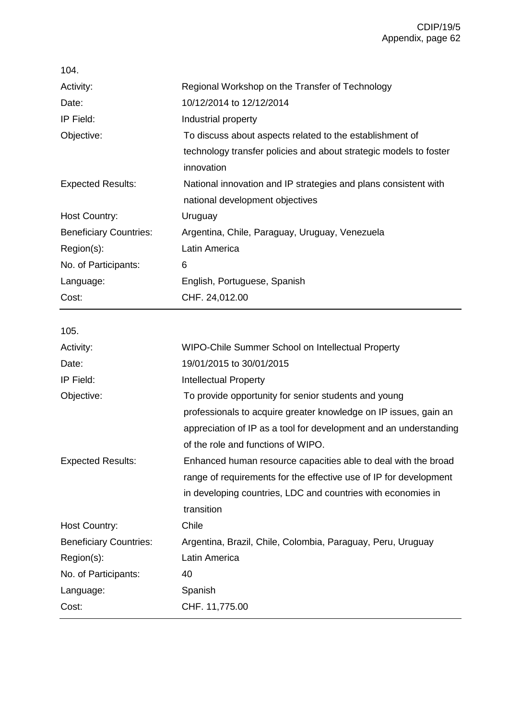| 104.                          |                                                                   |
|-------------------------------|-------------------------------------------------------------------|
| Activity:                     | Regional Workshop on the Transfer of Technology                   |
| Date:                         | 10/12/2014 to 12/12/2014                                          |
| IP Field:                     | Industrial property                                               |
| Objective:                    | To discuss about aspects related to the establishment of          |
|                               | technology transfer policies and about strategic models to foster |
|                               | innovation                                                        |
| <b>Expected Results:</b>      | National innovation and IP strategies and plans consistent with   |
|                               | national development objectives                                   |
| <b>Host Country:</b>          | Uruguay                                                           |
| <b>Beneficiary Countries:</b> | Argentina, Chile, Paraguay, Uruguay, Venezuela                    |
| Region(s):                    | Latin America                                                     |
| No. of Participants:          | 6                                                                 |
| Language:                     | English, Portuguese, Spanish                                      |
| Cost:                         | CHF. 24,012.00                                                    |
| 105.                          |                                                                   |
| Activity:                     | WIPO-Chile Summer School on Intellectual Property                 |
| Date:                         | 19/01/2015 to 30/01/2015                                          |
| IP Field:                     | <b>Intellectual Property</b>                                      |
|                               |                                                                   |
|                               |                                                                   |
| Objective:                    | To provide opportunity for senior students and young              |
|                               | professionals to acquire greater knowledge on IP issues, gain an  |
|                               | appreciation of IP as a tool for development and an understanding |
|                               | of the role and functions of WIPO.                                |
| <b>Expected Results:</b>      | Enhanced human resource capacities able to deal with the broad    |
|                               | range of requirements for the effective use of IP for development |
|                               | in developing countries, LDC and countries with economies in      |
|                               | transition                                                        |
| <b>Host Country:</b>          | Chile                                                             |
| <b>Beneficiary Countries:</b> | Argentina, Brazil, Chile, Colombia, Paraguay, Peru, Uruguay       |
| Region(s):                    | Latin America                                                     |
| No. of Participants:          | 40                                                                |
| Language:<br>Cost:            | Spanish<br>CHF. 11,775.00                                         |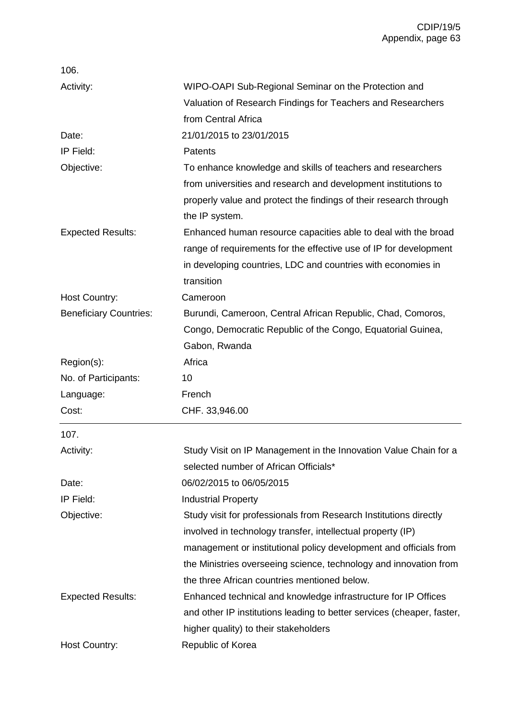| 106.                          |                                                                        |
|-------------------------------|------------------------------------------------------------------------|
| Activity:                     | WIPO-OAPI Sub-Regional Seminar on the Protection and                   |
|                               | Valuation of Research Findings for Teachers and Researchers            |
|                               | from Central Africa                                                    |
| Date:                         | 21/01/2015 to 23/01/2015                                               |
| IP Field:                     | Patents                                                                |
| Objective:                    | To enhance knowledge and skills of teachers and researchers            |
|                               | from universities and research and development institutions to         |
|                               | properly value and protect the findings of their research through      |
|                               | the IP system.                                                         |
| <b>Expected Results:</b>      | Enhanced human resource capacities able to deal with the broad         |
|                               | range of requirements for the effective use of IP for development      |
|                               | in developing countries, LDC and countries with economies in           |
|                               | transition                                                             |
| Host Country:                 | Cameroon                                                               |
| <b>Beneficiary Countries:</b> | Burundi, Cameroon, Central African Republic, Chad, Comoros,            |
|                               | Congo, Democratic Republic of the Congo, Equatorial Guinea,            |
|                               | Gabon, Rwanda                                                          |
| Region(s):                    | Africa                                                                 |
| No. of Participants:          | 10                                                                     |
| Language:                     | French                                                                 |
| Cost:                         | CHF. 33,946.00                                                         |
| 107.                          |                                                                        |
| Activity:                     | Study Visit on IP Management in the Innovation Value Chain for a       |
|                               | selected number of African Officials*                                  |
| Date:                         | 06/02/2015 to 06/05/2015                                               |
| IP Field:                     | <b>Industrial Property</b>                                             |
| Objective:                    | Study visit for professionals from Research Institutions directly      |
|                               | involved in technology transfer, intellectual property (IP)            |
|                               | management or institutional policy development and officials from      |
|                               | the Ministries overseeing science, technology and innovation from      |
|                               | the three African countries mentioned below.                           |
| <b>Expected Results:</b>      | Enhanced technical and knowledge infrastructure for IP Offices         |
|                               | and other IP institutions leading to better services (cheaper, faster, |
|                               | higher quality) to their stakeholders                                  |
| <b>Host Country:</b>          | Republic of Korea                                                      |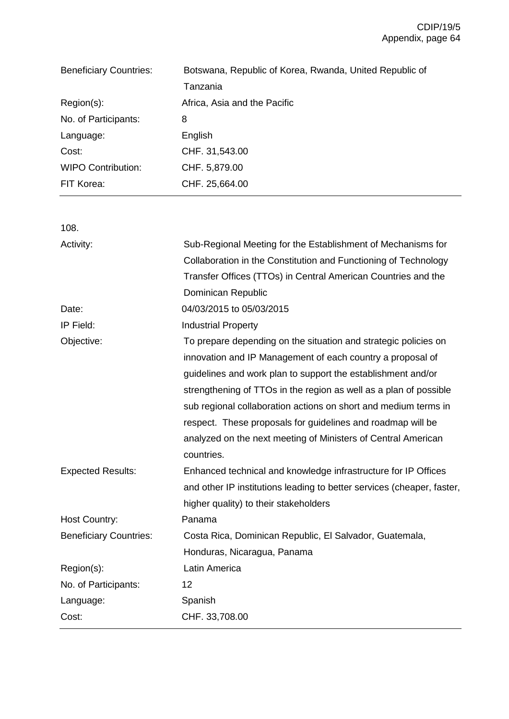| <b>Beneficiary Countries:</b> | Botswana, Republic of Korea, Rwanda, United Republic of |
|-------------------------------|---------------------------------------------------------|
|                               | Tanzania                                                |
| $Region(s)$ :                 | Africa, Asia and the Pacific                            |
| No. of Participants:          | 8                                                       |
| Language:                     | English                                                 |
| Cost:                         | CHF. 31,543.00                                          |
| <b>WIPO Contribution:</b>     | CHF. 5,879.00                                           |
| FIT Korea:                    | CHF. 25,664.00                                          |

| 108.                          |                                                                        |
|-------------------------------|------------------------------------------------------------------------|
| Activity:                     | Sub-Regional Meeting for the Establishment of Mechanisms for           |
|                               | Collaboration in the Constitution and Functioning of Technology        |
|                               | Transfer Offices (TTOs) in Central American Countries and the          |
|                               | Dominican Republic                                                     |
| Date:                         | 04/03/2015 to 05/03/2015                                               |
| IP Field:                     | <b>Industrial Property</b>                                             |
| Objective:                    | To prepare depending on the situation and strategic policies on        |
|                               | innovation and IP Management of each country a proposal of             |
|                               | guidelines and work plan to support the establishment and/or           |
|                               | strengthening of TTOs in the region as well as a plan of possible      |
|                               | sub regional collaboration actions on short and medium terms in        |
|                               | respect. These proposals for guidelines and roadmap will be            |
|                               | analyzed on the next meeting of Ministers of Central American          |
|                               | countries.                                                             |
| <b>Expected Results:</b>      | Enhanced technical and knowledge infrastructure for IP Offices         |
|                               | and other IP institutions leading to better services (cheaper, faster, |
|                               | higher quality) to their stakeholders                                  |
| <b>Host Country:</b>          | Panama                                                                 |
| <b>Beneficiary Countries:</b> | Costa Rica, Dominican Republic, El Salvador, Guatemala,                |
|                               | Honduras, Nicaragua, Panama                                            |
| Region(s):                    | Latin America                                                          |
| No. of Participants:          | 12                                                                     |
| Language:                     | Spanish                                                                |
| Cost:                         | CHF. 33,708.00                                                         |
|                               |                                                                        |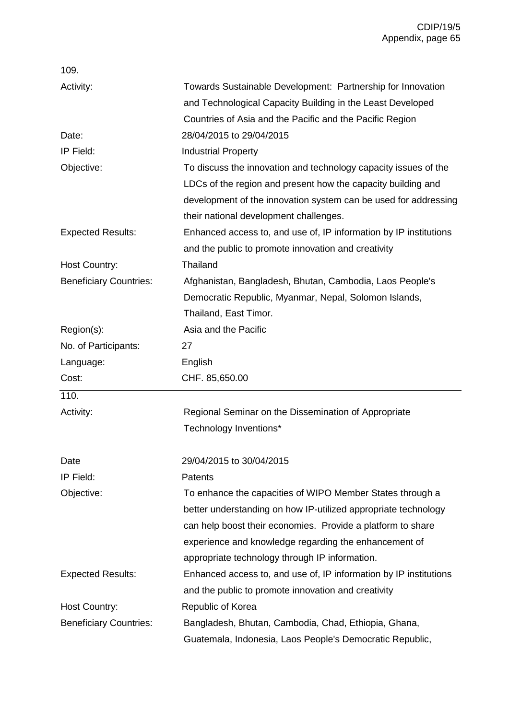| 109.                          |                                                                                                                                                                                                    |
|-------------------------------|----------------------------------------------------------------------------------------------------------------------------------------------------------------------------------------------------|
| Activity:                     | Towards Sustainable Development: Partnership for Innovation                                                                                                                                        |
|                               | and Technological Capacity Building in the Least Developed                                                                                                                                         |
|                               | Countries of Asia and the Pacific and the Pacific Region                                                                                                                                           |
| Date:                         | 28/04/2015 to 29/04/2015                                                                                                                                                                           |
| IP Field:                     | <b>Industrial Property</b>                                                                                                                                                                         |
| Objective:                    | To discuss the innovation and technology capacity issues of the<br>LDCs of the region and present how the capacity building and<br>development of the innovation system can be used for addressing |
|                               | their national development challenges.                                                                                                                                                             |
| <b>Expected Results:</b>      | Enhanced access to, and use of, IP information by IP institutions<br>and the public to promote innovation and creativity                                                                           |
| <b>Host Country:</b>          | Thailand                                                                                                                                                                                           |
| <b>Beneficiary Countries:</b> | Afghanistan, Bangladesh, Bhutan, Cambodia, Laos People's<br>Democratic Republic, Myanmar, Nepal, Solomon Islands,                                                                                  |
|                               | Thailand, East Timor.                                                                                                                                                                              |
| Region(s):                    | Asia and the Pacific                                                                                                                                                                               |
| No. of Participants:          | 27                                                                                                                                                                                                 |
| Language:                     | English                                                                                                                                                                                            |
| Cost:                         | CHF. 85,650.00                                                                                                                                                                                     |
| 110.                          |                                                                                                                                                                                                    |
| Activity:                     | Regional Seminar on the Dissemination of Appropriate                                                                                                                                               |
|                               | Technology Inventions*                                                                                                                                                                             |
| Date                          | 29/04/2015 to 30/04/2015                                                                                                                                                                           |
| IP Field:                     | <b>Patents</b>                                                                                                                                                                                     |
| Objective:                    | To enhance the capacities of WIPO Member States through a                                                                                                                                          |
|                               | better understanding on how IP-utilized appropriate technology                                                                                                                                     |
|                               | can help boost their economies. Provide a platform to share                                                                                                                                        |
|                               | experience and knowledge regarding the enhancement of                                                                                                                                              |
|                               | appropriate technology through IP information.                                                                                                                                                     |
| <b>Expected Results:</b>      | Enhanced access to, and use of, IP information by IP institutions                                                                                                                                  |
|                               | and the public to promote innovation and creativity                                                                                                                                                |
| Host Country:                 | Republic of Korea                                                                                                                                                                                  |
| <b>Beneficiary Countries:</b> | Bangladesh, Bhutan, Cambodia, Chad, Ethiopia, Ghana,                                                                                                                                               |
|                               | Guatemala, Indonesia, Laos People's Democratic Republic,                                                                                                                                           |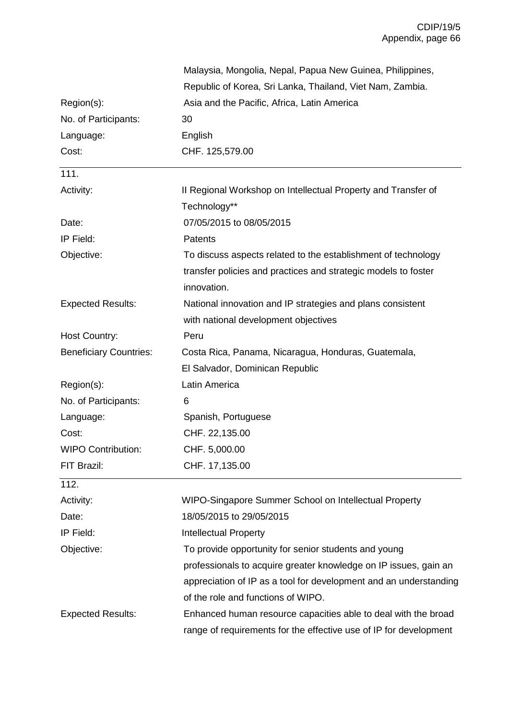|                               | Malaysia, Mongolia, Nepal, Papua New Guinea, Philippines,                     |
|-------------------------------|-------------------------------------------------------------------------------|
|                               | Republic of Korea, Sri Lanka, Thailand, Viet Nam, Zambia.                     |
| Region(s):                    | Asia and the Pacific, Africa, Latin America                                   |
| No. of Participants:          | 30                                                                            |
| Language:                     | English                                                                       |
| Cost:                         | CHF. 125,579.00                                                               |
| 111.                          |                                                                               |
| Activity:                     | II Regional Workshop on Intellectual Property and Transfer of                 |
|                               | Technology**                                                                  |
| Date:                         | 07/05/2015 to 08/05/2015                                                      |
| IP Field:                     | Patents                                                                       |
| Objective:                    | To discuss aspects related to the establishment of technology                 |
|                               | transfer policies and practices and strategic models to foster<br>innovation. |
| <b>Expected Results:</b>      | National innovation and IP strategies and plans consistent                    |
|                               | with national development objectives                                          |
| Host Country:                 | Peru                                                                          |
| <b>Beneficiary Countries:</b> | Costa Rica, Panama, Nicaragua, Honduras, Guatemala,                           |
|                               | El Salvador, Dominican Republic                                               |
| Region(s):                    | Latin America                                                                 |
| No. of Participants:          | 6                                                                             |
| Language:                     | Spanish, Portuguese                                                           |
| Cost:                         | CHF. 22,135.00                                                                |
| <b>WIPO Contribution:</b>     | CHF. 5,000.00                                                                 |
| FIT Brazil:                   | CHF. 17,135.00                                                                |
| 112.                          |                                                                               |
| Activity:                     | WIPO-Singapore Summer School on Intellectual Property                         |
| Date:                         | 18/05/2015 to 29/05/2015                                                      |
| IP Field:                     | <b>Intellectual Property</b>                                                  |
| Objective:                    | To provide opportunity for senior students and young                          |
|                               | professionals to acquire greater knowledge on IP issues, gain an              |
|                               | appreciation of IP as a tool for development and an understanding             |
|                               | of the role and functions of WIPO.                                            |
| <b>Expected Results:</b>      | Enhanced human resource capacities able to deal with the broad                |
|                               | range of requirements for the effective use of IP for development             |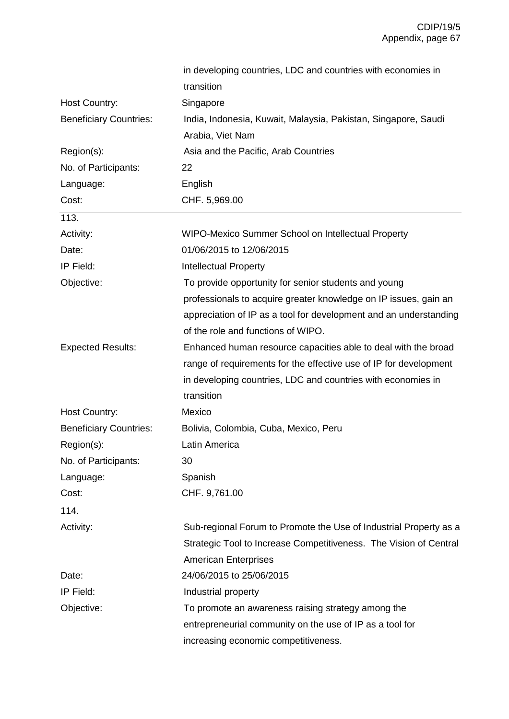|                               | in developing countries, LDC and countries with economies in      |  |
|-------------------------------|-------------------------------------------------------------------|--|
|                               | transition                                                        |  |
| Host Country:                 | Singapore                                                         |  |
| <b>Beneficiary Countries:</b> | India, Indonesia, Kuwait, Malaysia, Pakistan, Singapore, Saudi    |  |
|                               | Arabia, Viet Nam                                                  |  |
| Region(s):                    | Asia and the Pacific, Arab Countries                              |  |
| No. of Participants:          | 22                                                                |  |
| Language:                     | English                                                           |  |
| Cost:                         | CHF. 5,969.00                                                     |  |
| 113.                          |                                                                   |  |
| Activity:                     | WIPO-Mexico Summer School on Intellectual Property                |  |
| Date:                         | 01/06/2015 to 12/06/2015                                          |  |
| IP Field:                     | <b>Intellectual Property</b>                                      |  |
| Objective:                    | To provide opportunity for senior students and young              |  |
|                               | professionals to acquire greater knowledge on IP issues, gain an  |  |
|                               | appreciation of IP as a tool for development and an understanding |  |
|                               | of the role and functions of WIPO.                                |  |
| <b>Expected Results:</b>      | Enhanced human resource capacities able to deal with the broad    |  |
|                               | range of requirements for the effective use of IP for development |  |
|                               | in developing countries, LDC and countries with economies in      |  |
|                               | transition                                                        |  |
| Host Country:                 | Mexico                                                            |  |
| <b>Beneficiary Countries:</b> | Bolivia, Colombia, Cuba, Mexico, Peru                             |  |
| Region(s):                    | Latin America                                                     |  |
| No. of Participants:          | 30                                                                |  |
| Language:                     | Spanish                                                           |  |
| Cost:                         | CHF. 9,761.00                                                     |  |
| 114.                          |                                                                   |  |
| Activity:                     | Sub-regional Forum to Promote the Use of Industrial Property as a |  |
|                               | Strategic Tool to Increase Competitiveness. The Vision of Central |  |
|                               | <b>American Enterprises</b>                                       |  |
| Date:                         | 24/06/2015 to 25/06/2015                                          |  |
| IP Field:                     | Industrial property                                               |  |
| Objective:                    | To promote an awareness raising strategy among the                |  |
|                               | entrepreneurial community on the use of IP as a tool for          |  |
|                               | increasing economic competitiveness.                              |  |
|                               |                                                                   |  |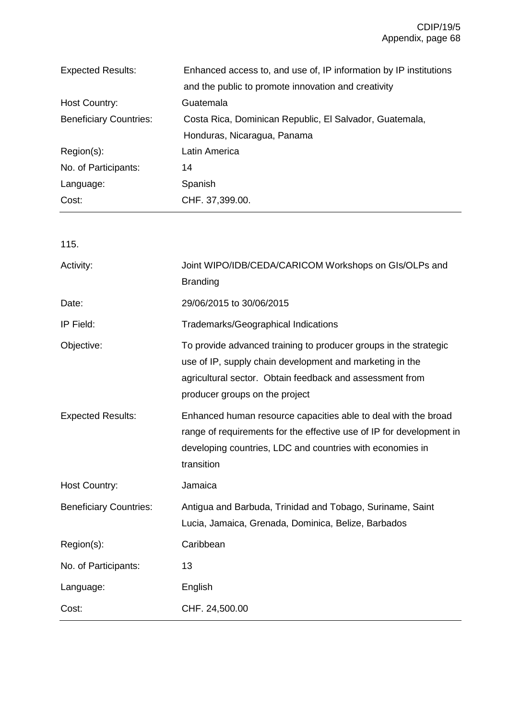| <b>Expected Results:</b>      | Enhanced access to, and use of, IP information by IP institutions |  |
|-------------------------------|-------------------------------------------------------------------|--|
|                               | and the public to promote innovation and creativity               |  |
| <b>Host Country:</b>          | Guatemala                                                         |  |
| <b>Beneficiary Countries:</b> | Costa Rica, Dominican Republic, El Salvador, Guatemala,           |  |
|                               | Honduras, Nicaragua, Panama                                       |  |
| $Region(s)$ :                 | Latin America                                                     |  |
| No. of Participants:          | 14                                                                |  |
| Language:                     | Spanish                                                           |  |
| Cost:                         | CHF. 37,399.00.                                                   |  |

| 115.                          |                                                                                                                                                                                                                            |  |
|-------------------------------|----------------------------------------------------------------------------------------------------------------------------------------------------------------------------------------------------------------------------|--|
| Activity:                     | Joint WIPO/IDB/CEDA/CARICOM Workshops on GIs/OLPs and<br><b>Branding</b>                                                                                                                                                   |  |
| Date:                         | 29/06/2015 to 30/06/2015                                                                                                                                                                                                   |  |
| IP Field:                     | <b>Trademarks/Geographical Indications</b>                                                                                                                                                                                 |  |
| Objective:                    | To provide advanced training to producer groups in the strategic<br>use of IP, supply chain development and marketing in the<br>agricultural sector. Obtain feedback and assessment from<br>producer groups on the project |  |
| <b>Expected Results:</b>      | Enhanced human resource capacities able to deal with the broad<br>range of requirements for the effective use of IP for development in<br>developing countries, LDC and countries with economies in<br>transition          |  |
| <b>Host Country:</b>          | Jamaica                                                                                                                                                                                                                    |  |
| <b>Beneficiary Countries:</b> | Antigua and Barbuda, Trinidad and Tobago, Suriname, Saint<br>Lucia, Jamaica, Grenada, Dominica, Belize, Barbados                                                                                                           |  |
| Region(s):                    | Caribbean                                                                                                                                                                                                                  |  |
| No. of Participants:          | 13                                                                                                                                                                                                                         |  |
| Language:                     | English                                                                                                                                                                                                                    |  |
| Cost:                         | CHF. 24,500.00                                                                                                                                                                                                             |  |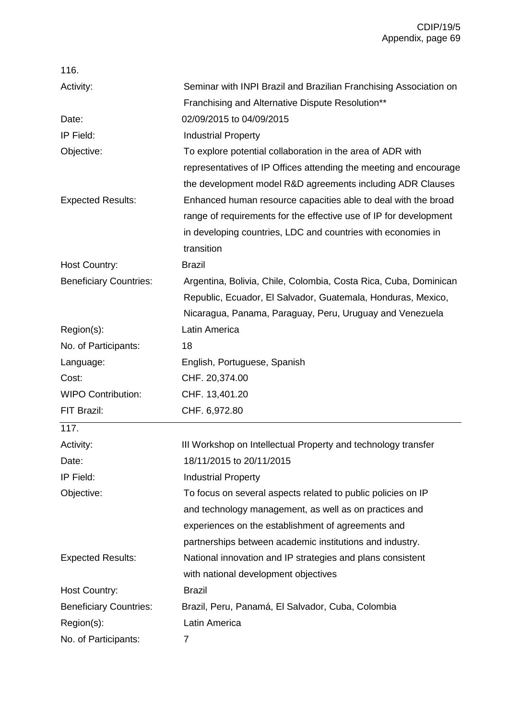| 116.                          |                                                                   |  |
|-------------------------------|-------------------------------------------------------------------|--|
| Activity:                     | Seminar with INPI Brazil and Brazilian Franchising Association on |  |
|                               | Franchising and Alternative Dispute Resolution**                  |  |
| Date:                         | 02/09/2015 to 04/09/2015                                          |  |
| IP Field:                     | <b>Industrial Property</b>                                        |  |
| Objective:                    | To explore potential collaboration in the area of ADR with        |  |
|                               | representatives of IP Offices attending the meeting and encourage |  |
|                               | the development model R&D agreements including ADR Clauses        |  |
| <b>Expected Results:</b>      | Enhanced human resource capacities able to deal with the broad    |  |
|                               | range of requirements for the effective use of IP for development |  |
|                               | in developing countries, LDC and countries with economies in      |  |
|                               | transition                                                        |  |
| Host Country:                 | <b>Brazil</b>                                                     |  |
| <b>Beneficiary Countries:</b> | Argentina, Bolivia, Chile, Colombia, Costa Rica, Cuba, Dominican  |  |
|                               | Republic, Ecuador, El Salvador, Guatemala, Honduras, Mexico,      |  |
|                               | Nicaragua, Panama, Paraguay, Peru, Uruguay and Venezuela          |  |
| Region(s):                    | Latin America                                                     |  |
| No. of Participants:          | 18                                                                |  |
| Language:                     | English, Portuguese, Spanish                                      |  |
| Cost:                         | CHF. 20,374.00                                                    |  |
| <b>WIPO Contribution:</b>     | CHF. 13,401.20                                                    |  |
| FIT Brazil:                   | CHF. 6,972.80                                                     |  |
| 117.                          |                                                                   |  |
| Activity:                     | III Workshop on Intellectual Property and technology transfer     |  |
| Date:                         | 18/11/2015 to 20/11/2015                                          |  |
| IP Field:                     | <b>Industrial Property</b>                                        |  |
| Objective:                    | To focus on several aspects related to public policies on IP      |  |
|                               | and technology management, as well as on practices and            |  |
|                               | experiences on the establishment of agreements and                |  |
|                               | partnerships between academic institutions and industry.          |  |
| <b>Expected Results:</b>      | National innovation and IP strategies and plans consistent        |  |
|                               | with national development objectives                              |  |
| <b>Host Country:</b>          | <b>Brazil</b>                                                     |  |
| <b>Beneficiary Countries:</b> | Brazil, Peru, Panamá, El Salvador, Cuba, Colombia                 |  |
| Region(s):                    | Latin America                                                     |  |
| No. of Participants:          | 7                                                                 |  |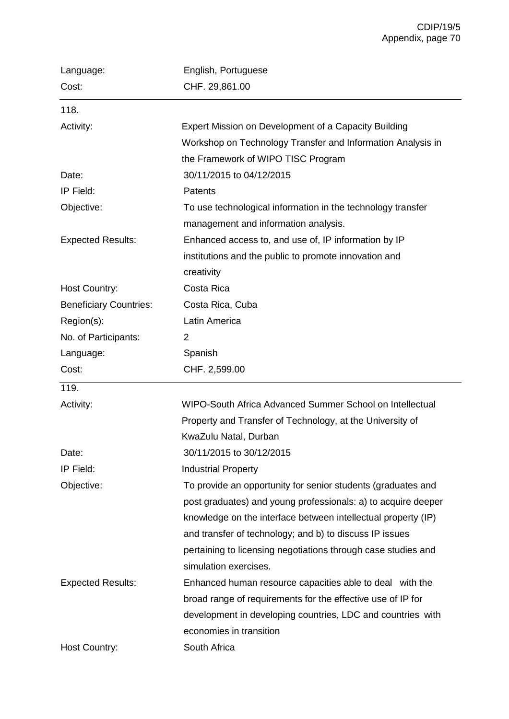| Language:                     | English, Portuguese                                           |  |
|-------------------------------|---------------------------------------------------------------|--|
| Cost:                         | CHF. 29,861.00                                                |  |
| 118.                          |                                                               |  |
| Activity:                     | Expert Mission on Development of a Capacity Building          |  |
|                               | Workshop on Technology Transfer and Information Analysis in   |  |
|                               | the Framework of WIPO TISC Program                            |  |
| Date:                         | 30/11/2015 to 04/12/2015                                      |  |
| IP Field:                     | Patents                                                       |  |
| Objective:                    | To use technological information in the technology transfer   |  |
|                               | management and information analysis.                          |  |
| <b>Expected Results:</b>      | Enhanced access to, and use of, IP information by IP          |  |
|                               | institutions and the public to promote innovation and         |  |
|                               | creativity                                                    |  |
| Host Country:                 | Costa Rica                                                    |  |
| <b>Beneficiary Countries:</b> | Costa Rica, Cuba                                              |  |
| Region(s):                    | Latin America                                                 |  |
| No. of Participants:          | 2                                                             |  |
| Language:                     | Spanish                                                       |  |
| Cost:                         | CHF. 2,599.00                                                 |  |
| 119.                          |                                                               |  |
| Activity:                     | WIPO-South Africa Advanced Summer School on Intellectual      |  |
|                               | Property and Transfer of Technology, at the University of     |  |
|                               | KwaZulu Natal, Durban                                         |  |
| Date:                         | 30/11/2015 to 30/12/2015                                      |  |
| IP Field:                     | <b>Industrial Property</b>                                    |  |
| Objective:                    | To provide an opportunity for senior students (graduates and  |  |
|                               | post graduates) and young professionals: a) to acquire deeper |  |
|                               | knowledge on the interface between intellectual property (IP) |  |
|                               | and transfer of technology; and b) to discuss IP issues       |  |
|                               | pertaining to licensing negotiations through case studies and |  |
|                               | simulation exercises.                                         |  |
| <b>Expected Results:</b>      | Enhanced human resource capacities able to deal with the      |  |
|                               | broad range of requirements for the effective use of IP for   |  |
|                               | development in developing countries, LDC and countries with   |  |
|                               | economies in transition                                       |  |
| <b>Host Country:</b>          | South Africa                                                  |  |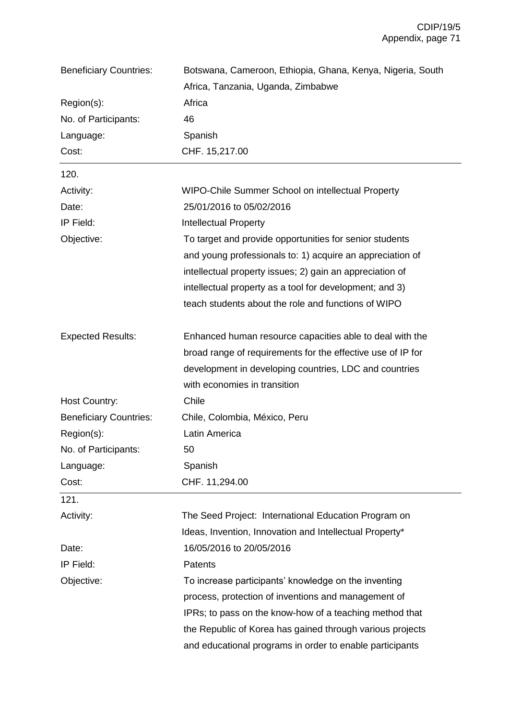| <b>Beneficiary Countries:</b>                              | Botswana, Cameroon, Ethiopia, Ghana, Kenya, Nigeria, South  |                |
|------------------------------------------------------------|-------------------------------------------------------------|----------------|
|                                                            | Africa, Tanzania, Uganda, Zimbabwe<br>Africa<br>46          |                |
| Region(s):<br>No. of Participants:<br>Spanish<br>Language: |                                                             |                |
|                                                            |                                                             |                |
|                                                            | Cost:                                                       | CHF. 15,217.00 |
| 120.                                                       |                                                             |                |
| Activity:                                                  | WIPO-Chile Summer School on intellectual Property           |                |
| Date:                                                      | 25/01/2016 to 05/02/2016                                    |                |
| IP Field:                                                  | <b>Intellectual Property</b>                                |                |
| Objective:                                                 | To target and provide opportunities for senior students     |                |
|                                                            | and young professionals to: 1) acquire an appreciation of   |                |
|                                                            | intellectual property issues; 2) gain an appreciation of    |                |
|                                                            | intellectual property as a tool for development; and 3)     |                |
|                                                            | teach students about the role and functions of WIPO         |                |
| <b>Expected Results:</b>                                   | Enhanced human resource capacities able to deal with the    |                |
|                                                            | broad range of requirements for the effective use of IP for |                |
|                                                            | development in developing countries, LDC and countries      |                |
|                                                            | with economies in transition                                |                |
| Host Country:                                              | Chile                                                       |                |
| <b>Beneficiary Countries:</b>                              | Chile, Colombia, México, Peru                               |                |
| Region(s):                                                 | Latin America                                               |                |
| No. of Participants:                                       | 50                                                          |                |
| Language:                                                  | Spanish                                                     |                |
| Cost:                                                      | CHF. 11,294.00                                              |                |
| 121.                                                       |                                                             |                |
| Activity:                                                  | The Seed Project: International Education Program on        |                |
|                                                            | Ideas, Invention, Innovation and Intellectual Property*     |                |
| Date:                                                      | 16/05/2016 to 20/05/2016                                    |                |
| IP Field:                                                  | Patents                                                     |                |
| Objective:                                                 | To increase participants' knowledge on the inventing        |                |
|                                                            | process, protection of inventions and management of         |                |
|                                                            | IPRs; to pass on the know-how of a teaching method that     |                |
|                                                            | the Republic of Korea has gained through various projects   |                |
|                                                            | and educational programs in order to enable participants    |                |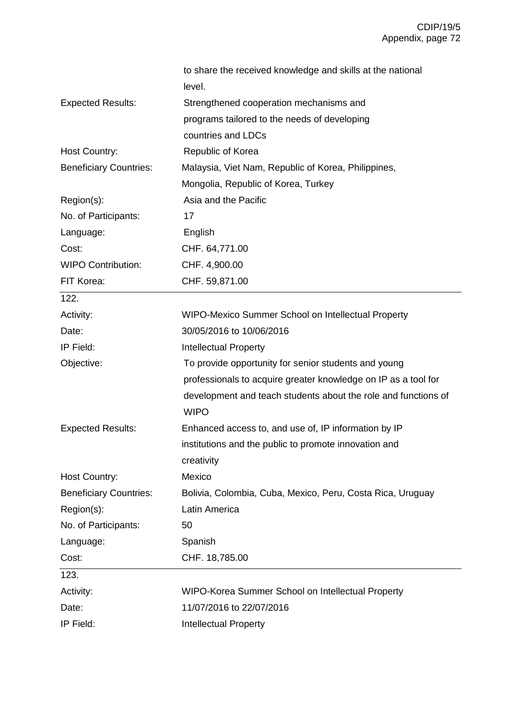|                               | to share the received knowledge and skills at the national                    |  |
|-------------------------------|-------------------------------------------------------------------------------|--|
|                               | level.                                                                        |  |
| <b>Expected Results:</b>      | Strengthened cooperation mechanisms and                                       |  |
|                               | programs tailored to the needs of developing                                  |  |
|                               | countries and LDCs                                                            |  |
| <b>Host Country:</b>          | Republic of Korea                                                             |  |
| <b>Beneficiary Countries:</b> | Malaysia, Viet Nam, Republic of Korea, Philippines,                           |  |
|                               | Mongolia, Republic of Korea, Turkey                                           |  |
| Region(s):                    | Asia and the Pacific                                                          |  |
| No. of Participants:          | 17                                                                            |  |
| Language:                     | English                                                                       |  |
| Cost:                         | CHF. 64,771.00                                                                |  |
| <b>WIPO Contribution:</b>     | CHF. 4,900.00                                                                 |  |
| FIT Korea:                    | CHF. 59,871.00                                                                |  |
| 122.                          |                                                                               |  |
| Activity:                     | WIPO-Mexico Summer School on Intellectual Property                            |  |
| Date:                         | 30/05/2016 to 10/06/2016                                                      |  |
| IP Field:                     | <b>Intellectual Property</b>                                                  |  |
| Objective:                    | To provide opportunity for senior students and young                          |  |
|                               | professionals to acquire greater knowledge on IP as a tool for                |  |
|                               | development and teach students about the role and functions of<br><b>WIPO</b> |  |
| <b>Expected Results:</b>      | Enhanced access to, and use of, IP information by IP                          |  |
|                               | institutions and the public to promote innovation and                         |  |
|                               | creativity                                                                    |  |
| <b>Host Country:</b>          | Mexico                                                                        |  |
| <b>Beneficiary Countries:</b> | Bolivia, Colombia, Cuba, Mexico, Peru, Costa Rica, Uruguay                    |  |
| Region(s):                    | Latin America                                                                 |  |
| No. of Participants:          | 50                                                                            |  |
| Language:                     | Spanish                                                                       |  |
| Cost:                         | CHF. 18,785.00                                                                |  |
| 123.                          |                                                                               |  |
| Activity:                     | WIPO-Korea Summer School on Intellectual Property                             |  |
| Date:                         | 11/07/2016 to 22/07/2016                                                      |  |
| IP Field:                     | <b>Intellectual Property</b>                                                  |  |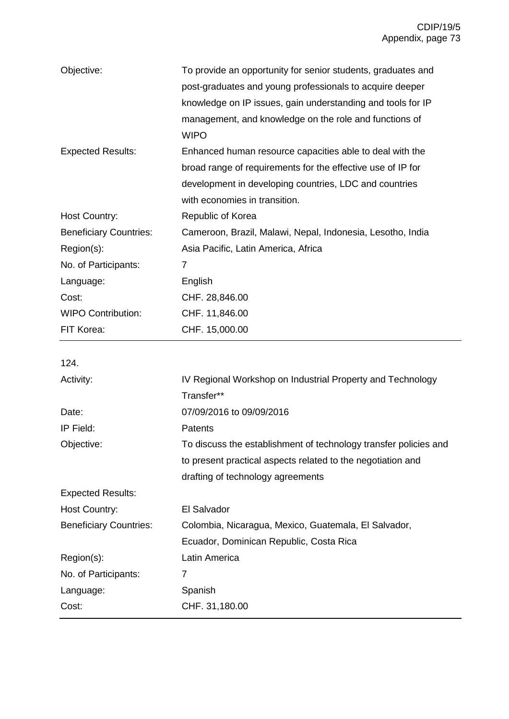| Objective:                    | To provide an opportunity for senior students, graduates and |  |  |
|-------------------------------|--------------------------------------------------------------|--|--|
|                               | post-graduates and young professionals to acquire deeper     |  |  |
|                               | knowledge on IP issues, gain understanding and tools for IP  |  |  |
|                               | management, and knowledge on the role and functions of       |  |  |
|                               | <b>WIPO</b>                                                  |  |  |
| <b>Expected Results:</b>      | Enhanced human resource capacities able to deal with the     |  |  |
|                               | broad range of requirements for the effective use of IP for  |  |  |
|                               | development in developing countries, LDC and countries       |  |  |
|                               | with economies in transition.                                |  |  |
| <b>Host Country:</b>          | Republic of Korea                                            |  |  |
| <b>Beneficiary Countries:</b> | Cameroon, Brazil, Malawi, Nepal, Indonesia, Lesotho, India   |  |  |
| Region(s):                    | Asia Pacific, Latin America, Africa                          |  |  |
| No. of Participants:          | 7                                                            |  |  |
| Language:                     | English                                                      |  |  |
| Cost:                         | CHF. 28,846.00                                               |  |  |
| <b>WIPO Contribution:</b>     | CHF. 11,846.00                                               |  |  |
| FIT Korea:                    | CHF. 15,000.00                                               |  |  |

124.

| Activity:                     | IV Regional Workshop on Industrial Property and Technology       |  |
|-------------------------------|------------------------------------------------------------------|--|
|                               | Transfer**                                                       |  |
| Date:                         | 07/09/2016 to 09/09/2016                                         |  |
| IP Field:                     | Patents                                                          |  |
| Objective:                    | To discuss the establishment of technology transfer policies and |  |
|                               | to present practical aspects related to the negotiation and      |  |
|                               | drafting of technology agreements                                |  |
| <b>Expected Results:</b>      |                                                                  |  |
| <b>Host Country:</b>          | El Salvador                                                      |  |
| <b>Beneficiary Countries:</b> | Colombia, Nicaragua, Mexico, Guatemala, El Salvador,             |  |
|                               | Ecuador, Dominican Republic, Costa Rica                          |  |
| Region(s):                    | Latin America                                                    |  |
| No. of Participants:          | 7                                                                |  |
| Language:                     | Spanish                                                          |  |
| Cost:                         | CHF. 31,180.00                                                   |  |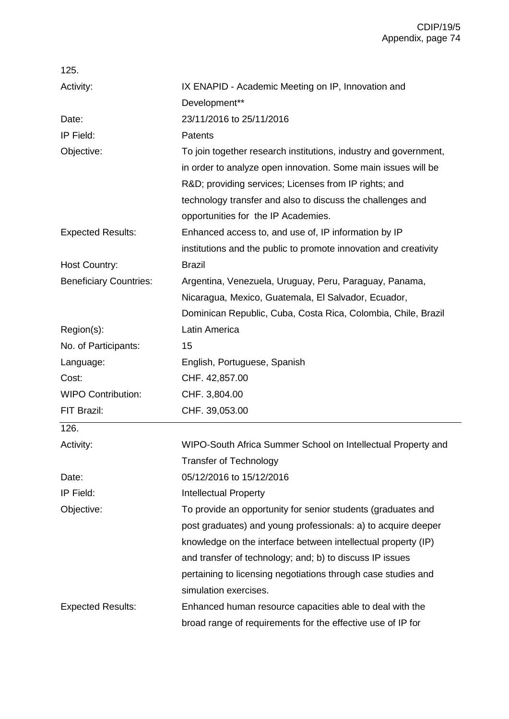| 125.                          |                                                                  |  |
|-------------------------------|------------------------------------------------------------------|--|
| Activity:                     | IX ENAPID - Academic Meeting on IP, Innovation and               |  |
|                               | Development**                                                    |  |
| Date:                         | 23/11/2016 to 25/11/2016                                         |  |
| IP Field:                     | Patents                                                          |  |
| Objective:                    | To join together research institutions, industry and government, |  |
|                               | in order to analyze open innovation. Some main issues will be    |  |
|                               | R&D providing services; Licenses from IP rights; and             |  |
|                               | technology transfer and also to discuss the challenges and       |  |
|                               | opportunities for the IP Academies.                              |  |
| <b>Expected Results:</b>      | Enhanced access to, and use of, IP information by IP             |  |
|                               | institutions and the public to promote innovation and creativity |  |
| <b>Host Country:</b>          | <b>Brazil</b>                                                    |  |
| <b>Beneficiary Countries:</b> | Argentina, Venezuela, Uruguay, Peru, Paraguay, Panama,           |  |
|                               | Nicaragua, Mexico, Guatemala, El Salvador, Ecuador,              |  |
|                               | Dominican Republic, Cuba, Costa Rica, Colombia, Chile, Brazil    |  |
| Region(s):                    | Latin America                                                    |  |
| No. of Participants:          | 15                                                               |  |
| Language:                     | English, Portuguese, Spanish                                     |  |
| Cost:                         | CHF. 42,857.00                                                   |  |
| <b>WIPO Contribution:</b>     | CHF. 3,804.00                                                    |  |
| FIT Brazil:                   | CHF. 39,053.00                                                   |  |
| 126.                          |                                                                  |  |
| Activity:                     | WIPO-South Africa Summer School on Intellectual Property and     |  |
|                               | <b>Transfer of Technology</b>                                    |  |
| Date:                         | 05/12/2016 to 15/12/2016                                         |  |
| IP Field:                     | <b>Intellectual Property</b>                                     |  |
| Objective:                    | To provide an opportunity for senior students (graduates and     |  |
|                               | post graduates) and young professionals: a) to acquire deeper    |  |
|                               | knowledge on the interface between intellectual property (IP)    |  |
|                               | and transfer of technology; and; b) to discuss IP issues         |  |
|                               | pertaining to licensing negotiations through case studies and    |  |
|                               | simulation exercises.                                            |  |
| <b>Expected Results:</b>      | Enhanced human resource capacities able to deal with the         |  |
|                               | broad range of requirements for the effective use of IP for      |  |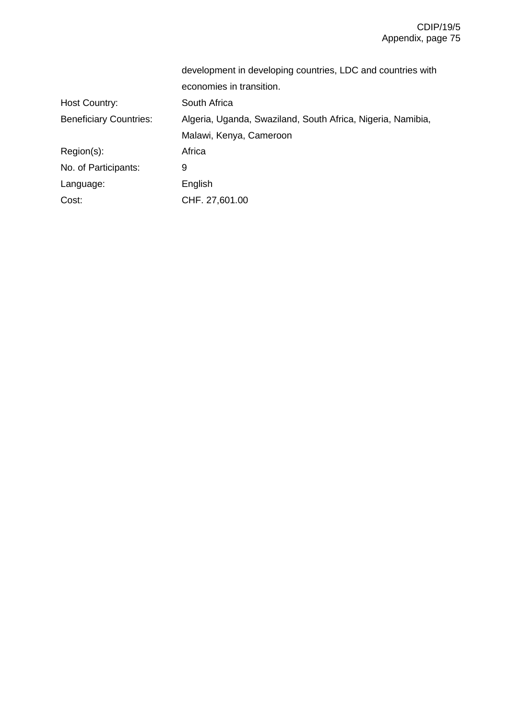|                               | development in developing countries, LDC and countries with |  |
|-------------------------------|-------------------------------------------------------------|--|
|                               | economies in transition.                                    |  |
| <b>Host Country:</b>          | South Africa                                                |  |
| <b>Beneficiary Countries:</b> | Algeria, Uganda, Swaziland, South Africa, Nigeria, Namibia, |  |
|                               | Malawi, Kenya, Cameroon                                     |  |
| $Region(s)$ :                 | Africa                                                      |  |
| No. of Participants:          | 9                                                           |  |
| Language:                     | English                                                     |  |
| Cost:                         | CHF. 27,601.00                                              |  |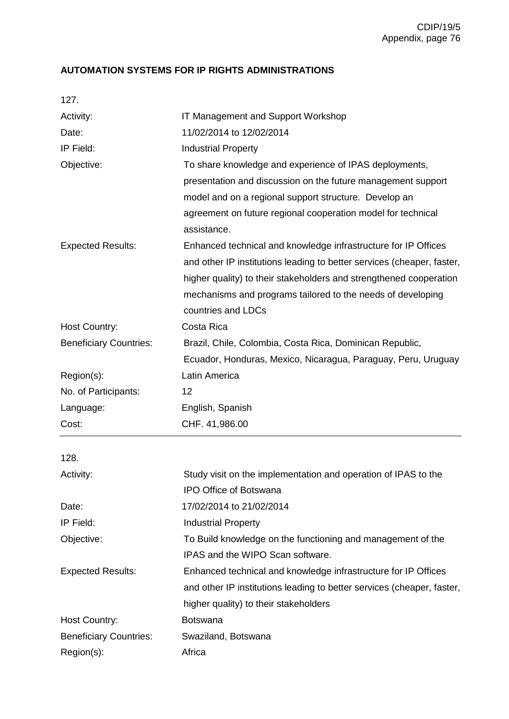## **AUTOMATION SYSTEMS FOR IP RIGHTS ADMINISTRATIONS**

| i |  |
|---|--|
|   |  |

| Activity:                     | IT Management and Support Workshop                                     |
|-------------------------------|------------------------------------------------------------------------|
| Date:                         | 11/02/2014 to 12/02/2014                                               |
| IP Field:                     | <b>Industrial Property</b>                                             |
| Objective:                    | To share knowledge and experience of IPAS deployments,                 |
|                               | presentation and discussion on the future management support           |
|                               | model and on a regional support structure. Develop an                  |
|                               | agreement on future regional cooperation model for technical           |
|                               | assistance.                                                            |
| <b>Expected Results:</b>      | Enhanced technical and knowledge infrastructure for IP Offices         |
|                               | and other IP institutions leading to better services (cheaper, faster, |
|                               | higher quality) to their stakeholders and strengthened cooperation     |
|                               | mechanisms and programs tailored to the needs of developing            |
|                               | countries and LDCs                                                     |
| <b>Host Country:</b>          | Costa Rica                                                             |
| <b>Beneficiary Countries:</b> | Brazil, Chile, Colombia, Costa Rica, Dominican Republic,               |
|                               | Ecuador, Honduras, Mexico, Nicaragua, Paraguay, Peru, Uruguay          |
| Region(s):                    | Latin America                                                          |
| No. of Participants:          | 12                                                                     |
|                               |                                                                        |
| Language:                     | English, Spanish                                                       |
| Cost:                         | CHF. 41,986.00                                                         |
|                               |                                                                        |
| 128.                          |                                                                        |
| Activity:                     | Study visit on the implementation and operation of IPAS to the         |
| Date:                         | <b>IPO Office of Botswana</b><br>17/02/2014 to 21/02/2014              |
| IP Field:                     | <b>Industrial Property</b>                                             |
| Objective:                    | To Build knowledge on the functioning and management of the            |
|                               | IPAS and the WIPO Scan software.                                       |
| <b>Expected Results:</b>      | Enhanced technical and knowledge infrastructure for IP Offices         |
|                               | and other IP institutions leading to better services (cheaper, faster, |
|                               | higher quality) to their stakeholders                                  |
| Host Country:                 | <b>Botswana</b>                                                        |
| <b>Beneficiary Countries:</b> | Swaziland, Botswana                                                    |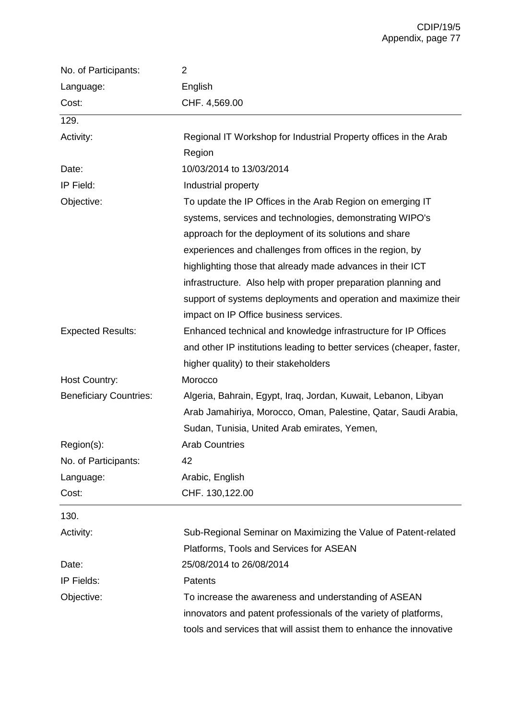| No. of Participants:          | 2                                                                      |  |
|-------------------------------|------------------------------------------------------------------------|--|
| Language:                     | English                                                                |  |
| Cost:                         | CHF. 4,569.00                                                          |  |
| 129.                          |                                                                        |  |
| Activity:                     | Regional IT Workshop for Industrial Property offices in the Arab       |  |
|                               | Region                                                                 |  |
| Date:                         | 10/03/2014 to 13/03/2014                                               |  |
| IP Field:                     | Industrial property                                                    |  |
| Objective:                    | To update the IP Offices in the Arab Region on emerging IT             |  |
|                               | systems, services and technologies, demonstrating WIPO's               |  |
|                               | approach for the deployment of its solutions and share                 |  |
|                               | experiences and challenges from offices in the region, by              |  |
|                               | highlighting those that already made advances in their ICT             |  |
|                               | infrastructure. Also help with proper preparation planning and         |  |
|                               | support of systems deployments and operation and maximize their        |  |
|                               | impact on IP Office business services.                                 |  |
| <b>Expected Results:</b>      | Enhanced technical and knowledge infrastructure for IP Offices         |  |
|                               | and other IP institutions leading to better services (cheaper, faster, |  |
|                               | higher quality) to their stakeholders                                  |  |
| <b>Host Country:</b>          | Morocco                                                                |  |
| <b>Beneficiary Countries:</b> | Algeria, Bahrain, Egypt, Iraq, Jordan, Kuwait, Lebanon, Libyan         |  |
|                               | Arab Jamahiriya, Morocco, Oman, Palestine, Qatar, Saudi Arabia,        |  |
|                               | Sudan, Tunisia, United Arab emirates, Yemen,                           |  |
| Region(s):                    | Arab Countries                                                         |  |
| No. of Participants:          | 42                                                                     |  |
| Language:                     | Arabic, English                                                        |  |
| Cost:                         | CHF. 130,122.00                                                        |  |
| 130.                          |                                                                        |  |
| Activity:                     | Sub-Regional Seminar on Maximizing the Value of Patent-related         |  |
|                               | Platforms, Tools and Services for ASEAN                                |  |
| Date:                         | 25/08/2014 to 26/08/2014                                               |  |
| IP Fields:                    | Patents                                                                |  |
| Objective:                    | To increase the awareness and understanding of ASEAN                   |  |
|                               | innovators and patent professionals of the variety of platforms,       |  |
|                               | tools and services that will assist them to enhance the innovative     |  |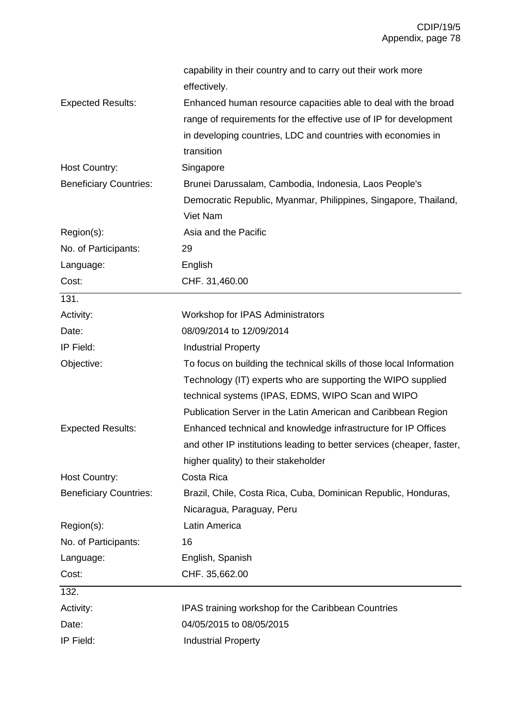|                               | capability in their country and to carry out their work more           |
|-------------------------------|------------------------------------------------------------------------|
|                               | effectively.                                                           |
| <b>Expected Results:</b>      | Enhanced human resource capacities able to deal with the broad         |
|                               | range of requirements for the effective use of IP for development      |
|                               | in developing countries, LDC and countries with economies in           |
|                               | transition                                                             |
| Host Country:                 | Singapore                                                              |
| <b>Beneficiary Countries:</b> | Brunei Darussalam, Cambodia, Indonesia, Laos People's                  |
|                               | Democratic Republic, Myanmar, Philippines, Singapore, Thailand,        |
|                               | Viet Nam                                                               |
| Region(s):                    | Asia and the Pacific                                                   |
| No. of Participants:          | 29                                                                     |
| Language:                     | English                                                                |
| Cost:                         | CHF. 31,460.00                                                         |
| 131.                          |                                                                        |
| Activity:                     | Workshop for IPAS Administrators                                       |
| Date:                         | 08/09/2014 to 12/09/2014                                               |
| IP Field:                     | <b>Industrial Property</b>                                             |
| Objective:                    | To focus on building the technical skills of those local Information   |
|                               | Technology (IT) experts who are supporting the WIPO supplied           |
|                               | technical systems (IPAS, EDMS, WIPO Scan and WIPO                      |
|                               | Publication Server in the Latin American and Caribbean Region          |
| <b>Expected Results:</b>      | Enhanced technical and knowledge infrastructure for IP Offices         |
|                               | and other IP institutions leading to better services (cheaper, faster, |
|                               | higher quality) to their stakeholder                                   |
| <b>Host Country:</b>          | Costa Rica                                                             |
| <b>Beneficiary Countries:</b> | Brazil, Chile, Costa Rica, Cuba, Dominican Republic, Honduras,         |
|                               | Nicaragua, Paraguay, Peru                                              |
| Region(s):                    | Latin America                                                          |
| No. of Participants:          | 16                                                                     |
| Language:                     | English, Spanish                                                       |
| Cost:                         | CHF. 35,662.00                                                         |
| 132.                          |                                                                        |
| Activity:                     | IPAS training workshop for the Caribbean Countries                     |
| Date:                         | 04/05/2015 to 08/05/2015                                               |
| IP Field:                     | <b>Industrial Property</b>                                             |
|                               |                                                                        |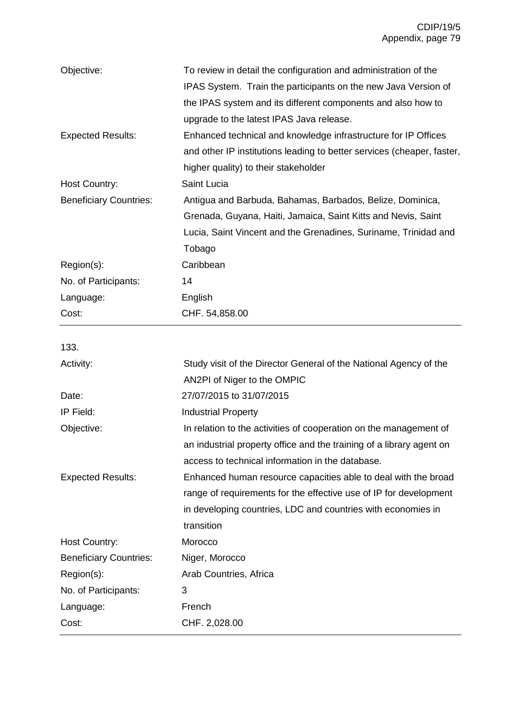| Objective:                    | To review in detail the configuration and administration of the<br>IPAS System. Train the participants on the new Java Version of |
|-------------------------------|-----------------------------------------------------------------------------------------------------------------------------------|
|                               | the IPAS system and its different components and also how to                                                                      |
|                               | upgrade to the latest IPAS Java release.                                                                                          |
| <b>Expected Results:</b>      | Enhanced technical and knowledge infrastructure for IP Offices                                                                    |
|                               | and other IP institutions leading to better services (cheaper, faster,                                                            |
|                               | higher quality) to their stakeholder                                                                                              |
| <b>Host Country:</b>          | Saint Lucia                                                                                                                       |
| <b>Beneficiary Countries:</b> | Antigua and Barbuda, Bahamas, Barbados, Belize, Dominica,                                                                         |
|                               | Grenada, Guyana, Haiti, Jamaica, Saint Kitts and Nevis, Saint                                                                     |
|                               | Lucia, Saint Vincent and the Grenadines, Suriname, Trinidad and                                                                   |
|                               | Tobago                                                                                                                            |
| Region(s):                    | Caribbean                                                                                                                         |
| No. of Participants:          | 14                                                                                                                                |
| Language:                     | English                                                                                                                           |
| Cost:                         | CHF. 54,858.00                                                                                                                    |
|                               |                                                                                                                                   |
| 133.                          |                                                                                                                                   |
| Activity:                     | Study visit of the Director General of the National Agency of the                                                                 |
|                               | AN2PI of Niger to the OMPIC                                                                                                       |
| Date:                         | 27/07/2015 to 31/07/2015                                                                                                          |
| IP Field:                     | <b>Industrial Property</b>                                                                                                        |
| Objective:                    | In relation to the activities of cooperation on the management of                                                                 |
|                               | an industrial property office and the training of a library agent on                                                              |
|                               | access to technical information in the database.                                                                                  |
| <b>Expected Results:</b>      | Enhanced human resource capacities able to deal with the broad                                                                    |
|                               | range of requirements for the effective use of IP for development                                                                 |
|                               | in developing countries, LDC and countries with economies in                                                                      |
|                               | transition                                                                                                                        |
| Host Country:                 | Morocco                                                                                                                           |
| <b>Beneficiary Countries:</b> | Niger, Morocco                                                                                                                    |
| Region(s):                    | Arab Countries, Africa                                                                                                            |
| No. of Participants:          | 3                                                                                                                                 |
| Language:                     | French                                                                                                                            |
| Cost:                         | CHF. 2,028.00                                                                                                                     |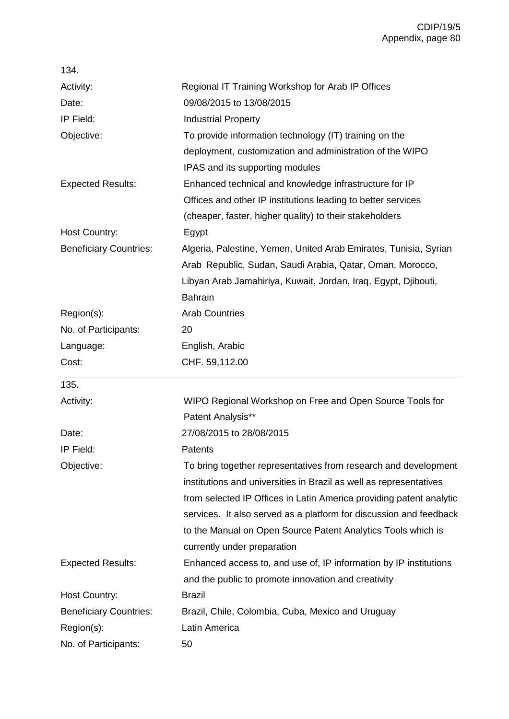| 134.                          |                                                                     |
|-------------------------------|---------------------------------------------------------------------|
| Activity:                     | Regional IT Training Workshop for Arab IP Offices                   |
| Date:                         | 09/08/2015 to 13/08/2015                                            |
| IP Field:                     | <b>Industrial Property</b>                                          |
| Objective:                    | To provide information technology (IT) training on the              |
|                               | deployment, customization and administration of the WIPO            |
|                               | IPAS and its supporting modules                                     |
| <b>Expected Results:</b>      | Enhanced technical and knowledge infrastructure for IP              |
|                               | Offices and other IP institutions leading to better services        |
|                               | (cheaper, faster, higher quality) to their stakeholders             |
| Host Country:                 | Egypt                                                               |
| <b>Beneficiary Countries:</b> | Algeria, Palestine, Yemen, United Arab Emirates, Tunisia, Syrian    |
|                               | Arab Republic, Sudan, Saudi Arabia, Qatar, Oman, Morocco,           |
|                               | Libyan Arab Jamahiriya, Kuwait, Jordan, Iraq, Egypt, Djibouti,      |
|                               | <b>Bahrain</b>                                                      |
| Region(s):                    | <b>Arab Countries</b>                                               |
| No. of Participants:          | 20                                                                  |
| Language:                     | English, Arabic                                                     |
| Cost:                         | CHF. 59,112.00                                                      |
| 135.                          |                                                                     |
| Activity:                     | WIPO Regional Workshop on Free and Open Source Tools for            |
|                               | Patent Analysis**                                                   |
| Date:                         | 27/08/2015 to 28/08/2015                                            |
| IP Field:                     | Patents                                                             |
| Objective:                    | To bring together representatives from research and development     |
|                               | institutions and universities in Brazil as well as representatives  |
|                               | from selected IP Offices in Latin America providing patent analytic |
|                               | services. It also served as a platform for discussion and feedback  |
|                               | to the Manual on Open Source Patent Analytics Tools which is        |
|                               | currently under preparation                                         |
| <b>Expected Results:</b>      | Enhanced access to, and use of, IP information by IP institutions   |
|                               | and the public to promote innovation and creativity                 |
| <b>Host Country:</b>          | <b>Brazil</b>                                                       |
| <b>Beneficiary Countries:</b> | Brazil, Chile, Colombia, Cuba, Mexico and Uruguay                   |
| Region(s):                    | Latin America                                                       |
| No. of Participants:          | 50                                                                  |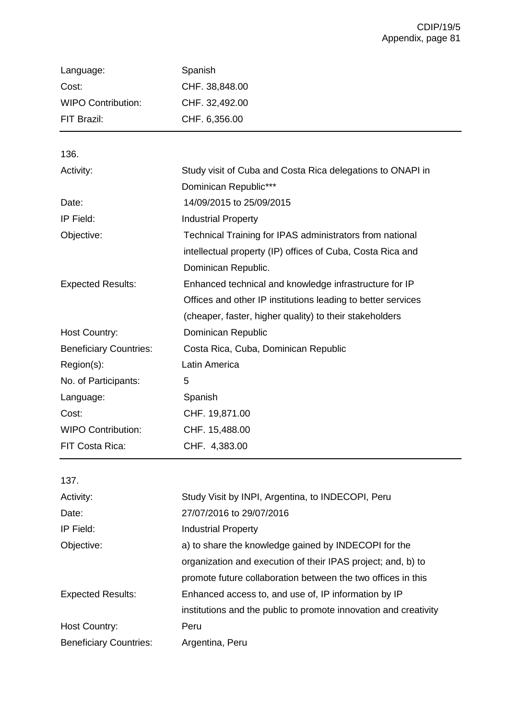| Language:                 | Spanish        |
|---------------------------|----------------|
| Cost:                     | CHF. 38,848.00 |
| <b>WIPO Contribution:</b> | CHF. 32,492.00 |
| FIT Brazil:               | CHF. 6,356.00  |

136.

| Activity:                     | Study visit of Cuba and Costa Rica delegations to ONAPI in   |
|-------------------------------|--------------------------------------------------------------|
|                               | Dominican Republic***                                        |
| Date:                         | 14/09/2015 to 25/09/2015                                     |
| IP Field:                     | <b>Industrial Property</b>                                   |
| Objective:                    | Technical Training for IPAS administrators from national     |
|                               | intellectual property (IP) offices of Cuba, Costa Rica and   |
|                               | Dominican Republic.                                          |
| <b>Expected Results:</b>      | Enhanced technical and knowledge infrastructure for IP       |
|                               | Offices and other IP institutions leading to better services |
|                               | (cheaper, faster, higher quality) to their stakeholders      |
| <b>Host Country:</b>          | Dominican Republic                                           |
| <b>Beneficiary Countries:</b> | Costa Rica, Cuba, Dominican Republic                         |
| Region(s):                    | Latin America                                                |
| No. of Participants:          | 5                                                            |
| Language:                     | Spanish                                                      |
| Cost:                         | CHF. 19,871.00                                               |
| <b>WIPO Contribution:</b>     | CHF. 15,488.00                                               |
| FIT Costa Rica:               | CHF. 4,383.00                                                |

| 137.                          |                                                                  |
|-------------------------------|------------------------------------------------------------------|
| Activity:                     | Study Visit by INPI, Argentina, to INDECOPI, Peru                |
| Date:                         | 27/07/2016 to 29/07/2016                                         |
| IP Field:                     | <b>Industrial Property</b>                                       |
| Objective:                    | a) to share the knowledge gained by INDECOPI for the             |
|                               | organization and execution of their IPAS project; and, b) to     |
|                               | promote future collaboration between the two offices in this     |
| <b>Expected Results:</b>      | Enhanced access to, and use of, IP information by IP             |
|                               | institutions and the public to promote innovation and creativity |
| <b>Host Country:</b>          | Peru                                                             |
| <b>Beneficiary Countries:</b> | Argentina, Peru                                                  |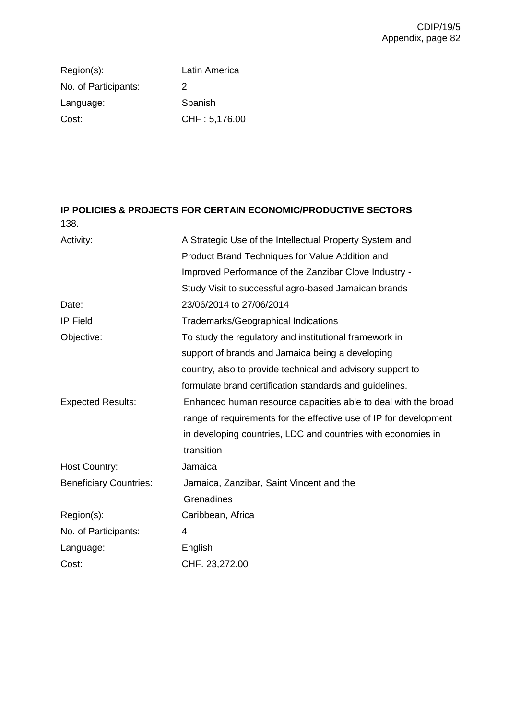Region(s): Latin America No. of Participants: 2 Language: Spanish Cost: CHF : 5,176.00

## **IP POLICIES & PROJECTS FOR CERTAIN ECONOMIC/PRODUCTIVE SECTORS** 138.

| Activity:                     | A Strategic Use of the Intellectual Property System and           |
|-------------------------------|-------------------------------------------------------------------|
|                               | Product Brand Techniques for Value Addition and                   |
|                               | Improved Performance of the Zanzibar Clove Industry -             |
|                               | Study Visit to successful agro-based Jamaican brands              |
| Date:                         | 23/06/2014 to 27/06/2014                                          |
| <b>IP Field</b>               | Trademarks/Geographical Indications                               |
| Objective:                    | To study the regulatory and institutional framework in            |
|                               | support of brands and Jamaica being a developing                  |
|                               | country, also to provide technical and advisory support to        |
|                               | formulate brand certification standards and guidelines.           |
| <b>Expected Results:</b>      | Enhanced human resource capacities able to deal with the broad    |
|                               | range of requirements for the effective use of IP for development |
|                               | in developing countries, LDC and countries with economies in      |
|                               | transition                                                        |
| Host Country:                 | Jamaica                                                           |
| <b>Beneficiary Countries:</b> | Jamaica, Zanzibar, Saint Vincent and the                          |
|                               | Grenadines                                                        |
| Region(s):                    | Caribbean, Africa                                                 |
| No. of Participants:          | 4                                                                 |
| Language:                     | English                                                           |
| Cost:                         | CHF. 23,272.00                                                    |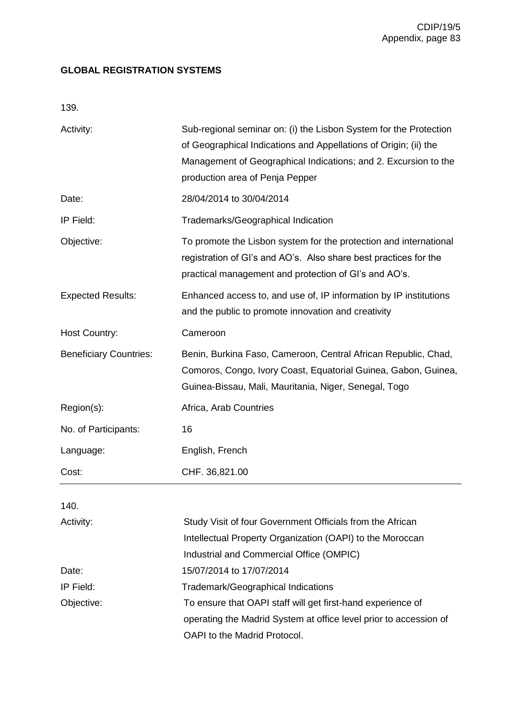## **GLOBAL REGISTRATION SYSTEMS**

139.

| Activity:                     | Sub-regional seminar on: (i) the Lisbon System for the Protection<br>of Geographical Indications and Appellations of Origin; (ii) the<br>Management of Geographical Indications; and 2. Excursion to the<br>production area of Penja Pepper |
|-------------------------------|---------------------------------------------------------------------------------------------------------------------------------------------------------------------------------------------------------------------------------------------|
| Date:                         | 28/04/2014 to 30/04/2014                                                                                                                                                                                                                    |
| IP Field:                     | Trademarks/Geographical Indication                                                                                                                                                                                                          |
| Objective:                    | To promote the Lisbon system for the protection and international<br>registration of GI's and AO's. Also share best practices for the<br>practical management and protection of GI's and AO's.                                              |
| <b>Expected Results:</b>      | Enhanced access to, and use of, IP information by IP institutions<br>and the public to promote innovation and creativity                                                                                                                    |
| <b>Host Country:</b>          | Cameroon                                                                                                                                                                                                                                    |
| <b>Beneficiary Countries:</b> | Benin, Burkina Faso, Cameroon, Central African Republic, Chad,<br>Comoros, Congo, Ivory Coast, Equatorial Guinea, Gabon, Guinea,<br>Guinea-Bissau, Mali, Mauritania, Niger, Senegal, Togo                                                   |
| Region(s):                    | Africa, Arab Countries                                                                                                                                                                                                                      |
| No. of Participants:          | 16                                                                                                                                                                                                                                          |
| Language:                     | English, French                                                                                                                                                                                                                             |
| Cost:                         | CHF. 36,821.00                                                                                                                                                                                                                              |
| 140.                          |                                                                                                                                                                                                                                             |

| Activity:  | Study Visit of four Government Officials from the African         |
|------------|-------------------------------------------------------------------|
|            | Intellectual Property Organization (OAPI) to the Moroccan         |
|            | Industrial and Commercial Office (OMPIC)                          |
| Date:      | 15/07/2014 to 17/07/2014                                          |
| IP Field:  | Trademark/Geographical Indications                                |
| Objective: | To ensure that OAPI staff will get first-hand experience of       |
|            | operating the Madrid System at office level prior to accession of |
|            | OAPI to the Madrid Protocol.                                      |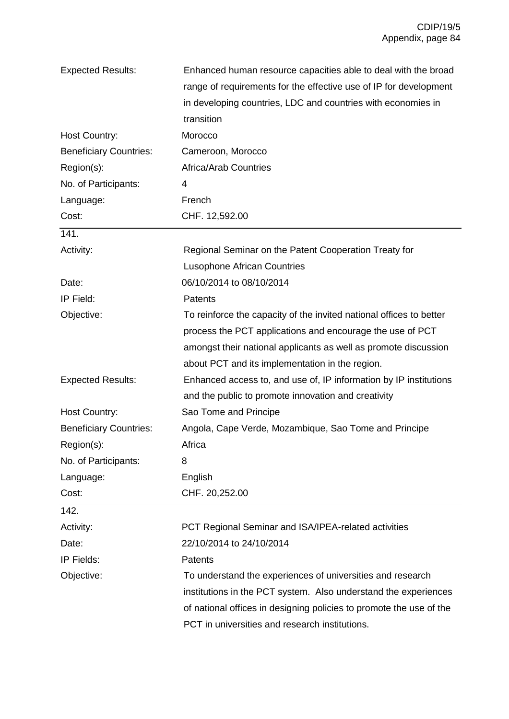| <b>Expected Results:</b>      | Enhanced human resource capacities able to deal with the broad      |
|-------------------------------|---------------------------------------------------------------------|
|                               | range of requirements for the effective use of IP for development   |
|                               | in developing countries, LDC and countries with economies in        |
|                               | transition                                                          |
| Host Country:                 | Morocco                                                             |
| <b>Beneficiary Countries:</b> | Cameroon, Morocco                                                   |
| Region(s):                    | <b>Africa/Arab Countries</b>                                        |
| No. of Participants:          | 4                                                                   |
| Language:                     | French                                                              |
| Cost:                         | CHF. 12,592.00                                                      |
| 141.                          |                                                                     |
| Activity:                     | Regional Seminar on the Patent Cooperation Treaty for               |
|                               | <b>Lusophone African Countries</b>                                  |
| Date:                         | 06/10/2014 to 08/10/2014                                            |
| IP Field:                     | Patents                                                             |
| Objective:                    | To reinforce the capacity of the invited national offices to better |
|                               | process the PCT applications and encourage the use of PCT           |
|                               | amongst their national applicants as well as promote discussion     |
|                               | about PCT and its implementation in the region.                     |
| <b>Expected Results:</b>      | Enhanced access to, and use of, IP information by IP institutions   |
|                               | and the public to promote innovation and creativity                 |
| <b>Host Country:</b>          | Sao Tome and Principe                                               |
| <b>Beneficiary Countries:</b> | Angola, Cape Verde, Mozambique, Sao Tome and Principe               |
| Region(s):                    | Africa                                                              |
| No. of Participants:          | 8                                                                   |
| Language:                     | English                                                             |
| Cost:                         | CHF. 20,252.00                                                      |
| 142.                          |                                                                     |
| Activity:                     | PCT Regional Seminar and ISA/IPEA-related activities                |
| Date:                         | 22/10/2014 to 24/10/2014                                            |
| IP Fields:                    | Patents                                                             |
| Objective:                    | To understand the experiences of universities and research          |
|                               | institutions in the PCT system. Also understand the experiences     |
|                               | of national offices in designing policies to promote the use of the |
|                               | PCT in universities and research institutions.                      |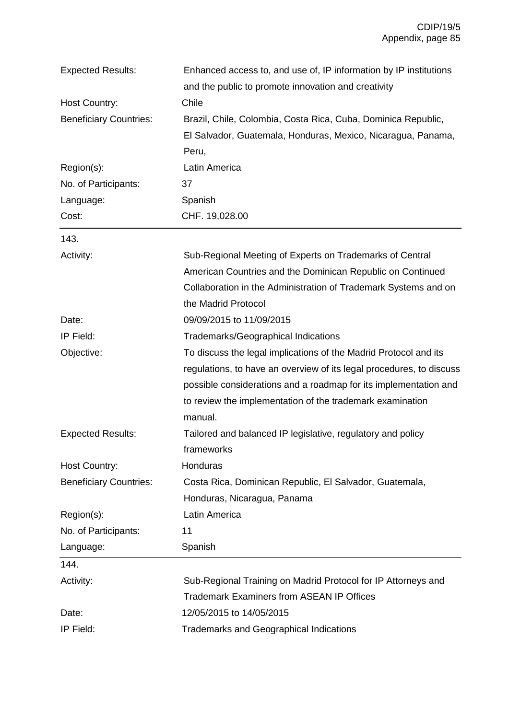| <b>Expected Results:</b>      | Enhanced access to, and use of, IP information by IP institutions    |
|-------------------------------|----------------------------------------------------------------------|
|                               | and the public to promote innovation and creativity                  |
| Host Country:                 | Chile                                                                |
| <b>Beneficiary Countries:</b> | Brazil, Chile, Colombia, Costa Rica, Cuba, Dominica Republic,        |
|                               | El Salvador, Guatemala, Honduras, Mexico, Nicaragua, Panama,         |
|                               | Peru,                                                                |
| Region(s):                    | Latin America                                                        |
| No. of Participants:          | 37                                                                   |
| Language:                     | Spanish                                                              |
| Cost:                         | CHF. 19,028.00                                                       |
| 143.                          |                                                                      |
| Activity:                     | Sub-Regional Meeting of Experts on Trademarks of Central             |
|                               | American Countries and the Dominican Republic on Continued           |
|                               | Collaboration in the Administration of Trademark Systems and on      |
|                               | the Madrid Protocol                                                  |
| Date:                         | 09/09/2015 to 11/09/2015                                             |
| IP Field:                     | Trademarks/Geographical Indications                                  |
| Objective:                    | To discuss the legal implications of the Madrid Protocol and its     |
|                               | regulations, to have an overview of its legal procedures, to discuss |
|                               | possible considerations and a roadmap for its implementation and     |
|                               | to review the implementation of the trademark examination            |
|                               | manual.                                                              |
| <b>Expected Results:</b>      | Tailored and balanced IP legislative, regulatory and policy          |
|                               | frameworks                                                           |
| <b>Host Country:</b>          | Honduras                                                             |
| <b>Beneficiary Countries:</b> | Costa Rica, Dominican Republic, El Salvador, Guatemala,              |
|                               | Honduras, Nicaragua, Panama                                          |
| Region(s):                    | Latin America                                                        |
| No. of Participants:          | 11                                                                   |
| Language:                     | Spanish                                                              |
| 144.                          |                                                                      |
| Activity:                     | Sub-Regional Training on Madrid Protocol for IP Attorneys and        |
|                               | <b>Trademark Examiners from ASEAN IP Offices</b>                     |
| Date:                         | 12/05/2015 to 14/05/2015                                             |
| IP Field:                     | <b>Trademarks and Geographical Indications</b>                       |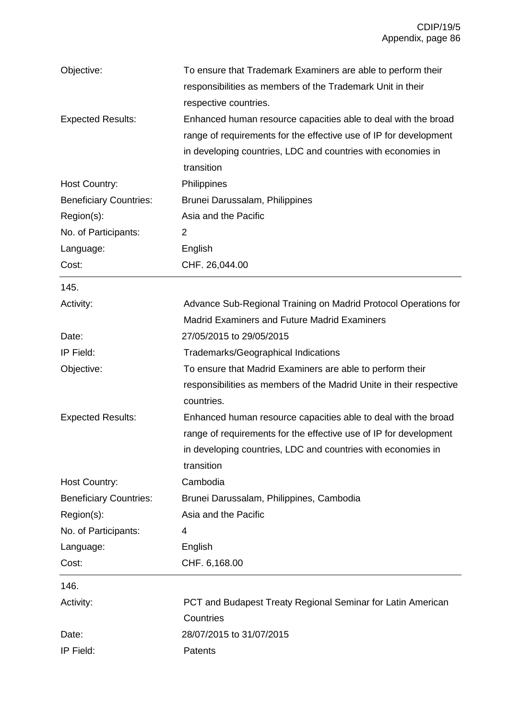| Objective:                    | To ensure that Trademark Examiners are able to perform their        |
|-------------------------------|---------------------------------------------------------------------|
|                               | responsibilities as members of the Trademark Unit in their          |
|                               | respective countries.                                               |
| <b>Expected Results:</b>      | Enhanced human resource capacities able to deal with the broad      |
|                               | range of requirements for the effective use of IP for development   |
|                               | in developing countries, LDC and countries with economies in        |
|                               | transition                                                          |
| Host Country:                 | Philippines                                                         |
| <b>Beneficiary Countries:</b> | Brunei Darussalam, Philippines                                      |
| Region(s):                    | Asia and the Pacific                                                |
| No. of Participants:          | 2                                                                   |
| Language:                     | English                                                             |
| Cost:                         | CHF. 26,044.00                                                      |
| 145.                          |                                                                     |
| Activity:                     | Advance Sub-Regional Training on Madrid Protocol Operations for     |
|                               | <b>Madrid Examiners and Future Madrid Examiners</b>                 |
| Date:                         | 27/05/2015 to 29/05/2015                                            |
| IP Field:                     | <b>Trademarks/Geographical Indications</b>                          |
| Objective:                    | To ensure that Madrid Examiners are able to perform their           |
|                               | responsibilities as members of the Madrid Unite in their respective |
|                               | countries.                                                          |
| <b>Expected Results:</b>      | Enhanced human resource capacities able to deal with the broad      |
|                               | range of requirements for the effective use of IP for development   |
|                               | in developing countries, LDC and countries with economies in        |
|                               | transition                                                          |
| Host Country:                 | Cambodia                                                            |
| <b>Beneficiary Countries:</b> | Brunei Darussalam, Philippines, Cambodia                            |
| Region(s):                    | Asia and the Pacific                                                |
| No. of Participants:          | 4                                                                   |
| Language:                     | English                                                             |
| Cost:                         | CHF. 6,168.00                                                       |
| 146.                          |                                                                     |
| Activity:                     | PCT and Budapest Treaty Regional Seminar for Latin American         |
|                               | Countries                                                           |
| Date:                         | 28/07/2015 to 31/07/2015                                            |
| IP Field:                     | Patents                                                             |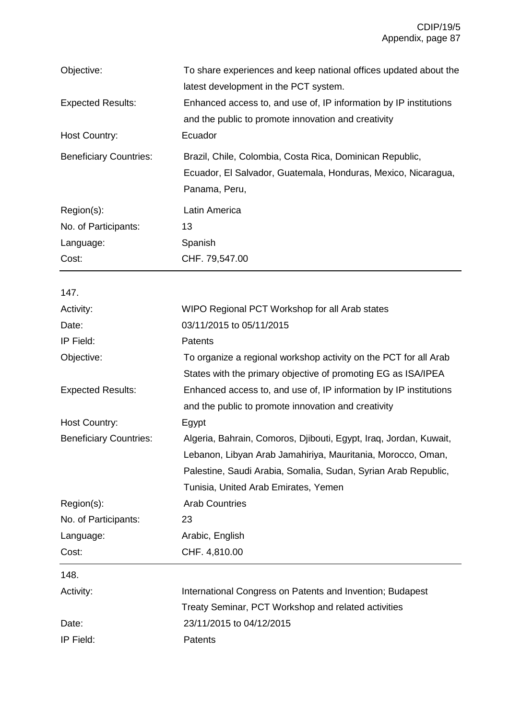| Objective:                    | To share experiences and keep national offices updated about the  |
|-------------------------------|-------------------------------------------------------------------|
|                               | latest development in the PCT system.                             |
| <b>Expected Results:</b>      | Enhanced access to, and use of, IP information by IP institutions |
|                               | and the public to promote innovation and creativity               |
| <b>Host Country:</b>          | Ecuador                                                           |
| <b>Beneficiary Countries:</b> | Brazil, Chile, Colombia, Costa Rica, Dominican Republic,          |
|                               | Ecuador, El Salvador, Guatemala, Honduras, Mexico, Nicaragua,     |
|                               | Panama, Peru,                                                     |
| Region(s):                    | Latin America                                                     |
| No. of Participants:          | 13                                                                |
| Language:                     | Spanish                                                           |
| Cost:                         | CHF. 79,547.00                                                    |
| 147.                          |                                                                   |
| Activity:                     | WIPO Regional PCT Workshop for all Arab states                    |
| Date:                         | 03/11/2015 to 05/11/2015                                          |
| IP Field:                     | <b>Patents</b>                                                    |
| Objective:                    | To organize a regional workshop activity on the PCT for all Arab  |
|                               | States with the primary objective of promoting EG as ISA/IPEA     |
| <b>Expected Results:</b>      | Enhanced access to, and use of, IP information by IP institutions |
|                               | and the public to promote innovation and creativity               |
| <b>Host Country:</b>          | Egypt                                                             |
| <b>Beneficiary Countries:</b> | Algeria, Bahrain, Comoros, Djibouti, Egypt, Iraq, Jordan, Kuwait, |
|                               | Lebanon, Libyan Arab Jamahiriya, Mauritania, Morocco, Oman,       |
|                               | Palestine, Saudi Arabia, Somalia, Sudan, Syrian Arab Republic,    |
|                               | Tunisia, United Arab Emirates, Yemen                              |
| Region(s):                    | <b>Arab Countries</b>                                             |
| No. of Participants:          | 23                                                                |
| Language:                     | Arabic, English                                                   |
| Cost:                         | CHF. 4,810.00                                                     |
| 148.                          |                                                                   |
| Activity:                     | International Congress on Patents and Invention; Budapest         |
|                               | Treaty Seminar, PCT Workshop and related activities               |
| Date:                         | 23/11/2015 to 04/12/2015                                          |
| IP Field:                     | Patents                                                           |